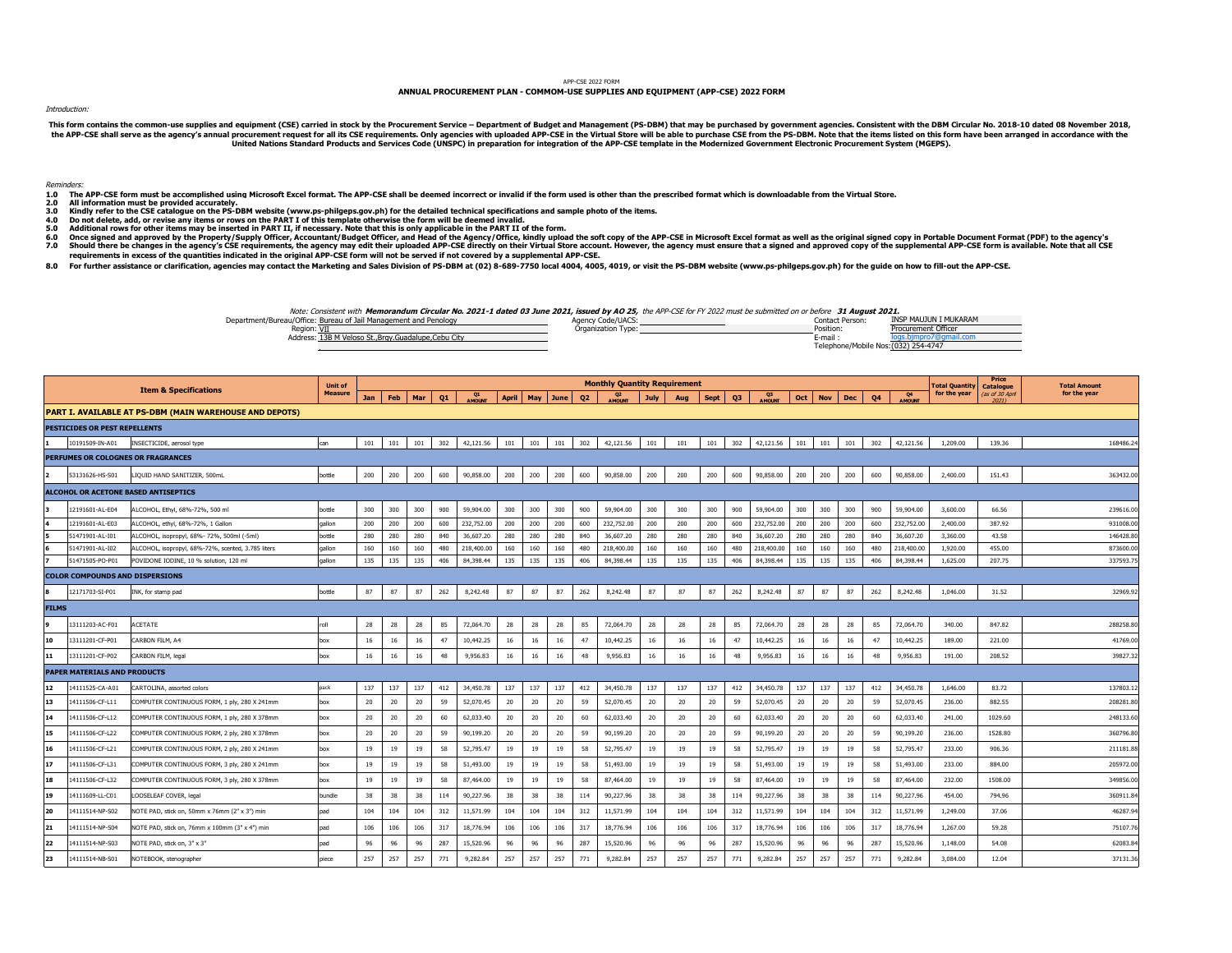## APP-CSE 2022 FORM

## **ANNUAL PROCUREMENT PLAN - COMMOM-USE SUPPLIES AND EQUIPMENT (APP-CSE) 2022 FORM**

Introduction:

This form contains the common-use supplies and equipment (CSE) carried in stock by the Procurement Service – Department of Budget and Management (PS-DBM) that may be purchased by government agencies. Consistent with the DB

Reminders:

- **1.0 2.0** way.<br>The APP-CSE form must be accomplished using Microsoft Excel format. The APP-CSE shall be deemed incorrect or invalid if the form used is other than the prescribed format which is downloadable from the Virtual Store.
- **All information must be provided accurately.**
- $\frac{3.0}{4.0}$ 3.0 Kindly refer to the CSE catalogue on the PS-DBM website (www.ps-philgeps.gov.ph) for the detailed technical specifications and sample photo of the items.<br>4.0 Do not delete, add, or revise any items or rows on the PART
- 
- **5.0 Additional rows for other items may be inserted in PART II, if necessary. Note that this is only applicable in the PART II of the form.**
- **6.0 7.0** Once signed and approved by the Property/Supply Officer, Accountant/Budget Officer, and Head of the Agency/Office, kindly upload the soft copy of the APP-CSE in Microsoft Excel format as well as the original signed copy in
- 8.0 For further assistance or clarification, agencies may contact the Marketing and Sales Division of PS-DBM at (02) 8-689-7750 local 4004, 4005, 4019, or visit the PS-DBM website (www.ps-philgeps.gov.ph) for the guide on

Department/Bureau/Office: **Bureau of Jail Management and Penology INSP MAUJUN I MUKARAM** Agency Code/UACS: Code/Code/UACS: Region: VII Position: Providence of the Contract of Communication Type: Position: Position: Position: Position: Address: 13B M Veloso St.,Brgy.Guadalupe,Cebu City logs.bjmpro7@gmail.com and the state of the state of the state of the state of the state of the state of the state of the state of the state of the state of the state of t Telephone/Mobile Nos: (032) 254-4747 VII Procurement Officer Contract Contract Contract Contract Contract Contract Contract Contract Contract Contract Contract Contract Contract Contract Contract Contract Contract Contract Contract Contract Contract Contract Note: Consistent with **Memorandum Circular No. 2021-1 dated 03 June 2021, issued by AO 25,** the APP-CSE for FY 2022 must be submitted on or before **31 August 2021.**<br>(Contact Person: 1992) Motion the August of July August A

|              |                                        |                                                         | Unit of        |            |     |     |     |                 |              |     |      |           | <b>Monthly Quantity Requirement</b> |      |     |             |     |               |     |            |     |                |                     | otal Quantity | Price<br><b>Catalogue</b> | <b>Total Amount</b> |
|--------------|----------------------------------------|---------------------------------------------------------|----------------|------------|-----|-----|-----|-----------------|--------------|-----|------|-----------|-------------------------------------|------|-----|-------------|-----|---------------|-----|------------|-----|----------------|---------------------|---------------|---------------------------|---------------------|
|              |                                        | <b>Item &amp; Specifications</b>                        | <b>Measure</b> | <b>Jan</b> | Feb | Mar | Q1  | <b>A MOLINT</b> | <b>April</b> | May | June | <b>Q2</b> | AMOUNT                              | July | Aug | <b>Sept</b> | Q3  | <b>AMOUNT</b> | Oct | <b>Nov</b> | Dec | Q <sub>4</sub> | Q4<br><b>AMOUNT</b> | for the year  | (as of 30 April<br>70711  | for the year        |
|              |                                        | PART I. AVAILABLE AT PS-DBM (MAIN WAREHOUSE AND DEPOTS) |                |            |     |     |     |                 |              |     |      |           |                                     |      |     |             |     |               |     |            |     |                |                     |               |                           |                     |
|              | <b>PESTICIDES OR PEST REPELLENTS</b>   |                                                         |                |            |     |     |     |                 |              |     |      |           |                                     |      |     |             |     |               |     |            |     |                |                     |               |                           |                     |
|              | 10191509-IN-A01                        | INSECTICIDE, aerosol type                               | can            | 101        | 101 | 101 | 302 | 42,121.56       | 101          | 101 | 101  | 302       | 42,121.56                           | 101  | 101 | 101         | 302 | 42,121.56     | 101 | 101        | 101 | 302            | 42,121.56           | 1,209.00      | 139.36                    | 168486.2            |
|              |                                        | PERFUMES OR COLOGNES OR FRAGRANCES                      |                |            |     |     |     |                 |              |     |      |           |                                     |      |     |             |     |               |     |            |     |                |                     |               |                           |                     |
|              | 53131626-HS-S01                        | IQUID HAND SANITIZER, 500mL                             | bottle         | 200        | 200 | 200 | 600 | 90,858.00       | 200          | 200 | 200  | 600       | 90,858.00                           | 200  | 200 | 200         | 600 | 90,858.00     | 200 | 200        | 200 | 600            | 90,858.00           | 2,400.00      | 151.43                    | 363432.0            |
|              |                                        | <b>ALCOHOL OR ACETONE BASED ANTISEPTICS</b>             |                |            |     |     |     |                 |              |     |      |           |                                     |      |     |             |     |               |     |            |     |                |                     |               |                           |                     |
|              | 12191601-AL-E04                        | ALCOHOL, Ethyl, 68%-72%, 500 ml                         | bottle         | 300        | 300 | 300 | 900 | 59,904.00       | 300          | 300 | 300  | 900       | 59,904.00                           | 300  | 300 | 300         | 900 | 59,904.00     | 300 | 300        | 300 | 900            | 59,904.00           | 3,600.00      | 66.56                     | 239616.0            |
|              | 12191601-AL-E03                        | ALCOHOL, ethyl, 68%-72%, 1 Gallon                       | gallon         | 200        | 200 | 200 | 600 | 232,752.00      | 200          | 200 | 200  | 600       | 232,752.00                          | 200  | 200 | 200         | 600 | 232,752.00    | 200 | 200        | 200 | 600            | 232,752.00          | 2,400.00      | 387.92                    | 931008.0            |
|              | 51471901-AL-I01                        | ALCOHOL, isopropyl, 68%- 72%, 500ml (-5ml)              | bottle         | 280        | 280 | 280 | 840 | 36,607.20       | 280          | 280 | 280  | 840       | 36,607.20                           | 280  | 280 | 280         | 840 | 36,607.20     | 280 | 280        | 280 | 840            | 36,607.20           | 3,360.00      | 43.58                     | 146428.8            |
|              | 51471901-AL-I02                        | ALCOHOL, isopropyl, 68%-72%, scented, 3.785 liters      | qallon         | 160        | 160 | 160 | 480 | 218,400.00      | 160          | 160 | 160  | 480       | 218,400.00                          | 160  | 160 | 160         | 480 | 218,400.00    | 160 | 160        | 160 | 480            | 218,400.00          | 1,920.00      | 455.00                    | 873600.0            |
|              | 51471505-PO-P01                        | POVIDONE IODINE, 10 % solution, 120 m                   | qallon         | 135        | 135 | 135 | 406 | 84,398.44       | 135          | 135 | 135  | 406       | 84,398.44                           | 135  | 135 | 135         | 406 | 84,398.44     | 135 | 135        | 135 | 406            | 84,398.44           | 1,625.00      | 207.75                    | 337593.7            |
|              | <b>COLOR COMPOUNDS AND DISPERSIONS</b> |                                                         |                |            |     |     |     |                 |              |     |      |           |                                     |      |     |             |     |               |     |            |     |                |                     |               |                           |                     |
|              | 12171703-SI-P01                        | INK, for stamp pad                                      | bottle         | 87         | 87  | 87  | 262 | 8,242.48        | 87           | 87  | 87   | 262       | 8,242.48                            | 87   | 87  | 87          | 262 | 8,242.48      | 87  | 87         | 87  | 262            | 8,242.48            | 1,046.00      | 31.52                     | 32969.9             |
| <b>FILMS</b> |                                        |                                                         |                |            |     |     |     |                 |              |     |      |           |                                     |      |     |             |     |               |     |            |     |                |                     |               |                           |                     |
|              | 13111203-AC-F01                        | ACETATE                                                 | roll           | 28         | 28  | 28  | 85  | 72,064.70       | 28           | 28  | 28   | 85        | 72,064.70                           | 28   | 28  | 28          | 85  | 72,064.70     | 28  | 28         | 28  | 85             | 72,064.70           | 340.00        | 847.82                    | 288258.8            |
| 10           | 13111201-CF-P01                        | CARBON FILM, A4                                         | box            | 16         | 16  | 16  | 47  | 10,442.25       | 16           | 16  | 16   | 47        | 10,442.25                           | 16   | 16  | 16          | 47  | 10,442.25     | 16  | 16         | 16  | 47             | 10,442.25           | 189.00        | 221.00                    | 41769.0             |
| 11           | 13111201-CF-P02                        | CARBON FILM, legal                                      | box            | 16         | 16  | 16  | 48  | 9,956.83        | 16           | 16  | 16   | 48        | 9,956.83                            | 16   | 16  | 16          | 48  | 9,956.83      | 16  | 16         | 16  | 48             | 9,956.83            | 191.00        | 208.52                    | 39827.3             |
|              | PAPER MATERIALS AND PRODUCTS           |                                                         |                |            |     |     |     |                 |              |     |      |           |                                     |      |     |             |     |               |     |            |     |                |                     |               |                           |                     |
| 12           | 14111525-CA-A01                        | CARTOLINA, assorted colors                              | pack           | 137        | 137 | 137 | 412 | 34,450.78       | 137          | 137 | 137  | 412       | 34,450.78                           | 137  | 137 | 137         | 412 | 34,450.78     | 137 | 137        | 137 | 412            | 34,450.78           | 1,646.00      | 83.72                     | 137803.1            |
| 13           | 14111506-CF-L11                        | COMPUTER CONTINUOUS FORM, 1 ply, 280 X 241mm            | box            | 20         | 20  | 20  | 59  | 52,070.45       | 20           | 20  | 20   | 59        | 52,070.45                           | 20   | 20  | 20          | 59  | 52,070.45     | 20  | 20         | 20  | 59             | 52,070.45           | 236.00        | 882.55                    | 208281.8            |
| 14           | 14111506-CF-L12                        | COMPUTER CONTINUOUS FORM, 1 ply, 280 X 378mm            | box            | 20         | 20  | 20  | 60  | 62,033.40       | 20           | 20  | 20   | 60        | 62,033.40                           | 20   | 20  | 20          | 60  | 62,033.40     | 20  | 20         | 20  | 60             | 62,033.40           | 241.00        | 1029.60                   | 248133.6            |
| 15           | 14111506-CF-L22                        | COMPUTER CONTINUOUS FORM, 2 ply, 280 X 378mm            | box            | 20         | 20  | 20  | 59  | 90,199.20       | 20           | 20  | 20   | 59        | 90,199.20                           | 20   | 20  | 20          | 59  | 90,199.20     | 20  | 20         | 20  | 59             | 90,199.20           | 236.00        | 1528.80                   | 360796.8            |
| 16           | 14111506-CF-L21                        | COMPUTER CONTINUOUS FORM, 2 ply, 280 X 241mm            | box            | 19         | 19  | 19  | 58  | 52,795.47       | 19           | 19  | 19   | 58        | 52,795.47                           | 19   | 19  | 19          | 58  | 52,795.47     | 19  | 19         | 19  | 58             | 52,795.47           | 233.00        | 906.36                    | 211181.8            |
| 17           | 14111506-CF-L31                        | COMPUTER CONTINUOUS FORM, 3 ply, 280 X 241mm            | box            | 19         | 19  | 19  | 58  | 51,493.00       | 19           | 19  | 19   | 58        | 51,493.00                           | 19   | 19  | 19          | 58  | 51,493.00     | 19  | 19         | 19  | 58             | 51,493.00           | 233.00        | 884.00                    | 205972.0            |
| 18           | 14111506-CF-L32                        | COMPUTER CONTINUOUS FORM, 3 ply, 280 X 378mm            | box            | 19         | 19  | 19  | 58  | 87,464.00       | 19           | 19  | 19   | 58        | 87,464.00                           | 19   | 19  | 19          | 58  | 87,464.00     | 19  | 19         | 19  | 58             | 87,464.00           | 232.00        | 1508.00                   | 349856.0            |
| 19           | 14111609-LL-C01                        | LOOSELEAF COVER, legal                                  | bundle         | 38         | 38  | 38  | 114 | 90,227.96       | 38           | 38  | 38   | 114       | 90,227.96                           | 38   | 38  | 38          | 114 | 90,227.96     | 38  | 38         | 38  | 114            | 90,227.96           | 454.00        | 794.96                    | 360911.8            |
| 20           | 14111514-NP-S02                        | NOTE PAD, stick on, 50mm x 76mm (2" x 3") min           | pad            | 104        | 104 | 104 | 312 | 11,571.99       | 104          | 104 | 104  | 312       | 11,571.99                           | 104  | 104 | 104         | 312 | 11,571.99     | 104 | 104        | 104 | 312            | 11,571.99           | 1,249.00      | 37.06                     | 46287.9             |
| 21           | 14111514-NP-S04                        | NOTE PAD, stick on, 76mm x 100mm (3" x 4") min          | pad            | 106        | 106 | 106 | 317 | 18,776.94       | 106          | 106 | 106  | 317       | 18,776.94                           | 106  | 106 | 106         | 317 | 18,776.94     | 106 | 106        | 106 | 317            | 18,776.94           | 1,267.00      | 59.28                     | 75107.7             |
| 22           | 14111514-NP-S03                        | NOTE PAD, stick on, 3" x 3"                             | pad            | 96         | 96  | 96  | 287 | 15,520.96       | 96           | 96  | 96   | 287       | 15,520.96                           | 96   | 96  | 96          | 287 | 15,520.96     | 96  | 96         | 96  | 287            | 15,520.96           | 1,148.00      | 54.08                     | 62083.8             |
| 23           | 14111514-NB-S01                        | NOTEBOOK, stenographer                                  | piece          | 257        | 257 | 257 | 771 | 9,282.84        | 257          | 257 | 257  | 771       | 9,282.84                            | 257  | 257 | 257         | 771 | 9,282.84      | 257 | 257        | 257 | 771            | 9,282.84            | 3,084.00      | 12.04                     | 37131.36            |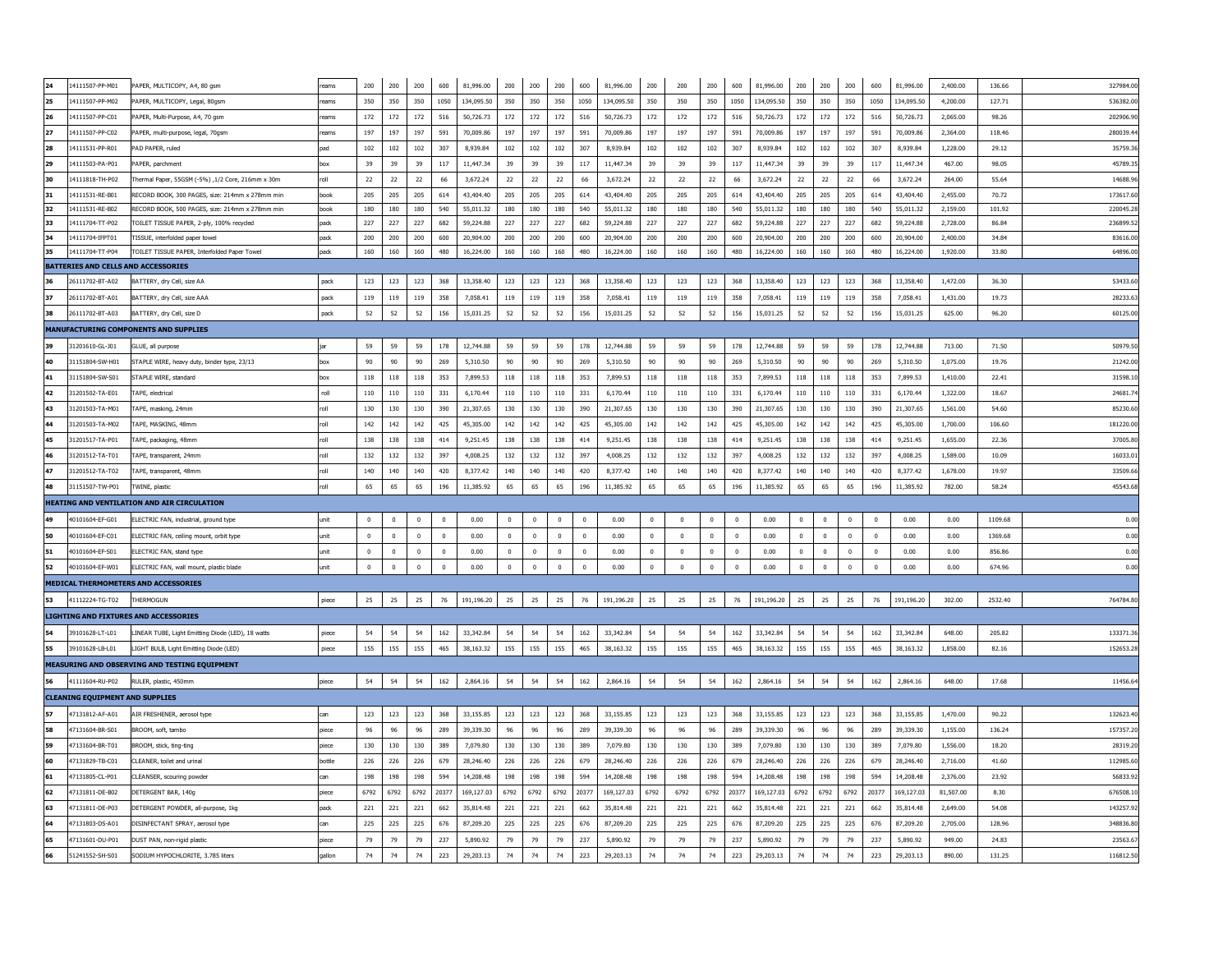|    | 14111507-PP-M01                        | PAPER, MULTICOPY, A4, 80 asm                      | reams  | 200            | 200            | 200            | 600          | 81,996.00  | 200          | 200            | 200            | 600            | 81,996.00  | 200            | 200            | 200         | 600         | 81,996.00  | 200        | 200            | 200            | 600            | 81,996.00  | 2,400.00  | 136.66  | 327984.00 |
|----|----------------------------------------|---------------------------------------------------|--------|----------------|----------------|----------------|--------------|------------|--------------|----------------|----------------|----------------|------------|----------------|----------------|-------------|-------------|------------|------------|----------------|----------------|----------------|------------|-----------|---------|-----------|
| 25 | 14111507-PP-M02                        | PAPER, MULTICOPY, Legal, 80gsm                    | eams   | 350            | 350            | 350            | 1050         | 134,095.50 | 350          | 350            | 350            | 1050           | 134.095.50 | 350            | 350            | 350         | 1050        | 134,095.50 | 350        | 350            | 350            | 1050           | 134.095.50 | 4,200,00  | 127.71  | 536382.00 |
|    | 14111507-PP-C01                        | PAPER, Multi-Purpose, A4, 70 asm                  | eams   | 172            | 172            | 172            | 516          | 50.726.73  | 172          | 172            | 172            | 516            | 50,726,73  | 172            | 172            | 172         | 516         | 50,726,73  | 172        | 172            | 172            | 516            | 50,726,73  | 2.065.00  | 98.26   | 202906.90 |
|    | 14111507-PP-C02                        | PAPER, multi-purpose, legal, 70gsm                | eams   | 197            | 197            | 197            | 591          | 70.009.86  | 197          | 197            | 197            | 591            | 70.009.86  | 197            | 197            | 197         | 591         | 70.009.86  | 197        | 197            | 197            | 591            | 70.009.86  | 2.364.00  | 118.46  | 280039.44 |
|    | 14111531-PP-R01                        | PAD PAPER, ruled                                  | ad     | 102            | 102            | 102            | 307          | 8.939.84   | 102          | 102            | 102            | 307            | 8.939.84   | 102            | 102            | 102         | 307         | 8.939.84   | 102        | 102            | 102            | 307            | 8.939.84   | 1.228.00  | 29.12   | 35759.36  |
|    | 14111503-PA-P01                        | PAPER, parchment                                  | hox    | 39             | 39             | 39             | 117          | 11,447.34  | 39           | 39             | 39             | 117            | 11,447.34  | 39             | 39             | 39          | 117         | 11,447.34  | 39         | 39             | 39             | 117            | 11,447.34  | 467.00    | 98.05   | 45789.35  |
|    | 14111818-TH-P02                        | Thermal Paper, 55GSM (-5%) ,1/2 Core, 216mm x 30m |        | 22             | 22             | 22             | 66           | 3,672.24   | 22           | 22             | 22             | 66             | 3,672.24   | 22             | 22             | 22          | 66          | 3,672.24   | $22\,$     | 22             | 22             | 66             | 3,672.24   | 264.00    | 55.64   | 14688.96  |
|    | 14111531-RE-B01                        | RECORD BOOK, 300 PAGES, size: 214mm x 278mm min   | book   | 205            | 205            | 205            | 614          | 43,404.40  | 205          | 205            | 205            | 614            | 43,404.40  | 205            | 205            | 205         | 614         | 43,404.40  | 205        | 205            | 205            | 614            | 43,404.40  | 2,455.00  | 70.72   | 173617.60 |
| 32 | 14111531-RE-B02                        | RECORD BOOK, 500 PAGES, size: 214mm x 278mm min   | hook   | 180            | 180            | 180            | 540          | 55.011.32  | 180          | 180            | 180            | 540            | 55.011.32  | 180            | 180            | 180         | 540         | 55.011.32  | 180        | 180            | 180            | 540            | 55.011.32  | 2.159.00  | 101.92  | 220045.28 |
|    | 14111704-TT-P02                        | TOILET TISSUE PAPER, 2-ply, 100% recycled         | pack   | 227            | 227            | 227            | 682          | 59,224.88  | 227          | 227            | 227            | 682            | 59,224.88  | 227            | 227            | 227         | 682         | 59,224.88  | 227        | 227            | 227            | 682            | 59,224.88  | 2,728.00  | 86.84   | 236899.52 |
|    | 14111704-IFPT01                        | <b>TISSUE, interfolded paper towel</b>            | pack   | 200            | 200            | 200            | 600          | 20,904.00  | 200          | 200            | 200            | 600            | 20,904.00  | 200            | 200            | 200         | 600         | 20,904.00  | 200        | 200            | 200            | 600            | 20,904.00  | 2,400.00  | 34.84   | 83616.00  |
|    | 14111704-TT-P04                        | TOILET TISSUE PAPER, Interfolded Paper Towel      | pack   | 160            | 160            | 160            | 480          | 16,224.00  | 160          | $160\,$        | $160\,$        | 480            | 16,224.00  | $160\,$        | 160            | 160         | 480         | 16,224.00  | 160        | 160            | 160            | 480            | 16,224.00  | 1,920.00  | 33.80   | 64896.00  |
|    | BATTERIES AND CELLS AND ACCESSORIES    |                                                   |        |                |                |                |              |            |              |                |                |                |            |                |                |             |             |            |            |                |                |                |            |           |         |           |
|    | 26111702-BT-A02                        | BATTERY, dry Cell, size AA                        | pack   | 123            | 123            | 123            | 368          | 13,358.40  | 123          | 123            | 123            | 368            | 13,358,40  | 123            | 123            | 123         | 368         | 13,358.40  | 123        | 123            | 123            | 368            | 13,358,40  | 1,472.00  | 36.30   | 53433.60  |
|    | 26111702-BT-A01                        | BATTERY, dry Cell, size AAA                       | pack   | 119            | 119            | 119            | 358          | 7,058.41   | 119          | 119            | 119            | 358            | 7,058.41   | 119            | 119            | 119         | 358         | 7.058.41   | 119        | 119            | 119            | 358            | 7,058.41   | 1.431.00  | 19.73   | 28233.63  |
|    | 26111702-BT-A03                        | BATTERY, dry Cell, size D                         | pack   | 52             | 52             | 52             | 156          | 15.031.25  | 52           | 52             | 52             | 156            | 15,031.25  | 52             | 52             | 52          | 156         | 15,031.25  | 52         | 52             | 52             | 156            | 15,031.25  | 625.00    | 96.20   | 60125.00  |
|    |                                        | MANUFACTURING COMPONENTS AND SUPPLIES             |        |                |                |                |              |            |              |                |                |                |            |                |                |             |             |            |            |                |                |                |            |           |         |           |
|    | 31201610-GL-J01                        | GLUE, all purpose                                 |        | 59             | 59             | 59             | 178          | 12,744.88  | 59           | 59             | 59             | 178            | 12,744.88  | 59             | 59             | 59          | 178         | 12,744.88  | 59         | 59             | 59             | 178            | 12,744.88  | 713.00    | 71.50   | 50979.50  |
|    | 31151804-SW-H01                        | STAPLE WIRE, heavy duty, binder type, 23/13       | hox    | 90             | 90             | 90             | 269          | 5.310.50   | 90           | 90             | 90             | 269            | 5.310.50   | 90             | 90             | 90          | 269         | 5.310.50   | 90         | 90             | 90             | 269            | 5.310.50   | 1.075.00  | 19.76   | 21242.0   |
|    | 31151804-SW-S01                        | STAPI F WIRF, standard                            |        | 118            | 118            | 118            | 353          | 7.899.53   | 118          | 118            | 118            | 353            | 7.899.53   | 118            | 118            | 118         | 353         | 7,899.53   | 118        | 118            | 118            | 353            | 7,899.53   | 1.410.00  | 22.41   | 31598.10  |
| 42 | 31201502-TA-F01                        | TAPF, electrical                                  | roll   | 110            | 110            | 110            | 331          | 6,170.44   | 110          | 110            | 110            | 331            | 6.170.44   | 110            | 110            | 110         | 331         | 6.170.44   | 110        | 110            | 110            | 331            | 6.170.44   | 1.322.00  | 18.67   | 24681.7   |
| 43 | 31201503-TA-M01                        | FAPE, masking, 24mm                               |        | 130            | 130            | 130            | 390          | 21.307.65  | 130          | 130            | 130            | 390            | 21.307.65  | 130            | 130            | 130         | 390         | 21.307.65  | 130        | 130            | 130            | 390            | 21.307.65  | 1.561.00  | 54.60   | 85230.60  |
|    | 31201503-TA-M02                        | TAPE, MASKING, 48mm                               |        | 142            | 142            | 142            | 425          | 45,305.00  | 142          | 142            | 142            | 425            | 45,305.00  | 142            | 142            | 142         | 425         | 45,305.00  | 142        | 142            | 142            | 425            | 45,305.00  | 1,700.00  | 106.60  | 181220.00 |
|    | 31201517-TA-P01                        | FAPE, packaging, 48mm                             |        | 138            | 138            | 138            | 414          | 9,251.45   | 138          | 138            | 138            | 414            | 9,251.45   | 138            | 138            | 138         | 414         | 9,251.45   | 138        | 138            | 138            | 414            | 9,251.45   | 1,655.00  | 22.36   | 37005.80  |
|    | 31201512-TA-T01                        | TAPE, transparent, 24mm                           |        | 132            | 132            | 132            | 397          | 4,008.25   | 132          | 132            | 132            | 397            | 4,008.25   | 132            | 132            | 132         | 397         | 4,008.25   | 132        | 132            | 132            | 397            | 4,008.25   | 1,589.00  | 10.09   | 16033.01  |
|    | 31201512-TA-T02                        | APE, transparent, 48mm                            |        | 140            | 140            | 140            | 420          | 8,377.42   | 140          | 140            | 140            | 420            | 8,377.42   | 140            | 140            | 140         | 420         | 8,377.42   | 140        | 140            | 140            | 420            | 8,377.42   | 1,678.00  | 19.97   | 33509.66  |
|    | 31151507-TW-P01                        | <b>TWINE, plastic</b>                             | roll   | 65             | 65             | 65             | 196          | 11,385.92  | 65           | 65             | 65             | 196            | 11,385.92  | 65             | 65             | 65          | 196         | 11,385.92  | 65         | 65             | 65             | 196            | 11,385.92  | 782.00    | 58.24   | 45543.68  |
|    |                                        | HEATING AND VENTILATION AND AIR CIRCULATION       |        |                |                |                |              |            |              |                |                |                |            |                |                |             |             |            |            |                |                |                |            |           |         |           |
|    | 40101604-EF-G01                        | ELECTRIC FAN, industrial, ground type             | unit   | $\Omega$       | $\mathbf{0}$   | $\mathbf{0}$   | $\mathbf{0}$ | 0.00       | $\mathbf{0}$ | $\overline{0}$ | $\mathbf{0}$   | $\mathbf{0}$   | 0.00       | $\Omega$       | $\Omega$       | $^{\circ}$  | $^{\circ}$  | 0.00       | $\Omega$   | $\mathbf{0}$   | $\mathbf{0}$   | $\overline{0}$ | 0.00       | 0.00      | 1109.68 | 0.00      |
|    | 40101604-EF-C01                        | ELECTRIC FAN, ceiling mount, orbit type           | ınit   | $\Omega$       | $\overline{0}$ | $\overline{0}$ | $\mathbf{0}$ | 0.00       | $\mathbf{0}$ | $\overline{0}$ | $\overline{0}$ | $\overline{0}$ | 0.00       | $\overline{0}$ | $\overline{0}$ | $^{\circ}$  | $^{\circ}$  | 0.00       | $^{\circ}$ | $\overline{0}$ | $\overline{0}$ | $\bf{0}$       | 0.00       | 0.00      | 1369.68 | 0.00      |
|    |                                        |                                                   |        |                |                |                |              |            |              |                |                |                |            | $\overline{0}$ | $\overline{0}$ | $\mathbf 0$ | $\pmb{0}$   | 0.00       | $^{\circ}$ | $\mathbf 0$    |                |                |            |           |         |           |
| 51 | 40101604-EF-S01                        | ELECTRIC FAN, stand type                          | unit   | $\overline{0}$ | $\overline{0}$ | $\mathbf 0$    | $\mathbf{0}$ | 0.00       | $^{\circ}$   | $\bf{0}$       | $\mathbf 0$    | $\overline{0}$ | 0.00       |                |                |             |             |            |            |                | $\mathbb O$    | $\mathbf 0$    | 0.00       | 0.00      | 856.86  | 0.00      |
|    | 40101604-EF-W01                        | ELECTRIC FAN, wall mount, plastic blade           | unit   | $\mathbf 0$    | $\Omega$       |                | $\mathbf{0}$ | 0.00       | $\mathbf{0}$ |                | $\mathbf 0$    | $\overline{0}$ | 0.00       | $\overline{0}$ | $\overline{0}$ |             | $\mathbf 0$ | 0.00       | $^{\circ}$ | $\mathbf 0$    | $\mathbf 0$    | $\pmb{0}$      | 0.00       | 0.00      | 674.96  | 0.00      |
|    |                                        | <b>MEDICAL THERMOMETERS AND ACCESSORIES</b>       |        |                |                | $\mathbf 0$    |              |            |              | $\,$ 0         |                |                |            |                |                | $\mathbf 0$ |             |            |            |                |                |                |            |           |         |           |
|    |                                        |                                                   |        |                |                |                |              |            |              |                |                |                |            |                |                |             |             |            |            |                |                |                |            |           |         |           |
|    | 41112224-TG-T02                        | THERMOGUN                                         | piece  | 25             | 25             | 25             | 76           | 191,196.20 | 25           | 25             | 25             | 76             | 191,196.20 | 25             | 25             | 25          | 76          | 191,196.20 | 25         | 25             | 25             | 76             | 191,196.20 | 302.00    | 2532.40 | 764784.80 |
|    |                                        | <b>LIGHTING AND FIXTURES AND ACCESSORIES</b>      |        |                |                |                |              |            |              |                |                |                |            |                |                |             |             |            |            |                |                |                |            |           |         |           |
|    | 39101628-LT-L01                        | LINEAR TUBE, Light Emitting Diode (LED), 18 watts | piece  | 54             | 54             | 54             | 162          | 33,342.84  | 54           | 54             | 54             | 162            | 33,342.84  | 54             | 54             | 54          | 162         | 33,342.84  | 54         | 54             | 54             | 162            | 33,342.84  | 648.00    | 205.82  | 133371.36 |
| 55 | 39101628-LB-L01                        | LIGHT BULB, Light Emitting Diode (LED)            | piece  | 155            | 155            | 155            | 465          | 38.163.32  | 155          | 155            | 155            | 465            | 38,163,32  | 155            | 155            | 155         | 465         | 38,163.32  | 155        | 155            | 155            | 465            | 38,163.32  | 1.858.00  | 82.16   | 152653.28 |
|    |                                        | MEASURING AND OBSERVING AND TESTING EQUIPMENT     |        |                |                |                |              |            |              |                |                |                |            |                |                |             |             |            |            |                |                |                |            |           |         |           |
|    | 41111604-RU-P02                        | RULER, plastic, 450mm                             | piece  | 54             | 54             | 54             | 162          | 2,864.16   | 54           | 54             | 54             | 162            | 2,864.16   | 54             | 54             | 54          | 162         | 2,864.16   | 54         | 54             | 54             | 162            | 2,864.16   | 648.00    | 17.68   | 11456.6   |
|    | <b>CLEANING EQUIPMENT AND SUPPLIES</b> |                                                   |        |                |                |                |              |            |              |                |                |                |            |                |                |             |             |            |            |                |                |                |            |           |         |           |
|    | 47131812-AF-A01                        | AIR FRESHENER, aerosol type                       | can    | 123            | 123            | 123            | 368          | 33.155.85  | 123          | 123            | 123            | 368            | 33,155.85  | 123            | 123            | 123         | 368         | 33,155.85  | 123        | 123            | 123            | 368            | 33,155.85  | 1,470.00  | 90.22   | 132623.40 |
|    | 47131604-BR-S01                        | BROOM, soft, tambo                                | niece  | 96             | 96             | 96             | 289          | 39.339.30  | 96           | 96             | 96             | 289            | 39,339,30  | 96             | 96             | 96          | 289         | 39,339,30  | 96         | 96             | 96             | 289            | 39,339,30  | 1.155.00  | 136.24  | 157357.20 |
|    | 47131604-BR-T01                        | BROOM, stick, ting-ting                           | aiece  | 130            | 130            | 130            | 389          | 7.079.80   | 130          | 130            | 130            | 389            | 7.079.80   | 130            | 130            | 130         | 389         | 7.079.80   | 130        | 130            | 130            | 389            | 7.079.80   | 1,556.00  | 18.20   | 28319.20  |
|    | 47131829-TB-C01                        | CLEANER, toilet and urinal                        | bottle | 226            | 226            | 226            | 679          | 28.246.40  | 226          | 226            | 226            | 679            | 28,246.40  | 226            | 226            | 226         | 679         | 28,246.40  | 226        | 226            | 226            | 679            | 28,246.40  | 2.716.00  | 41.60   | 112985.60 |
| 61 | 47131805-CL-P01                        | CLEANSER, scouring powder                         |        | 198            | 198            | 198            | 594          | 14.208.48  | 198          | 198            | 198            | 594            | 14.208.48  | 198            | 198            | 198         | 594         | 14.208.48  | 198        | 198            | 198            | 594            | 14.208.48  | 2.376.00  | 23.92   | 56833.92  |
| 62 | 47131811-DF-B02                        | DETERGENT BAR, 140g                               | aiece  | 6792           | 6792           | 6792           | 20377        | 169.127.03 | 6792         | 6792           | 6792           | 20377          | 169.127.03 | 6792           | 6792           | 6792        | 20377       | 169.127.03 | 6792       | 6792           | 6792           | 20377          | 169.127.03 | 81.507.00 | 8.30    | 676508.10 |
|    | 47131811-DE-P03                        | DETERGENT POWDER, all-purpose, 1kg                | nack   | 221            | 221            | 221            | 662          | 35.814.48  | 221          | 221            | 221            | 662            | 35,814.48  | 221            | 221            | 221         | 662         | 35,814.48  | 221        | 221            | 221            | 662            | 35.814.48  | 2.649.00  | 54.08   | 143257.92 |
|    | 47131803-DS-A01                        | DISINFECTANT SPRAY, aerosol type                  | can    | 225            | 225            | 225            | 676          | 87,209.20  | 225          | 225            | 225            | 676            | 87,209.20  | 225            | 225            | 225         | 676         | 87,209.20  | 225        | 225            | 225            | 676            | 87,209.20  | 2,705.00  | 128.96  | 348836.80 |
|    | 47131601-DU-P01                        | DUST PAN, non-rigid plastic                       | piece  | 79             | 79             | 79             | 237          | 5,890.92   | 79           | 79             | 79             | 237            | 5,890.92   | 79             | 79             | 79          | 237         | 5,890.92   | 79         | 79             | 79             | 237            | 5,890.92   | 949.00    | 24.83   | 23563.67  |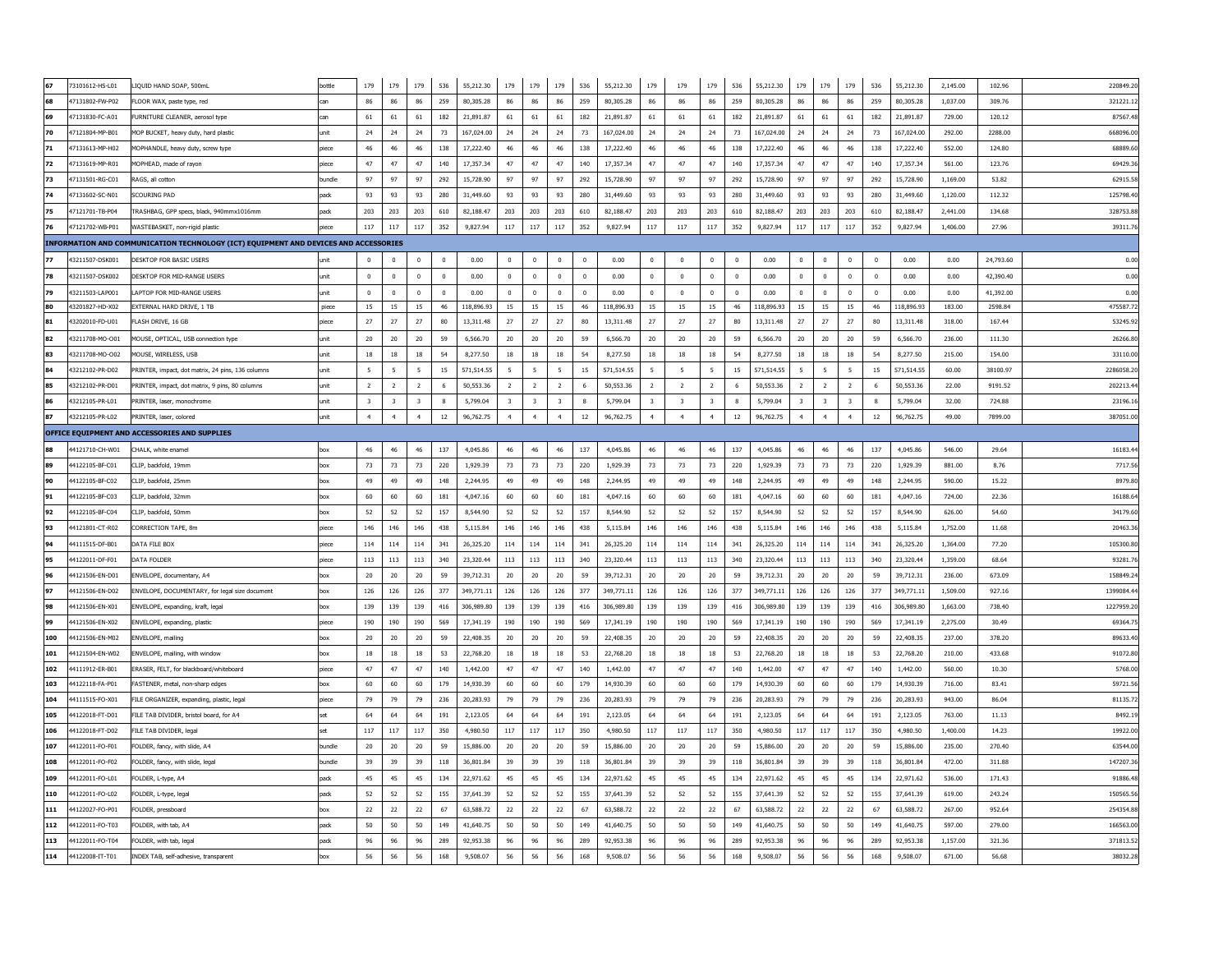|     | 73101612-HS-L01 | LIQUID HAND SOAP, 500mL                                                              | bottle | 179                     | 179                     | 179                     | 536          | 55,212.30  | 179            | 179                     | 179                     | 536            | 55,212.30  | 179                     | 179                     | 179                     | 536         | 55,212.30  | 179            | 179                     | 179                     | 536          | 55,212.30  | 2,145.00 | 102.96    | 220849.20  |
|-----|-----------------|--------------------------------------------------------------------------------------|--------|-------------------------|-------------------------|-------------------------|--------------|------------|----------------|-------------------------|-------------------------|----------------|------------|-------------------------|-------------------------|-------------------------|-------------|------------|----------------|-------------------------|-------------------------|--------------|------------|----------|-----------|------------|
|     | 47131802-FW-P02 | FLOOR WAX, paste type, red                                                           | can    | 86                      | 86                      | 86                      | 259          | 80,305.28  | 86             | 86                      | 86                      | 259            | 80,305,28  | 86                      | 86                      | 86                      | 259         | 80,305,28  | 86             | 86                      | 86                      | 259          | 80.305.28  | 1.037.00 | 309.76    | 321221.12  |
|     | 47131830-FC-A01 | FURNITURE CLEANER, aerosol type                                                      | can    | 61                      | 61                      | 61                      | 182          | 21,891.87  | 61             | 61                      | 61                      | 182            | 21,891.87  | 61                      | 61                      | 61                      | 182         | 21,891.87  | 61             | 61                      | 61                      | 182          | 21,891.87  | 729.00   | 120.12    | 87567.48   |
| 70  | 47121804-MP-B01 | MOP BUCKET, heavy duty, hard plastic                                                 | unit   | 24                      | 24                      | 24                      | 73           | 167.024.00 | 24             | 24                      | 24                      | 73             | 167,024.00 | 24                      | 24                      | 24                      | 73          | 167,024.00 | 24             | 24                      | 24                      | 73           | 167.024.00 | 292.00   | 2288.00   | 668096.00  |
|     | 47131613-MP-H02 | MOPHANDLE, heavy duty, screw type                                                    | biece  | 46                      | 46                      | 46                      | 138          | 17,222.40  | 46             | 46                      | 46                      | 138            | 17,222.40  | 46                      | 46                      | 46                      | 138         | 17,222.40  | 46             | 46                      | 46                      | 138          | 17,222.40  | 552.00   | 124.80    | 68889.60   |
| 72  | 47131619-MP-R01 | MOPHEAD, made of ravon                                                               | piece  | 47                      | 47                      | 47                      | 140          | 17,357.34  | 47             | 47                      | 47                      | 140            | 17,357.34  | 47                      | 47                      | 47                      | 140         | 17,357.34  | 47             | 47                      | 47                      | 140          | 17,357.34  | 561.00   | 123.76    | 69429.36   |
|     | 47131501-RG-C01 | RAGS, all cotton                                                                     | bundle | 97                      | 97                      | 97                      | 292          | 15,728.90  | 97             | 97                      | 97                      | 292            | 15,728.90  | 97                      | 97                      | 97                      | 292         | 15,728.90  | 97             | 97                      | 97                      | 292          | 15,728.90  | 1.169.00 | 53.82     | 62915.58   |
|     | 47131602-SC-N01 | <b>SCOURING PAD</b>                                                                  | pack   | 93                      | 93                      | 93                      | 280          | 31,449.60  | 93             | 93                      | 93                      | 280            | 31,449.60  | 93                      | 93                      | 93                      | 280         | 31,449.60  | 93             | 93                      | 93                      | 280          | 31,449.60  | 1,120,00 | 112.32    | 125798.40  |
|     | 47121701-TB-P04 | TRASHBAG, GPP specs, black, 940mmx1016mm                                             | pack   | 203                     | 203                     | 203                     | 610          | 82,188.47  | 203            | 203                     | 203                     | 610            | 82,188.47  | 203                     | 203                     | 203                     | 610         | 82,188.47  | 203            | 203                     | 203                     | 610          | 82,188.47  | 2,441.00 | 134.68    | 328753.88  |
|     | 47121702-WB-P01 | WASTEBASKET, non-rigid plastic                                                       | piece  | 117                     | 117                     | 117                     | 352          | 9,827.94   | $117\,$        | 117                     | 117                     | 352            | 9,827.94   | 117                     | 117                     | 117                     | 352         | 9,827.94   | 117            | 117                     | 117                     | 352          | 9,827.94   | 1,406.00 | 27.96     | 39311.76   |
|     |                 | INFORMATION AND COMMUNICATION TECHNOLOGY (ICT) EQUIPMENT AND DEVICES AND ACCESSORIES |        |                         |                         |                         |              |            |                |                         |                         |                |            |                         |                         |                         |             |            |                |                         |                         |              |            |          |           |            |
|     | 43211507-DSK001 | DESKTOP FOR BASIC USERS                                                              |        | $\mathbf 0$             | $\overline{\mathbf{0}}$ | $\mathbf{0}$            | $\mathbf{0}$ | 0.00       | $\mathbf{0}$   | $\mathbf 0$             | $\overline{0}$          | $\overline{0}$ | 0.00       | $\mathbf 0$             | $\mathbf 0$             | $^{\circ}$              | $\mathbf 0$ | 0.00       | $^{\circ}$     | $\mathbf 0$             | $\,0\,$                 | $\mathbf{0}$ | 0.00       | 0.00     | 24,793.60 | 0.00       |
|     | 43211507-DSK002 | DESKTOP FOR MID-RANGE USERS                                                          | unit   | $\mathbf 0$             | $\mathbf 0$             | $\pmb{0}$               | $\mathbf 0$  | 0.00       | $\mathbf 0$    | $\mathbf 0$             | $\mathbf 0$             | $\mathbf 0$    | 0.00       | $\pmb{0}$               | $\pmb{0}$               | $\mathbf 0$             | $\mathbf 0$ | 0.00       | $\mathbf 0$    | $\pmb{0}$               | $\mathbf 0$             | $\,$ 0       | 0.00       | 0.00     | 42,390.40 | 0.00       |
|     | 43211503-LAP001 | LAPTOP FOR MID-RANGE USERS                                                           | unit   | $\mathbf 0$             | $\overline{\mathbf{0}}$ | $\mathbf{0}$            | $\mathbf{0}$ | 0.00       | $\mathbf 0$    | $\bf{0}$                | $\mathbf 0$             | $\mathbf 0$    | 0.00       | $\mathbf 0$             | $\mathbf{0}$            | $^{\circ}$              | $\mathbf 0$ | 0.00       | $^{\circ}$     | $\mathbf 0$             | $\overline{0}$          | $\mathbf{0}$ | 0.00       | 0.00     | 41,392.00 | 0.00       |
|     | 43201827-HD-X02 | EXTERNAL HARD DRIVE, 1 TB                                                            | piece  | 15                      | 15                      | 15                      | 46           | 118,896.93 | 15             | 15                      | 15                      | 46             | 118,896.93 | 15                      | 15                      | 15                      | 46          | 118,896.93 | 15             | 15                      | 15                      | 46           | 118.896.93 | 183.00   | 2598.84   | 475587.72  |
|     | 43202010-FD-U01 | FLASH DRIVE, 16 GB                                                                   | piece  | 27                      | $27$                    | $27\,$                  | 80           | 13,311.48  | $27\,$         | 27                      | $27$                    | 80             | 13,311.48  | 27                      | 27                      | $27\,$                  | 80          | 13,311.48  | 27             | 27                      | $27$                    | 80           | 13,311.48  | 318.00   | 167.44    | 53245.92   |
|     | 43211708-MO-O01 | MOUSE, OPTICAL, USB connection type                                                  | unit   | 20                      | 20                      | 20                      | 59           | 6,566,70   | 20             | 20                      | 20                      | 59             | 6.566.70   | 20                      | 20                      | 20                      | 59          | 6,566,70   | 20             | 20                      | 20                      | 59           | 6,566,70   | 236.00   | 111.30    | 26266.80   |
|     | 43211708-MO-O02 | MOUSE, WIRELESS, USB                                                                 | unit   | 18                      | $18\,$                  | 18                      | 54           | 8,277.50   | 18             | $18\,$                  | 18                      | 54             | 8,277.50   | 18                      | 18                      | 18                      | 54          | 8,277.50   | 18             | $18\,$                  | $18\,$                  | 54           | 8,277.50   | 215.00   | 154.00    | 33110.00   |
|     | 43212102-PR-D02 | PRINTER, impact, dot matrix, 24 pins, 136 columns                                    | unit   | 5                       | 5                       | 5                       | 15           | 571,514.55 | 5              | 5                       | 5                       | 15             | 571.514.55 | 5                       | 5                       | 5                       | 15          | 571,514.55 | -5             | 5                       | 5                       | 15           | 571.514.55 | 60.00    | 38100.97  | 2286058.20 |
|     | 43212102-PR-D01 | PRINTER, impact, dot matrix, 9 pins, 80 columns                                      | unit   | $\overline{2}$          | $\overline{2}$          | <sup>2</sup>            | 6            | 50,553.36  | $\overline{2}$ | $\overline{2}$          | $\overline{2}$          | 6              | 50,553.36  | $\overline{2}$          | $\overline{2}$          | $\overline{2}$          | 6           | 50,553.36  | $\overline{2}$ | $\overline{2}$          | $\overline{2}$          | 6            | 50,553.36  | 22.00    | 9191.52   | 202213.4   |
|     | 43212105-PR-L01 | PRINTER, laser, monochrome                                                           | unit   | $\overline{\mathbf{3}}$ | $\overline{\mathbf{3}}$ | $\overline{\mathbf{3}}$ | -8           | 5,799.04   | 3              | $\overline{\mathbf{3}}$ | $\overline{\mathbf{3}}$ | $\mathbf{8}$   | 5.799.04   | $\overline{\mathbf{3}}$ | $\overline{\mathbf{3}}$ | $\overline{\mathbf{3}}$ | 8           | 5.799.04   | $\overline{3}$ | $\overline{\mathbf{3}}$ | $\overline{\mathbf{3}}$ | $\mathbf{g}$ | 5.799.04   | 32.00    | 724.88    | 23196.16   |
|     | 43212105-PR-L02 | PRINTER, laser, colored                                                              | unit   | $\ddot{4}$              | $\overline{4}$          | $\overline{4}$          | $12\,$       | 96,762.75  | $\overline{4}$ | $\overline{4}$          | $\overline{a}$          | 12             | 96,762.75  | $\overline{a}$          | $\overline{4}$          | $\overline{4}$          | $12\,$      | 96,762.75  | $\overline{4}$ | $\overline{4}$          | $\overline{4}$          | $12\,$       | 96,762.75  | 49.00    | 7899.00   | 387051.00  |
|     |                 | OFFICE EQUIPMENT AND ACCESSORIES AND SUPPLIES                                        |        |                         |                         |                         |              |            |                |                         |                         |                |            |                         |                         |                         |             |            |                |                         |                         |              |            |          |           |            |
|     |                 |                                                                                      |        |                         |                         |                         |              |            |                |                         |                         |                |            |                         |                         |                         |             |            |                |                         |                         |              |            |          |           |            |
|     | 44121710-CH-W01 | CHALK, white ename                                                                   | box    | 46                      | 46                      | 46                      | 137          | 4.045.86   | 46             | 46                      | 46                      | 137            | 4.045.86   | 46                      | 46                      | 46                      | 137         | 4.045.86   | 46             | $46\,$                  | 46                      | 137          | 4,045.86   | 546.00   | 29.64     | 16183.4    |
|     | 44122105-BF-C01 | CLIP, backfold, 19mm                                                                 | box    | 73                      | 73                      | 73                      | 220          | 1,929.39   | 73             | 73                      | 73                      | 220            | 1.929.39   | 73                      | 73                      | 73                      | 220         | 1,929.39   | 73             | 73                      | 73                      | 220          | 1.929.39   | 881.00   | 8.76      | 7717.5     |
|     | 44122105-BE-C02 | CLIP, backfold, 25mm                                                                 | hox    | 49                      | 49                      | 49                      | 148          | 2.244.95   | 49             | 49                      | 49                      | 148            | 2.244.95   | 49                      | 49                      | 49                      | 148         | 2.244.95   | 49             | 49                      | 49                      | 148          | 2.244.95   | 590.00   | 15.22     | 8979.80    |
|     | 44122105-BE-C03 | CLIP, backfold, 32mm                                                                 | hox    | 60                      | 60                      | 60                      | 181          | 4.047.16   | 60             | 60                      | 60                      | 181            | 4.047.16   | 60                      | 60                      | 60                      | 181         | 4.047.16   | 60             | 60                      | 60                      | 181          | 4.047.16   | 724.00   | 22.36     | 16188.64   |
|     | 44122105-BF-C04 | CLIP, backfold, 50mm                                                                 | box    | 52                      | 52                      | 52                      | 157          | 8,544.90   | 52             | 52                      | 52                      | 157            | 8,544.90   | 52                      | 52                      | 52                      | 157         | 8,544.90   | 52             | 52                      | 52                      | 157          | 8,544.90   | 626.00   | 54.60     | 34179.60   |
|     | 44121801-CT-R02 | CORRECTION TAPE, 8m                                                                  | piece  | 146                     | 146                     | 146                     | 438          | 5,115.84   | 146            | 146                     | 146                     | 438            | 5,115.84   | 146                     | 146                     | 146                     | 438         | 5,115.84   | 146            | 146                     | 146                     | 438          | 5,115.84   | 1,752.00 | 11.68     | 20463.36   |
|     | 44111515-DF-B01 | DATA FILE BOX                                                                        | piece  | 114                     | 114                     | 114                     | 341          | 26,325.20  | 114            | 114                     | 114                     | 341            | 26,325.20  | 114                     | 114                     | 114                     | 341         | 26,325.20  | 114            | 114                     | 114                     | 341          | 26,325.20  | 1,364.00 | 77.20     | 105300.80  |
|     | 44122011-DF-F01 | <b>DATA FOLDER</b>                                                                   | piece  | 113                     | 113                     | 113                     | 340          | 23,320.44  | 113            | 113                     | 113                     | 340            | 23,320.44  | 113                     | 113                     | 113                     | 340         | 23,320.44  | 113            | 113                     | 113                     | 340          | 23,320.44  | 1,359.00 | 68.64     | 93281.7    |
|     | 44121506-EN-D01 | ENVELOPE, documentary, A4                                                            | box    | 20                      | 20                      | 20                      | 59           | 39,712.31  | 20             | 20                      | 20                      | 59             | 39.712.31  | 20                      | 20                      | 20                      | 59          | 39,712.31  | 20             | 20                      | 20                      | 59           | 39.712.31  | 236.00   | 673.09    | 158849.2   |
|     | 44121506-EN-D02 | ENVELOPE, DOCUMENTARY, for legal size document                                       | XOC    | 126                     | 126                     | 126                     | 377          | 349,771.11 | 126            | 126                     | $126\,$                 | 377            | 349,771.11 | 126                     | 126                     | 126                     | 377         | 349.771.11 | 126            | 126                     | 126                     | 377          | 349.771.11 | 1,509.00 | 927.16    | 1399084.4  |
|     | 44121506-EN-X01 | ENVELOPE, expanding, kraft, legal                                                    | box    | 139                     | 139                     | 139                     | 416          | 306,989.80 | 139            | 139                     | 139                     | 416            | 306,989.80 | 139                     | 139                     | 139                     | 416         | 306.989.80 | 139            | 139                     | 139                     | 416          | 306,989.80 | 1.663.00 | 738.40    | 1227959.20 |
|     | 44121506-EN-X02 | ENVELOPE, expanding, plastic                                                         | viece  | 190                     | 190                     | 190                     | 569          | 17,341.19  | 190            | 190                     | 190                     | 569            | 17,341.19  | 190                     | 190                     | 190                     | 569         | 17,341.19  | 190            | 190                     | 190                     | 569          | 17,341.19  | 2,275.00 | 30.49     | 69364.     |
| 100 | 44121506-EN-M02 | ENVELOPE, mailing                                                                    | box    | 20                      | 20                      | $20\,$                  | 59           | 22,408.35  | 20             | 20                      | 20                      | 59             | 22,408.35  | 20                      | 20                      | $20\,$                  | 59          | 22,408.35  | $20\,$         | 20                      | 20                      | 59           | 22,408.35  | 237.00   | 378.20    | 89633.     |
| 101 | 44121504-EN-W02 | ENVELOPE, mailing, with window                                                       | box    | 18                      | 18                      | 18                      | 53           | 22,768.20  | 18             | 18                      | 18                      | 53             | 22,768.20  | 18                      | 18                      | 18                      | 53          | 22,768.20  | 18             | 18                      | 18                      | 53           | 22,768.20  | 210.00   | 433.68    | 91072.8    |
| 102 | 44111912-ER-B01 | ERASER, FELT, for blackboard/whiteboard                                              | piece  | 47                      | 47                      | 47                      | 140          | 1,442.00   | 47             | 47                      | 47                      | 140            | 1,442.00   | 47                      | 47                      | 47                      | 140         | 1,442,00   | 47             | 47                      | 47                      | 140          | 1,442.00   | 560.00   | 10.30     | 5768.0     |
| 103 | 44122118-FA-P01 | FASTENER, metal, non-sharp edges                                                     | hox    | 60                      | 60                      | 60                      | 179          | 14,930.39  | 60             | 60                      | 60                      | 179            | 14.930.39  | 60                      | 60                      | 60                      | 179         | 14,930.39  | 60             | 60                      | 60                      | 179          | 14,930.39  | 716.00   | 83.41     | 59721.5    |
| 104 | 44111515-FO-X01 | FILE ORGANIZER, expanding, plastic, legal                                            | piece  | 79                      | 79                      | 79                      | 236          | 20,283.93  | 79             | 79                      | 79                      | 236            | 20,283.93  | 79                      | 79                      | 79                      | 236         | 20,283.93  | 79             | 79                      | 79                      | 236          | 20,283.93  | 943.00   | 86.04     | 81135.7    |
| 105 | 44122018-FT-D01 | FILE TAB DIVIDER, bristol board, for A4                                              | set    | 64                      | 64                      | 64                      | 191          | 2,123.05   | 64             | 64                      | 64                      | 191            | 2.123.05   | 64                      | 64                      | 64                      | 191         | 2.123.05   | 64             | 64                      | 64                      | 191          | 2.123.05   | 763.00   | 11.13     | 8492.1     |
| 106 | 44122018-FT-D02 | FILE TAB DIVIDER, legal                                                              | set    | 117                     | 117                     | 117                     | 350          | 4.980.50   | 117            | 117                     | 117                     | 350            | 4.980.50   | 117                     | 117                     | 117                     | 350         | 4,980.50   | 117            | 117                     | 117                     | 350          | 4.980.50   | 1,400.00 | 14.23     | 19922.00   |
| 107 | 44122011-FO-F01 | FOLDER, fancy, with slide, A4                                                        | oundle | 20                      | 20                      | 20                      | 59           | 15,886.00  | 20             | 20                      | 20                      | 59             | 15,886.00  | 20                      | 20                      | 20                      | 59          | 15,886.00  | 20             | 20                      | 20                      | 59           | 15,886.00  | 235.00   | 270.40    | 63544.00   |
| 108 | 44122011-FO-F02 | FOLDER, fancy, with slide, legal                                                     | bundle | 39                      | 39                      | 39                      | 118          | 36,801.84  | 39             | 39                      | 39                      | 118            | 36,801.84  | 39                      | 39                      | 39                      | 118         | 36,801.84  | 39             | 39                      | 39                      | 118          | 36,801.84  | 472.00   | 311.88    | 147207.3   |
| 109 | 44122011-FO-L01 | FOLDER, L-type, A4                                                                   | pack   | 45                      | 45                      | 45                      | 134          | 22,971.62  | 45             | 45                      | 45                      | 134            | 22,971.62  | 45                      | 45                      | 45                      | 134         | 22,971.62  | 45             | 45                      | 45                      | 134          | 22,971.62  | 536.00   | 171.43    | 91886.48   |
| 110 | 44122011-FO-L02 | FOLDER, L-type, legal                                                                | pack   | 52                      | 52                      | 52                      | 155          | 37,641.39  | 52             | 52                      | 52                      | 155            | 37,641.39  | 52                      | 52                      | 52                      | 155         | 37,641.39  | 52             | 52                      | 52                      | 155          | 37,641.39  | 619.00   | 243.24    | 150565.56  |
| 111 | 44122027-FO-P01 | FOLDER, pressboard                                                                   | box    | 22                      | 22                      | 22                      | 67           | 63,588.72  | 22             | 22                      | 22                      | 67             | 63,588.72  | 22                      | 22                      | 22                      | 67          | 63,588.72  | 22             | 22                      | 22                      | 67           | 63,588.72  | 267.00   | 952.64    | 254354.88  |
| 112 | 44122011-FO-T03 | FOLDER, with tab, A4                                                                 | pack   | 50                      | 50                      | 50                      | 149          | 41,640.75  | 50             | 50                      | 50                      | 149            | 41,640.75  | 50                      | 50                      | 50                      | 149         | 41,640.75  | 50             | 50                      | 50                      | 149          | 41,640.75  | 597.00   | 279.00    | 166563.00  |
| 113 | 44122011-FO-T04 | FOLDER, with tab, legal                                                              | pack   | 96                      | 96                      | 96                      | 289          | 92.953.38  | 96             | 96                      | 96                      | 289            | 92,953.38  | 96                      | 96                      | 96                      | 289         | 92.953.38  | 96             | 96                      | 96                      | 289          | 92,953.38  | 1.157.00 | 321.36    | 371813.52  |
| 114 | 44122008-IT-T01 | INDEX TAB, self-adhesive, transparent                                                | box    | 56                      | 56                      | 56                      | 168          | 9.508.07   | 56             | 56                      | 56                      | 168            | 9,508.07   | 56                      | 56                      | 56                      | 168         | 9,508.07   | 56             | 56                      | 56                      | 168          | 9,508.07   | 671.00   | 56.68     | 38032.28   |
|     |                 |                                                                                      |        |                         |                         |                         |              |            |                |                         |                         |                |            |                         |                         |                         |             |            |                |                         |                         |              |            |          |           |            |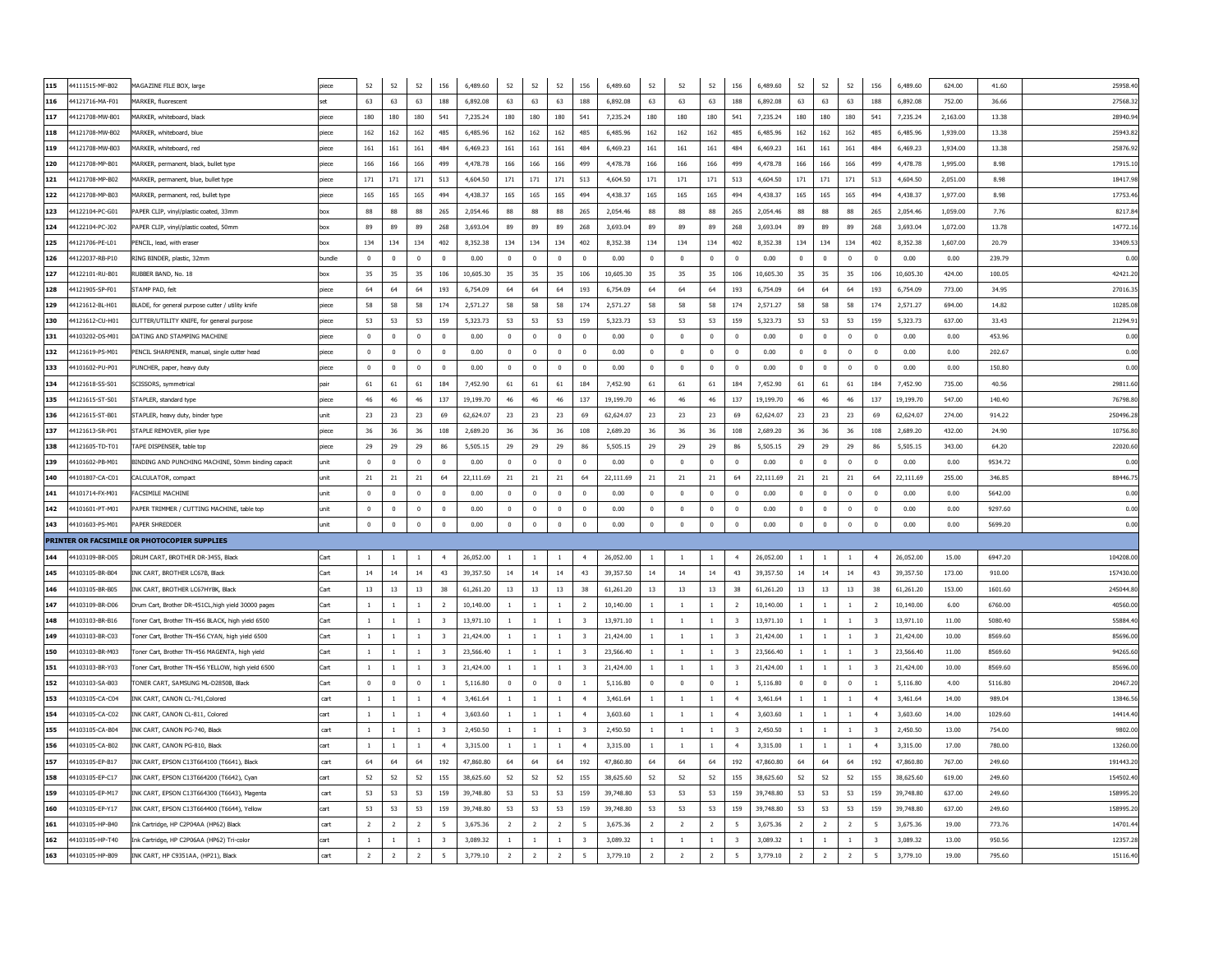| 115 | 44111515-MF-B02 | MAGAZINE FILE BOX, large                           | piece  | 52             | 52             | 52             | 156                     | 6,489.60  | 52             | 52             | 52             | 156                     | 6,489.60  | 52             | $52\,$         | 52             | 156                      | 6,489.60  | 52             | 52             | 52             | 156                     | 6,489.60  | 624.00   | 41.60   | 25958.40  |
|-----|-----------------|----------------------------------------------------|--------|----------------|----------------|----------------|-------------------------|-----------|----------------|----------------|----------------|-------------------------|-----------|----------------|----------------|----------------|--------------------------|-----------|----------------|----------------|----------------|-------------------------|-----------|----------|---------|-----------|
| 116 | 4121716-MA-F01  | MARKER, fluorescent                                |        | 63             | 63             | 63             | 188                     | 6.892.08  | 63             | 63             | 63             | 188                     | 6.892.08  | 63             | 63             | 63             | 188                      | 6.892.08  | 63             | 63             | 63             | 188                     | 6.892.08  | 752.00   | 36.66   | 27568.33  |
| 117 | 4121708-MW-B01  | MARKER, whitehoard, black                          | niece  | 180            | 180            | 180            | 541                     | 7.235.24  | 180            | 180            | 180            | 541                     | 7.235.24  | 180            | 180            | 180            | 541                      | 7.235.24  | 180            | 180            | 180            | 541                     | 7.235.24  | 2.163.00 | 13.38   | 28940.94  |
| 118 | 4121708-MW-B02  | MARKER, whiteboard, blue                           | piece  | 162            | 162            | 162            | 485                     | 6,485.96  | 162            | 162            | 162            | 485                     | 6.485.96  | 162            | 162            | 162            | 485                      | 6,485.96  | 162            | 162            | 162            | 485                     | 6,485.96  | 1,939.00 | 13.38   | 25943.82  |
| 119 | 4121708-MW-B03  | MARKER, whiteboard, red                            | piece  | 161            | 161            | 161            | 484                     | 6,469.23  | 161            | 161            | 161            | 484                     | 6.469.23  | 161            | 161            | 161            | 484                      | 6,469.23  | 161            | 161            | 161            | 484                     | 6.469.23  | 1.934.00 | 13.38   | 25876.92  |
| 120 | 4121708-MP-B01  | MARKER, permanent, black, bullet type              | oiece  | 166            | 166            | 166            | 499                     | 4,478.78  | 166            | 166            | 166            | 499                     | 4,478.78  | 166            | 166            | 166            | 499                      | 4,478.78  | 166            | 166            | 166            | 499                     | 4,478.78  | 1,995.00 | 8.98    | 17915.10  |
| 121 | 4121708-MP-B02  | AARKER, permanent, blue, bullet type               | piece  | 171            | 171            | 171            | 513                     | 4,604.50  | 171            | 171            | 171            | 513                     | 4,604.50  | 171            | 171            | 171            | 513                      | 4,604.50  | 171            | 171            | 171            | 513                     | 4,604.50  | 2,051.00 | 8.98    | 18417.98  |
| 122 | 4121708-MP-B03  | AARKER, permanent, red, bullet type                | piece  | 165            | 165            | 165            | 494                     | 4,438.37  | 165            | 165            | 165            | 494                     | 4,438.37  | 165            | 165            | 165            | 494                      | 4,438.37  | 165            | 165            | 165            | 494                     | 4,438.37  | 1,977.00 | 8.98    | 17753.46  |
| 123 | 4122104-PC-G01  | APER CLIP, vinyl/plastic coated, 33mm              | ЮX     | 88             | 88             | 88             | 265                     | 2.054.46  | 88             | 88             | 88             | 265                     | 2,054.46  | 88             | 88             | 88             | 265                      | 2,054.46  | 88             | 88             | 88             | 265                     | 2,054.46  | 1,059.00 | 7.76    | 8217.8    |
| 124 | 4122104-PC-J02  | APER CLIP, vinyl/plastic coated, 50mm              | XOC    | 89             | 89             | 89             | 268                     | 3.693.04  | 89             | 89             | 89             | 268                     | 3,693.04  | 89             | 89             | 89             | 268                      | 3.693.04  | 89             | 89             | 89             | 268                     | 3,693,04  | 1,072.00 | 13.78   | 14772.1   |
| 125 | 4121706-PE-L01  | PENCIL, lead, with eraser                          |        | 134            | 134            | 134            | 402                     | 8,352.38  | 134            | 134            | 134            | 402                     | 8.352.38  | 134            | 134            | 134            | 402                      | 8.352.38  | 134            | 134            | 134            | 402                     | 8.352.38  | 1,607.00 | 20.79   | 33409.5   |
| 126 | 4122037-RB-P10  | RING BINDER, plastic, 32mm                         | oundle | $\bf{0}$       | $\mathbf{0}$   | $\mathbf 0$    | $\bf{0}$                | 0.00      | $\mathbf 0$    | $\mathbf 0$    | $\mathbf{0}$   | $\mathbf 0$             | 0.00      | $\mathbf 0$    | $\mathbf 0$    | $\mathbf 0$    | $\mathbf 0$              | 0.00      | $\mathbf 0$    | $\mathbf 0$    | $\mathbf 0$    | $\mathbf{0}$            | 0.00      | 0.00     | 239.79  | 0.00      |
| 127 | 4122101-RU-B01  | RUBBER BAND, No. 18                                |        | 35             | 35             | 35             | 106                     | 10.605.30 | 35             | 35             | 35             | 106                     | 10,605.30 | 35             | 35             | 35             | 106                      | 10.605.30 | 35             | 35             | 35             | 106                     | 10.605.30 | 424.00   | 100.05  | 42421.20  |
| 128 | 4121905-SP-F01  | STAMP PAD, felt                                    | ieco   | 64             | 64             | 64             | 193                     | 6,754.09  | 64             | 64             | 64             | 193                     | 6,754.09  | 64             | 64             | 64             | 193                      | 6.754.09  | 64             | 64             | 64             | 193                     | 6.754.09  | 773.00   | 34.95   | 27016.3   |
| 129 | 4121612-BL-H01  | BLADE, for general purpose cutter / utility knife  |        | 58             | 58             | 58             | 174                     | 2.571.27  | 58             | 58             | 58             | 174                     | 2.571.27  | 58             | 58             | 58             | 174                      | 2.571.27  | 58             | 58             | 58             | 174                     | 2,571.27  | 694.00   | 14.82   | 10285.0   |
| 130 | 4121612-CU-H01  | CUTTER/UTILITY KNIFE, for general purpose          | iece   | 53             | 53             | 53             | 159                     | 5.323.73  | 53             | 53             | 53             | 159                     | 5.323.73  | 53             | 53             | 53             | 159                      | 5.323.73  | 53             | 53             | 53             | 159                     | 5.323.73  | 637.00   | 33.43   | 21294.9   |
| 131 | 4103202-DS-M01  | DATING AND STAMPING MACHINE                        |        | $\Omega$       | $\Omega$       | $\Omega$       | $\sqrt{ }$              | 0.00      | $\Omega$       | $\mathbf 0$    | $\sqrt{ }$     | $\Omega$                | 0.00      | $\Omega$       | $\Omega$       | $\Omega$       | $\Omega$                 | 0.00      | $\Omega$       | $\Omega$       | $\Omega$       | $\mathbf 0$             | 0.00      | 0.00     | 453.96  | 0.00      |
| 132 | 4121619-PS-M01  | PENCIL SHARPENER, manual, single cutter head       | biece  | $\mathbf 0$    | $\Omega$       | $\mathbf{0}$   | $\mathbf{0}$            | 0.00      | $\mathbf 0$    | $\mathbf 0$    | $\Omega$       | $\mathbf 0$             | 0.00      | $\overline{0}$ | $\mathbf 0$    | $\mathbf 0$    | $\overline{0}$           | 0.00      | $\mathbf{0}$   | $\mathbf 0$    | $\overline{0}$ | $\mathbf 0$             | 0.00      | 0.00     | 202.67  | 0.00      |
| 133 | 4101602-PU-P01  | PUNCHER, paper, heavy duty                         | iece   | $\Omega$       | $\Omega$       | $\Omega$       | $\Omega$                | 0.00      | $\mathbf{0}$   | $\overline{0}$ | $\Omega$       | $\mathbf{0}$            | 0.00      | $\Omega$       | $^{\circ}$     | $\mathbf{0}$   | $\overline{0}$           | 0.00      | $\Omega$       | $\overline{0}$ | $\overline{0}$ | $\pmb{0}$               | 0.00      | 0.00     | 150.80  | 0.00      |
| 134 | 4121618-SS-S01  | SCISSORS, symmetrical                              |        | 61             | 61             | 61             | 184                     | 7,452.90  | 61             | 61             | 61             | 184                     | 7,452.90  | 61             | 61             | 61             | 184                      | 7,452.90  | 61             | 61             | 61             | 184                     | 7,452.90  | 735.00   | 40.56   | 29811.6   |
| 135 | 4121615-ST-S01  | STAPLER, standard type                             | iece   | 46             | 46             | 46             | 137                     | 19,199.70 | 46             | 46             | 46             | 137                     | 19,199.70 | 46             | 46             | 46             | 137                      | 19,199.70 | 46             | 46             | 46             | 137                     | 19,199.70 | 547.00   | 140.40  | 76798.8   |
| 136 | 4121615-ST-B01  | STAPLER, heavy duty, binder type                   | ınit   | 23             | 23             | 23             | 69                      | 62.624.07 | 23             | 23             | 23             | 69                      | 62.624.07 | 23             | 23             | 23             | 69                       | 62.624.07 | 23             | 23             | 23             | 69                      | 62.624.07 | 274.00   | 914.22  | 250496.2  |
| 137 | 4121613-SR-P01  | STAPLE REMOVER, plier type                         | iece   | 36             | 36             | 36             | 108                     | 2.689.20  | 36             | 36             | 36             | 108                     | 2.689.20  | 36             | 36             | 36             | 108                      | 2.689.20  | 36             | 36             | 36             | 108                     | 2.689.20  | 432.00   | 24.90   | 10756.80  |
| 138 | 4121605-TD-T01  | TAPE DISPENSER, table top                          | piece  | 29             | 29             | 29             | 86                      | 5,505.15  | 29             | 29             | 29             | 86                      | 5.505.15  | 29             | 29             | 29             | 86                       | 5.505.15  | 29             | 29             | 29             | 86                      | 5.505.15  | 343.00   | 64.20   | 22020.6   |
| 139 | 4101602-PB-M01  | BINDING AND PUNCHING MACHINE, 50mm binding capacit | unit   | $\Omega$       | $\Omega$       | $\Omega$       | $\Omega$                | 0.00      | $\mathbf{0}$   | $\overline{0}$ | $\Omega$       | $\Omega$                | 0.00      | $\Omega$       | $\Omega$       | $\mathbf 0$    | $\Omega$                 | 0.00      | $\Omega$       | $\Omega$       | $\Omega$       | $\Omega$                | 0.00      | 0.00     | 9534.72 | 0.00      |
|     |                 |                                                    |        |                |                |                |                         |           |                |                |                |                         |           |                |                |                |                          |           |                |                |                |                         |           |          |         |           |
| 140 | 4101807-CA-C01  | CALCULATOR, compact                                | unit   | 21             | 21             | 21             | 64                      | 22.111.69 | 21             | 21             | 21             | 64                      | 22.111.69 | 21             | 21             | 21             | 64                       | 22.111.69 | 21             | 21             | 21             | 64                      | 22.111.69 | 255.00   | 346.85  | 88446.7   |
| 141 | 4101714-FX-M01  | <b>FACSIMILE MACHINE</b>                           | unit   | $\Omega$       | $\Omega$       | $\Omega$       | $\Omega$                | 0.00      | $\Omega$       | $\overline{0}$ | $\Omega$       | $\Omega$                | 0.00      | $\Omega$       | $\Omega$       | $\Omega$       | $\Omega$                 | 0.00      | $\Omega$       | $\Omega$       | $\Omega$       | $\Omega$                | 0.00      | 0.00     | 5642.00 | 0.00      |
| 142 | 4101601-PT-M01  | PAPER TRIMMER / CUTTING MACHINE, table top         | unit   | $\Omega$       | $\Omega$       | $\mathbf{0}$   | $\Omega$                | 0.00      | $\mathbf 0$    | $\overline{0}$ | $\Omega$       | $\Omega$                | 0.00      | $\overline{0}$ | $\Omega$       | $\mathbf 0$    | $\Omega$                 | 0.00      | $\Omega$       | $\overline{0}$ | $\overline{0}$ | $\Omega$                | 0.00      | 0.00     | 9297.60 | 0.00      |
| 143 | 44101603-PS-M01 | PAPER SHREDDER                                     | unit   | $\Omega$       | $\theta$       | $\mathbf 0$    | $\theta$                | 0.00      | $\mathbf 0$    | $\mathbf 0$    | $\Omega$       | $\Omega$                | 0.00      | $\mathbf 0$    | $\Omega$       | $\mathbf 0$    | $\Omega$                 | 0.00      | $\mathbf 0$    | $\mathbf 0$    | $\Omega$       | $\theta$                | 0.00      | 0.00     | 5699.20 | 0.00      |
|     |                 | PRINTER OR FACSIMILE OR PHOTOCOPIER SUPPLIES       |        |                |                |                |                         |           |                |                |                |                         |           |                |                |                |                          |           |                |                |                |                         |           |          |         |           |
| 144 | 4103109-BR-D05  | DRUM CART, BROTHER DR-3455, Black                  | Cart   | $\overline{1}$ | $\overline{1}$ | $\overline{1}$ | $\overline{4}$          | 26.052.00 | $\mathbf{1}$   | <sup>1</sup>   | $\overline{1}$ | $\sim$                  | 26,052,00 | $\overline{1}$ | <sup>1</sup>   | <sup>1</sup>   | $\overline{4}$           | 26,052.00 | $\mathbf{1}$   | $\overline{1}$ | $\overline{1}$ | $\overline{4}$          | 26,052.00 | 15.00    | 6947.20 | 104208.0  |
| 145 | 44103105-BR-B04 | INK CART, BROTHER LC67B, Black                     | Cart   | 14             | 14             | 14             | 43                      | 39,357.50 | 14             | 14             | 14             | 43                      | 39,357.50 | 14             | 14             | 14             | 43                       | 39,357.50 | 14             | 14             | 14             | 43                      | 39,357.50 | 173.00   | 910.00  | 157430.0  |
| 146 | 4103105-BR-B05  | INK CART, BROTHER LC67HYBK, Black                  | Cart   | 13             | 13             | 13             | 38                      | 61.261.20 | 13             | 13             | 13             | 38                      | 61,261.20 | 13             | 13             | 13             | 38                       | 61,261,20 | 13             | 13             | 13             | 38                      | 61,261.20 | 153.00   | 1601.60 | 245044.8  |
| 147 | 4103109-BR-D06  | Drum Cart, Brother DR-451CL,high yield 30000 pages | Cart   | $\overline{1}$ | $\overline{1}$ | $\overline{1}$ | $\overline{2}$          | 10.140.00 | $\mathbf{1}$   | $\overline{1}$ | $\overline{1}$ | $\overline{2}$          | 10,140,00 | $\overline{1}$ | $\overline{1}$ | $\overline{1}$ | $\overline{2}$           | 10,140.00 | $\mathbf{1}$   | $\overline{1}$ | $\overline{1}$ | $\overline{2}$          | 10.140.00 | 6.00     | 6760.00 | 40560.0   |
| 148 | 4103103-BR-B16  | Toner Cart, Brother TN-456 BLACK, high yield 6500  | Cart   | $\overline{1}$ | $\overline{1}$ | $\overline{1}$ | $\overline{\mathbf{3}}$ | 13.971.10 | $\mathbf{1}$   | $\overline{1}$ | $\overline{1}$ | $\overline{3}$          | 13,971.10 | $\mathbf{1}$   | $\mathbf{1}$   | $\mathbf{1}$   | $\overline{\mathbf{3}}$  | 13.971.10 |                | $\overline{1}$ | $\mathbf{1}$   | $\overline{3}$          | 13,971.10 | 11.00    | 5080.40 | 55884.4   |
| 149 | 4103103-BR-C03  | Toner Cart, Brother TN-456 CYAN, high vield 6500   | Cart   | $\overline{1}$ | $\overline{1}$ | $\overline{1}$ | $\overline{3}$          | 21,424.00 | $\mathbf{1}$   | <sup>1</sup>   | $\overline{1}$ | 3                       | 21,424.00 | $\overline{1}$ | $\mathbf{1}$   | $\mathbf{1}$   | $\overline{\mathbf{3}}$  | 21,424.00 | $\mathbf{1}$   | <sup>1</sup>   | $\overline{1}$ | $\overline{3}$          | 21.424.00 | 10.00    | 8569.60 | 85696.00  |
| 150 | 4103103-BR-M03  | oner Cart, Brother TN-456 MAGENTA, high vield      | Cart   | $\overline{1}$ | $\overline{1}$ | $\overline{1}$ | $\overline{\mathbf{3}}$ | 23,566.40 | $\mathbf{1}$   | $\overline{1}$ | $\overline{1}$ | 3                       | 23,566.40 | $\overline{1}$ | $\overline{1}$ | $\overline{1}$ | $\overline{\mathbf{3}}$  | 23,566,40 | $\mathbf{1}$   | $\overline{1}$ | $\overline{1}$ | $\overline{3}$          | 23,566,40 | 11.00    | 8569.60 | 94265.60  |
| 151 | 4103103-BR-Y03  | Toner Cart, Brother TN-456 YELLOW, high vield 6500 | Cart   | $\overline{1}$ | $\overline{1}$ | $\overline{1}$ | $\overline{3}$          | 21,424.00 | $\mathbf{1}$   | <sup>1</sup>   | $\overline{1}$ | 3                       | 21,424.00 | $\overline{1}$ | $\overline{1}$ | $\mathbf{1}$   | $\overline{\mathbf{3}}$  | 21,424.00 | $\mathbf{1}$   | <sup>1</sup>   | $\mathbf{1}$   | $\overline{\mathbf{3}}$ | 21.424.00 | 10.00    | 8569.60 | 85696.00  |
| 152 | 4103103-SA-B03  | ONER CART, SAMSUNG ML-D2850B, Black                | Cart   | $\Omega$       | $\Omega$       | $\Omega$       | $\overline{1}$          | 5,116.80  | $\Omega$       | $\Omega$       | $\Omega$       | $\overline{1}$          | 5,116,80  | $\Omega$       | $\Omega$       | $\Omega$       | $\overline{1}$           | 5,116,80  | $\Omega$       | $\Omega$       | $\Omega$       | $\overline{1}$          | 5.116.80  | 4.00     | 5116.80 | 20467.20  |
| 153 | 4103105-CA-C04  | INK CART, CANON CL-741, Colored                    | cart   | $\overline{1}$ | $\overline{1}$ | $\overline{1}$ | $\overline{4}$          | 3,461.64  | $\mathbf{1}$   | $\overline{1}$ | $\overline{1}$ | $\overline{a}$          | 3,461.64  | $\overline{1}$ | $\mathbf{1}$   | $\,$ 1         | $\overline{4}$           | 3,461.64  | $\mathbf{1}$   | $\overline{1}$ | $\overline{1}$ | $\overline{4}$          | 3,461.64  | 14.00    | 989.04  | 13846.5   |
| 154 | 4103105-CA-C02  | INK CART, CANON CL-811, Colored                    | cart   | <sup>1</sup>   | <sup>1</sup>   | <sup>1</sup>   | $\overline{4}$          | 3.603.60  | $\mathbf{1}$   | -1             | -1             | $\overline{4}$          | 3,603.60  | 1              | 1              | $\mathbf{1}$   | $\overline{4}$           | 3,603.60  | 1              | <sup>1</sup>   | $\mathbf{1}$   | $\overline{4}$          | 3,603.60  | 14.00    | 1029.60 | 14414.4   |
| 155 | 4103105-CA-B04  | INK CART, CANON PG-740, Black                      | cart   | <sup>1</sup>   | <sup>1</sup>   | <sup>1</sup>   | $\overline{\mathbf{3}}$ | 2,450.50  | $\mathbf{1}$   | <sup>1</sup>   | <sup>1</sup>   | $\overline{\mathbf{3}}$ | 2,450.50  | 1              | 1              | $\overline{1}$ | $\overline{\mathbf{3}}$  | 2,450.50  | 1              | <sup>1</sup>   | 1              | $\overline{\mathbf{3}}$ | 2,450.50  | 13.00    | 754.00  | 9802.00   |
| 156 | 4103105-CA-B02  | INK CART, CANON PG-810, Black                      | cart   |                |                | $\overline{1}$ |                         | 3,315.00  | $\mathbf{1}$   | $\overline{1}$ | $\mathbf{1}$   |                         | 3,315.00  | $\mathbf{1}$   | $\mathbf{1}$   | $\mathbf{1}$   | $\ddot{4}$               | 3,315.00  |                | $\overline{1}$ | $\mathbf{1}$   | $\overline{4}$          | 3,315.00  | 17.00    | 780.00  | 13260.00  |
| 157 | 4103105-EP-B17  | INK CART, EPSON C13T664100 (T6641), Black          | cart   | 64             | 64             | 64             | 192                     | 47,860.80 | 64             | 64             | 64             | 192                     | 47,860.80 | 64             | 64             | 64             | 192                      | 47,860.80 | 64             | 64             | 64             | 192                     | 47,860.80 | 767.00   | 249.60  | 191443.20 |
| 158 | 4103105-EP-C17  | INK CART, EPSON C13T664200 (T6642), Cyan           |        | 52             | 52             | 52             | 155                     | 38,625.60 | 52             | 52             | 52             | 155                     | 38,625.60 | 52             | 52             | 52             | 155                      | 38,625.60 | 52             | 52             | 52             | 155                     | 38,625.60 | 619.00   | 249.60  | 154502.40 |
| 159 | 4103105-EP-M17  | INK CART, EPSON C13T664300 (T6643), Magenta        | cart   | 53             | 53             | 53             | 159                     | 39,748.80 | 53             | 53             | 53             | 159                     | 39,748.80 | 53             | 53             | 53             | 159                      | 39,748.80 | 53             | 53             | 53             | 159                     | 39,748.80 | 637.00   | 249.60  | 158995.2  |
| 160 | 4103105-EP-Y17  | INK CART, EPSON C13T664400 (T6644), Yellow         |        | 53             | 53             | 53             | 159                     | 39,748.80 | 53             | 53             | 53             | 159                     | 39,748.80 | 53             | 53             | 53             | 159                      | 39,748.80 | 53             | 53             | 53             | 159                     | 39,748.80 | 637.00   | 249.60  | 158995.2  |
| 161 | 4103105-HP-B40  | Ink Cartridge, HP C2P04AA (HP62) Black             | cart   | $\overline{2}$ | $\overline{2}$ | <sup>2</sup>   | 5                       | 3.675.36  | 2              | $\overline{2}$ | $\overline{z}$ | -5                      | 3,675.36  | $\overline{2}$ | $\overline{2}$ | $\overline{2}$ | 5                        | 3.675.36  | $\overline{2}$ | $\overline{2}$ | $\overline{2}$ | 5                       | 3,675.36  | 19.00    | 773.76  | 14701.4   |
| 162 | 44103105-HP-T40 | Ink Cartridge, HP C2P06AA (HP62) Tri-color         | cart   | $\mathbf{1}$   | $\mathbf{1}$   | $\overline{1}$ | $\overline{\mathbf{3}}$ | 3.089.32  | $\mathbf{1}$   | <sup>1</sup>   | $\overline{1}$ | $\mathbf{3}$            | 3.089.32  | $\mathbf{1}$   | $\mathbf{1}$   | $\mathbf{1}$   | $\overline{\mathbf{3}}$  | 3.089.32  | $\mathbf{1}$   | <sup>1</sup>   | $\mathbf{1}$   | $\overline{\mathbf{3}}$ | 3.089.32  | 13.00    | 950.56  | 12357.28  |
|     |                 |                                                    |        |                |                |                |                         |           |                |                |                |                         |           |                |                |                |                          |           |                |                |                |                         |           |          |         |           |
| 163 | 44103105-HP-B09 | INK CART, HP C9351AA, (HP21), Black                | cart   | <sup>2</sup>   | $\overline{2}$ | $\overline{2}$ | 5                       | 3,779.10  | $\overline{2}$ | $\overline{2}$ | $\overline{2}$ | 5                       | 3,779.10  | $\overline{2}$ | $\overline{2}$ | $\overline{2}$ | $\overline{\phantom{a}}$ | 3,779.10  | $\overline{2}$ | $\overline{2}$ | $\overline{2}$ | 5                       | 3,779.10  | 19.00    | 795.60  | 15116.40  |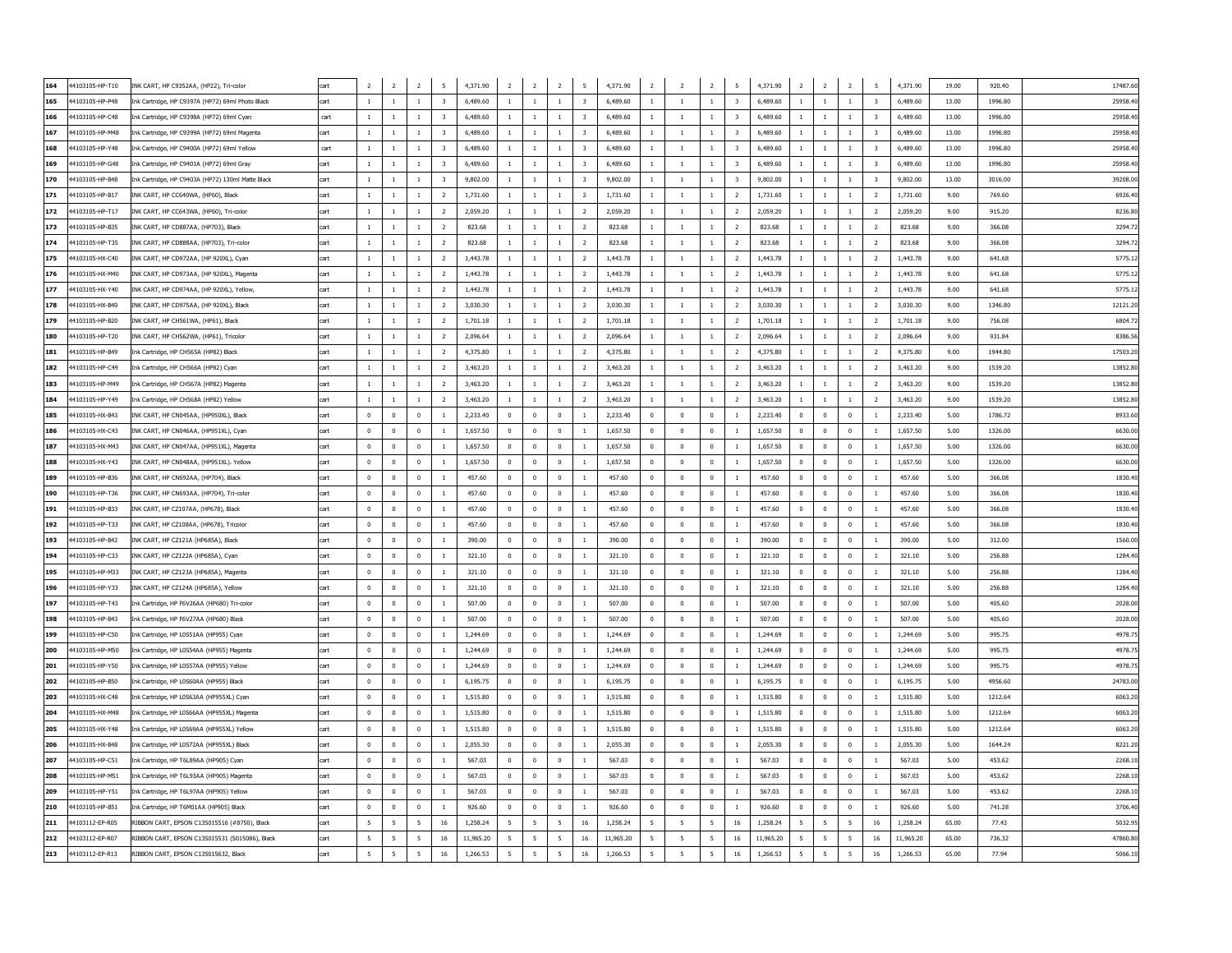| 164 | 44103105-HP-T10 | INK CART, HP C9352AA, (HP22), Tri-color           | cart | $\overline{2}$ | $\overline{2}$  | $\overline{2}$ | 5                       | 4,371.90  | $\overline{2}$ | $\overline{2}$ | $\overline{2}$           | 5 <sup>5</sup>          | 4,371.90  | $\overline{2}$                   | $\overline{2}$ | $\overline{2}$ | $\overline{5}$          | 4,371.90  | $\overline{2}$<br>$\overline{2}$ | $\overline{2}$           | 5                       | 4,371.90  | 19.00 | 920.40  | 17487.60 |
|-----|-----------------|---------------------------------------------------|------|----------------|-----------------|----------------|-------------------------|-----------|----------------|----------------|--------------------------|-------------------------|-----------|----------------------------------|----------------|----------------|-------------------------|-----------|----------------------------------|--------------------------|-------------------------|-----------|-------|---------|----------|
| 165 | 44103105-HP-P48 | Ink Cartridge, HP C9397A (HP72) 69ml Photo Black  | cart | $\overline{1}$ | $\overline{1}$  | $\overline{1}$ | $\overline{3}$          | 6.489.60  | $\mathbf{1}$   | $\overline{1}$ | $\overline{1}$           | $\overline{3}$          | 6.489.60  | $\overline{1}$<br>$\overline{1}$ |                | $1\,$          | $\overline{\mathbf{3}}$ | 6.489.60  | $\mathbf{1}$<br><sup>1</sup>     | $\overline{1}$           | $\overline{\mathbf{3}}$ | 6,489.60  | 13.00 | 1996.80 | 25958.40 |
| 166 | 44103105-HP-C48 | Ink Cartridge, HP C9398A (HP72) 69ml Cyan         | cart | $\overline{1}$ | $\overline{1}$  | $\overline{1}$ | $\overline{3}$          | 6.489.60  | $\mathbf{1}$   | $\overline{1}$ | $\overline{1}$           | $\overline{3}$          | 6.489.60  | <sup>1</sup><br>$\overline{1}$   |                | $\mathbf{1}$   | $\overline{\mathbf{3}}$ | 6.489.60  | $\mathbf{1}$<br><sup>1</sup>     | $\overline{1}$           | $\overline{3}$          | 6.489.60  | 13.00 | 1996.80 | 25958.40 |
| 167 | 44103105-HP-M48 | Ink Cartridge, HP C9399A (HP72) 69ml Magenta      | cart | $\overline{1}$ | $\overline{1}$  | $\mathbf{1}$   | $\overline{3}$          | 6.489.60  | $\mathbf{1}$   | $\overline{1}$ | $\overline{1}$           | 3                       | 6.489.60  | $\overline{1}$                   | $\overline{1}$ | $\mathbf{1}$   | $\overline{3}$          | 6.489.60  | $\mathbf{1}$<br>$\overline{1}$   | $\overline{1}$           | $\overline{3}$          | 6.489.60  | 13.00 | 1996.80 | 25958.40 |
| 168 | 44103105-HP-Y48 | Ink Cartridge, HP C9400A (HP72) 69ml Yellow       | cart | -1             | -1              | 1              | 3                       | 6,489.60  | $\mathbf{1}$   | -1             | -1                       | $\overline{\mathbf{3}}$ | 6.489.60  | $\mathbf{1}$<br><sup>1</sup>     |                | $\mathbf{1}$   | $\overline{\mathbf{3}}$ | 6,489.60  | $\mathbf{1}$<br>-1               | -1                       | $\overline{\mathbf{3}}$ | 6,489.60  | 13.00 | 1996.80 | 25958.40 |
| 169 | 4103105-HP-G48  | Ink Cartridge, HP C9401A (HP72) 69ml Gray         | cart | 1              | $\overline{1}$  | $\mathbf{1}$   | $\overline{3}$          | 6,489.60  | $1\,$          | $\overline{1}$ | $\mathbf{1}$             | $\overline{3}$          | 6,489.60  | $\mathbf{1}$                     | $\overline{1}$ | $1\,$          | $\overline{\mathbf{3}}$ | 6,489.60  | $\,$ 1<br>$\mathbf{1}$           | $\overline{1}$           | $\overline{3}$          | 6,489.60  | 13.00 | 1996.80 | 25958.40 |
| 170 | 4103105-HP-B48  | Ink Cartridge, HP C9403A (HP72) 130ml Matte Black | cart | -1             | -1              | 1              | $\overline{\mathbf{3}}$ | 9,802.00  | $\mathbf{1}$   | <sup>1</sup>   | 1                        | $\overline{\mathbf{3}}$ | 9,802.00  | 1<br>1                           |                | $1\,$          | $\overline{\mathbf{3}}$ | 9,802.00  | -1<br>-1                         | -1                       | $\overline{\mathbf{3}}$ | 9,802.00  | 13.00 | 3016.00 | 39208.00 |
| 171 | 44103105-HP-B17 | INK CART, HP CC640WA, (HP60), Black               | cart | -1             | -1              | 1              | $\overline{2}$          | 1,731.60  | 1              | 1              | 1                        | $\overline{2}$          | 1,731.60  | 1                                | 1              | $1\,$          | $\overline{2}$          | 1,731.60  | 1<br>-1                          | -1                       | $\overline{2}$          | 1,731.60  | 9.00  | 769.60  | 6926.40  |
| 172 | 4103105-HP-T17  | INK CART, HP CC643WA, (HP60), Tri-color           | cart | -1             | -1              | 1              | $\overline{2}$          | 2,059.20  | $\mathbf{1}$   | -1             | 1                        | $\overline{2}$          | 2,059.20  | 1                                | 1              | $\mathbf{1}$   | $\overline{2}$          | 2,059.20  | -1<br>-1                         | -1                       | $\overline{2}$          | 2,059.20  | 9.00  | 915.20  | 8236.80  |
| 173 | 44103105-HP-B35 | INK CART, HP CD887AA, (HP703), Black              | cart | 1              | -1              | $\mathbf{1}$   | $\overline{2}$          | 823.68    | $\mathbf{1}$   | <sup>1</sup>   | 1                        | $\overline{2}$          | 823.68    | 1                                | <sup>1</sup>   | $\mathbf{1}$   | $\overline{2}$          | 823.68    | $\mathbf{1}$<br>1                | -1                       | $\overline{2}$          | 823.68    | 9.00  | 366.08  | 3294.72  |
| 174 | 4103105-HP-T35  | INK CART, HP CD888AA, (HP703), Tri-color          | art  | 1              | -1              | $\mathbf{1}$   | $\overline{2}$          | 823.68    | $\mathbf{1}$   | <sup>1</sup>   | 1                        | $\overline{2}$          | 823.68    | 1                                | <sup>1</sup>   | $\mathbf{1}$   | $\overline{2}$          | 823.68    | 1<br><sup>1</sup>                | <sup>1</sup>             | $\overline{2}$          | 823.68    | 9.00  | 366.08  | 3294.7   |
| 175 | 4103105-HX-C40  | INK CART, HP CD972AA, (HP 920XL), Cyan            | cart | $\mathbf{1}$   | -1              | $\mathbf{1}$   | $\overline{2}$          | 1,443.78  | $\mathbf{1}$   | <sup>1</sup>   | 1                        | $\overline{2}$          | 1,443.78  | $\mathbf{1}$                     | $\mathbf{1}$   | $\mathbf{1}$   | $\overline{2}$          | 1,443.78  | $\,$ 1<br>$\mathbf{1}$           | <sup>1</sup>             | $\overline{2}$          | 1,443.78  | 9.00  | 641.68  | 5775.1   |
| 176 | 4103105-HX-M40  | INK CART, HP CD973AA, (HP 920XL), Magenta         | art  | $\mathbf{1}$   |                 |                | $\overline{2}$          | 1.443.78  | $\mathbf{1}$   | $\overline{1}$ | $\mathbf{1}$             | $\overline{2}$          | 1.443.78  |                                  | $\mathbf{1}$   | $\mathbf{1}$   | $\overline{2}$          | 1,443.78  | $\mathbf{1}$                     | $\mathbf{1}$             | $\overline{2}$          | 1,443.78  | 9.00  | 641.68  | 5775.1   |
| 177 | 44103105-HX-Y40 | INK CART, HP CD974AA, (HP 920XL), Yellow,         | cart | $\mathbf{1}$   |                 | $\mathbf{1}$   | $\overline{2}$          | 1,443.78  | $1\,$          | $\overline{1}$ | $\mathbf{1}$             | $\overline{2}$          | 1,443.78  |                                  | $\mathbf{1}$   | $\,1\,$        | $\overline{2}$          | 1,443.78  | $\,$ 1                           | $\mathbf{1}$             | $\overline{2}$          | 1,443.78  | 9.00  | 641.68  | 5775.1   |
| 178 | 44103105-HX-B40 | INK CART, HP CD975AA, (HP 920XL), Black           |      | $\mathbf{1}$   | $\overline{1}$  | $\overline{1}$ | $\overline{2}$          | 3,030.30  | $\mathbf{1}$   | $\overline{1}$ | $\overline{1}$           | $\overline{2}$          | 3,030.30  |                                  | $\mathbf{1}$   | $\mathbf{1}$   | $\overline{2}$          | 3,030.30  | $\overline{1}$                   | $\overline{1}$           | $\overline{2}$          | 3,030.30  | 9.00  | 1346.80 | 12121.2  |
| 179 | 44103105-HP-B20 | INK CART, HP CH561WA, (HP61), Black               | cart | <sup>1</sup>   | $\overline{1}$  | $\mathbf{1}$   | $\overline{2}$          | 1,701.18  | $\mathbf{1}$   | <sup>1</sup>   | <sup>1</sup>             | $\overline{2}$          | 1,701.18  | $\mathbf{1}$<br>$\overline{1}$   |                | $\,1\,$        | $\overline{2}$          | 1.701.18  | $\mathbf{1}$                     | $\overline{1}$           | $\overline{2}$          | 1,701.18  | 9.00  | 756.08  | 6804.7   |
| 180 | 44103105-HP-T20 | INK CART, HP CH562WA, (HP61), Tricolor            |      | <sup>1</sup>   | $\overline{1}$  | $\overline{1}$ | $\overline{2}$          | 2.096.64  | $\mathbf{1}$   | $\overline{1}$ | $\overline{1}$           | $\overline{2}$          | 2.096.64  | $\overline{1}$                   |                | $\mathbf{1}$   | $\overline{2}$          | 2.096.64  | $\overline{1}$                   | $\overline{1}$           | $\overline{2}$          | 2.096.64  | 9.00  | 931.84  | 8386.5   |
| 181 | 44103105-HP-B49 | Ink Cartridge, HP CH565A (HP82) Black             | cart | $\mathbf{1}$   | $\overline{1}$  | $\mathbf{1}$   | $\overline{2}$          | 4,375.80  | $\mathbf{1}$   | <sup>1</sup>   | $\overline{1}$           | $\overline{2}$          | 4,375.80  | $\overline{1}$<br>$\mathbf{1}$   |                | $\mathbf{1}$   | $\overline{2}$          | 4,375.80  | $\,$ 1<br>$\overline{1}$         | $\overline{1}$           | $\overline{2}$          | 4.375.80  | 9.00  | 1944.80 | 17503.2  |
| 182 | 44103105-HP-C49 | Ink Cartridge, HP CH566A (HP82) Cyan              |      | $\overline{1}$ |                 | $\mathbf{1}$   | $\overline{2}$          | 3,463,20  | $\mathbf{1}$   | $\overline{1}$ | $\overline{1}$           | $\overline{2}$          | 3,463.20  |                                  | $\mathbf{1}$   | $\mathbf{1}$   | $\overline{2}$          | 3,463,20  | $\overline{1}$                   | $\overline{1}$           | $\overline{2}$          | 3,463,20  | 9.00  | 1539.20 | 13852.8  |
| 183 | 44103105-HP-M49 | Ink Cartridge, HP CH567A (HP82) Magenta           | cart | $\overline{1}$ |                 | $\mathbf{1}$   | $\overline{2}$          | 3,463,20  | $\mathbf{1}$   | $\overline{1}$ | $\overline{1}$           | $\overline{2}$          | 3,463.20  |                                  | $\mathbf{1}$   | $\mathbf{1}$   | $\overline{2}$          | 3,463,20  | <sup>1</sup>                     | $\overline{1}$           | $\overline{2}$          | 3,463,20  | 9.00  | 1539.20 | 13852.8  |
| 184 | 44103105-HP-Y49 | Ink Cartridge, HP CH568A (HP82) Yellow            |      | -1             | $\overline{1}$  | $\overline{1}$ | $\overline{2}$          | 3,463.20  | $\mathbf{1}$   | $\overline{1}$ | $\overline{1}$           | $\overline{2}$          | 3,463.20  | $\overline{1}$<br>$\mathbf{1}$   |                | $\,1\,$        | $\overline{2}$          | 3,463.20  | $\overline{1}$                   | $\overline{1}$           | $\overline{2}$          | 3,463.20  | 9.00  | 1539.20 | 13852.8  |
| 185 | 44103105-HX-B43 | INK CART, HP CN045AA, (HP950XL), Black            | cart | $\Omega$       | $\sim$          | $\Omega$       | $\overline{1}$          | 2,233.40  | $\Omega$       | $\mathbf 0$    | $\Omega$                 | $\overline{1}$          | 2,233.40  | $\Omega$                         | $\Omega$       | $\mathbf 0$    | $\overline{1}$          | 2,233.40  | $\Omega$<br>$\mathbf 0$          | $\Omega$                 | $\overline{1}$          | 2,233.40  | 5.00  | 1786.72 | 8933.6   |
| 186 | 44103105-HX-C43 | INK CART, HP CN046AA, (HP951XL), Cyan             | cart | $\Omega$       | $\Omega$        | $\Omega$       | $\overline{1}$          | 1.657.50  | $\Omega$       | $\Omega$       | $\Omega$                 | $\overline{1}$          | 1.657.50  | $\Omega$                         | $\Omega$       | $\Omega$       | $\overline{1}$          | 1.657.50  | $\Omega$<br>$\Omega$             | $\Omega$                 | $\overline{1}$          | 1.657.50  | 5.00  | 1326.00 | 6630.00  |
| 187 | 44103105-HX-M43 | INK CART, HP CN047AA, (HP951XL), Magenta          | cart | $\overline{0}$ | $\mathbf{0}$    | $\mathbf{0}$   | $\mathbf{1}$            | 1.657.50  | $\mathbf{0}$   | $\overline{0}$ | $\overline{0}$           | $\mathbf{1}$            | 1.657.50  | $\overline{0}$                   | $^{\circ}$     | $\overline{0}$ | <sup>1</sup>            | 1.657.50  | $\mathbf 0$<br>$\overline{0}$    | $\overline{0}$           | $\overline{1}$          | 1.657.50  | 5.00  | 1326.00 | 6630.00  |
| 188 | 44103105-HX-Y43 | INK CART, HP CN048AA, (HP951XL). Yellow           | cart | $\mathbf{0}$   | $\overline{0}$  | $^{\circ}$     | $\overline{1}$          | 1.657.50  | $\mathbf{0}$   | $\overline{0}$ | $\overline{0}$           | <sup>1</sup>            | 1.657.50  | $^{\circ}$                       | $\mathbf 0$    | $\mathbf 0$    | <sup>1</sup>            | 1.657.50  | $\overline{0}$<br>$^{\circ}$     | $\overline{0}$           | <sup>1</sup>            | 1.657.50  | 5.00  | 1326.00 | 6630.00  |
| 189 | 44103105-HP-B36 | INK CART, HP CN692AA, (HP704), Black              | cart | $\mathbf{0}$   | $\Omega$        | $^{\circ}$     | $\overline{1}$          | 457.60    | $\mathbf{0}$   | $\overline{0}$ | $\overline{0}$           | -1                      | 457.60    | $\overline{0}$                   | $\mathbf 0$    | $\overline{0}$ | <sup>1</sup>            | 457.60    | $\mathbf{0}$<br>$\overline{0}$   | $\overline{0}$           | -1                      | 457.60    | 5.00  | 366.08  | 1830.4   |
| 190 | 44103105-HP-T36 | INK CART, HP CN693AA, (HP704), Tri-color          | cart | $\mathbf{0}$   | $\Omega$        | $\Omega$       | $\overline{1}$          | 457.60    | $\mathbf{0}$   | $\overline{0}$ | $\overline{0}$           | <sup>1</sup>            | 457.60    | $\Omega$                         | $\mathbf 0$    | $\mathbf 0$    | <sup>1</sup>            | 457.60    | $\overline{0}$<br>$^{\circ}$     | $\overline{0}$           | <sup>1</sup>            | 457.60    | 5.00  | 366.08  | 1830.40  |
| 191 | 44103105-HP-B33 | INK CART, HP CZ107AA, (HP678), Black              | cart | $\mathbf{0}$   | $\Omega$        | $^{\circ}$     | $\mathbf{1}$            | 457.60    | $\mathbf{0}$   | $\overline{0}$ | $\overline{0}$           | $\overline{1}$          | 457.60    | $\overline{0}$                   | $\mathbf 0$    | $\overline{0}$ | <sup>1</sup>            | 457.60    | $\overline{0}$<br>$^{\circ}$     | $\overline{0}$           | <sup>1</sup>            | 457.60    | 5.00  | 366.08  | 1830.40  |
| 192 | 44103105-HP-T33 | INK CART, HP CZ108AA, (HP678), Tricolor           | cart | $\Omega$       | $\Omega$        | $\Omega$       | $\overline{1}$          | 457.60    | $\mathbf{0}$   | $\overline{0}$ | $\Omega$                 | $\overline{1}$          | 457.60    | $\Omega$                         | $\mathbf 0$    | $\mathbf 0$    | <sup>1</sup>            | 457.60    | $\overline{0}$<br>$\Omega$       | $\overline{0}$           | <sup>1</sup>            | 457.60    | 5.00  | 366.08  | 1830.40  |
| 193 | 44103105-HP-B42 | INK CART, HP CZ121A (HP685A), Black               | cart | $\Omega$       | $\Omega$        | $\Omega$       | $\overline{1}$          | 390.00    | $^{\circ}$     | $\overline{0}$ | $\Omega$                 | $\overline{1}$          | 390.00    | $\Omega$                         | $\mathbf 0$    | $\overline{0}$ | <sup>1</sup>            | 390.00    | $^{\circ}$<br>$\overline{0}$     | $\Omega$                 | $\overline{1}$          | 390.00    | 5.00  | 312.00  | 1560.00  |
| 194 | 44103105-HP-C33 | INK CART, HP CZ122A (HP685A), Cyan                | cart | $\overline{0}$ | $\mathbf{0}$    | $^{\circ}$     | $\mathbf{1}$            | 321.10    | $\mathbf 0$    | $\overline{0}$ | $\mathbf 0$              | <sup>1</sup>            | 321.10    | $\mathbf 0$                      | $\mathbf 0$    | $\mathbf 0$    | <sup>1</sup>            | 321.10    | $\mathbf 0$<br>$\mathbf 0$       | $\overline{0}$           | $\overline{1}$          | 321.10    | 5.00  | 256.88  | 1284.4   |
| 195 | 44103105-HP-M33 | INK CART, HP CZ123A (HP685A), Magenta             | cart | $\overline{0}$ | $\mathbf{0}$    | $\mathbf 0$    | $\mathbf{1}$            | 321.10    | $\mathbf 0$    | $\overline{0}$ | $\mathbf 0$              | <sup>1</sup>            | 321.10    | $\mathbf 0$                      | $\mathbf 0$    | $\mathbf 0$    | <sup>1</sup>            | 321.10    | $\mathbf 0$<br>$\overline{0}$    | $\mathbf 0$              | $\overline{1}$          | 321.10    | 5.00  | 256.88  | 1284.4   |
| 196 | 44103105-HP-Y33 | INK CART, HP CZ124A (HP685A), Yellow              | cart | $\overline{0}$ | $\mathbf{0}$    | $\mathbf{0}$   | $\mathbf{1}$            | 321.10    | $\mathbf 0$    | $\overline{0}$ | $\mathbf 0$              | <sup>1</sup>            | 321.10    | $\mathbf 0$                      | $\mathbf 0$    | $\mathbf 0$    | <sup>1</sup>            | 321.10    | $\mathbf 0$<br>$\overline{0}$    | $\overline{0}$           | $\mathbf{1}$            | 321.10    | 5.00  | 256.88  | 1284.4   |
| 197 | 44103105-HP-T43 | Ink Cartridge, HP F6V26AA (HP680) Tri-color       | cart | $\overline{0}$ | $\mathbf{0}$    | $\mathbf 0$    | $\mathbf{1}$            | 507.00    | $\mathbf 0$    | $\overline{0}$ | $\overline{0}$           | $\mathbf{1}$            | 507.00    | $\mathbf 0$                      | $\mathbf 0$    | $\mathbf 0$    | <sup>1</sup>            | 507.00    | $\mathbf 0$<br>$\overline{0}$    | $\overline{0}$           | $\overline{1}$          | 507.00    | 5.00  | 405.60  | 2028.0   |
| 198 | 44103105-HP-B43 | Ink Cartridge, HP F6V27AA (HP680) Black           | cart | $\overline{0}$ | $\mathbf{0}$    | $\mathbf{0}$   | $\mathbf{1}$            | 507.00    | $\mathbf 0$    | $\overline{0}$ | $\mathbf 0$              | $\mathbf{1}$            | 507.00    | $\mathbf 0$                      | $\mathbf 0$    | $\mathbf 0$    | $\overline{1}$          | 507.00    | $\mathbf 0$<br>$\overline{0}$    | $\overline{0}$           | $\mathbf{1}$            | 507.00    | 5.00  | 405.60  | 2028.00  |
| 199 | 44103105-HP-C50 | Ink Cartridge, HP L0S51AA (HP955) Cyan            | cart | $\overline{0}$ | $\mathbf{0}$    | $\mathbf 0$    | $\mathbf{1}$            | 1.244.69  | $\mathbf 0$    | $\overline{0}$ | $\mathbf 0$              | $\mathbf{1}$            | 1.244.69  | $\mathbf 0$                      | $\mathbf 0$    | $\mathbf 0$    | <sup>1</sup>            | 1.244.69  | $\mathbf 0$<br>$\overline{0}$    | $\mathbf 0$              | $\overline{1}$          | 1.244.69  | 5.00  | 995.75  | 4978.7   |
| 200 | 44103105-HP-M50 | Ink Cartridge, HP L0S54AA (HP955) Magenta         | cart | $\mathbf 0$    | $\theta$        | $\mathbf 0$    |                         | 1.244.69  | $\mathbf 0$    | $\mathbf 0$    | $\mathbf 0$              |                         | 1.244.69  | $\mathbf 0$                      | $\mathbf 0$    | $\mathbf 0$    | $\mathbf{1}$            | 1.244.69  | $\mathbf 0$<br>$\mathbf 0$       | $\mathbf 0$              | $\mathbf{1}$            | 1.244.69  | 5.00  | 995.75  | 4978.7   |
| 201 | 44103105-HP-Y50 | Ink Cartridge, HP LOS57AA (HP955) Yellow          | cart | $\mathbf 0$    | $\Omega$        | $\bf{0}$       | $\,1\,$                 | 1,244.69  | $\mathbf 0$    | $\mathbf 0$    | $\mathbf 0$              | $\overline{1}$          | 1,244.69  | $\mathbf 0$                      | $\mathbf 0$    | $\mathbf 0$    | $\overline{1}$          | 1,244.69  | $\mathbf 0$<br>$\mathbf 0$       | $\mathbf 0$              | $\,$ 1                  | 1,244.69  | 5.00  | 995.75  | 4978.75  |
| 202 | 44103105-HP-B50 | Ink Cartridge, HP L0S60AA (HP955) Black           | cart | $\overline{0}$ | $\Omega$        | $\Omega$       | $\mathbf{1}$            | 6,195.75  | $\mathbf{0}$   | $\overline{0}$ | $\overline{0}$           | $\overline{1}$          | 6.195.75  | $\mathbf 0$<br>$\overline{0}$    |                | $^{\circ}$     | <sup>1</sup>            | 6.195.75  | $\mathbf{0}$<br>$\overline{0}$   | $\Omega$                 | $\overline{1}$          | 6.195.75  | 5.00  | 4956.60 | 24783.00 |
| 203 | 44103105-HX-C48 | Ink Cartridge, HP L0S63AA (HP955XL) Cyan          | cart | $\Omega$       | $\Omega$        | $\Omega$       | $\overline{1}$          | 1,515.80  | $\mathbf 0$    | $\mathbf 0$    | $\Omega$                 | $\overline{1}$          | 1,515.80  | $\Omega$                         | $\Omega$       | $\mathbf 0$    | $\overline{1}$          | 1,515.80  | $\mathbf 0$<br>$\mathbf 0$       | $\Omega$                 | $\overline{1}$          | 1,515.80  | 5.00  | 1212.64 | 6063.2   |
| 204 | 44103105-HX-M48 | Ink Cartridge, HP L0S66AA (HP955XL) Magenta       | cart | $\Omega$       | $\Omega$        | $\Omega$       | $\mathbf{1}$            | 1,515.80  | $\mathbf 0$    | $\mathbf 0$    | $\Omega$                 | $\overline{1}$          | 1,515.80  | $\Omega$                         | $\Omega$       | $\mathbf 0$    | $\overline{1}$          | 1,515.80  | $\Omega$<br>$\mathbf 0$          | $\Omega$                 | $\overline{1}$          | 1,515.80  | 5.00  | 1212.64 | 6063.2   |
| 205 | 44103105-HX-Y48 | Ink Cartridge, HP L0S69AA (HP955XL) Yellow        | cart | $\bf{0}$       | $\overline{0}$  | $^{\circ}$     | $\mathbf{1}$            | 1,515.80  | $\bf{0}$       | $\bf{0}$       | $\overline{0}$           | <sup>1</sup>            | 1,515.80  | $\mathbf 0$                      | $\mathbf 0$    | $\mathbf 0$    | <sup>1</sup>            | 1,515.80  | $\bf{0}$<br>$\bf{0}$             | $\overline{0}$           | <sup>1</sup>            | 1,515.80  | 5.00  | 1212.64 | 6063.2   |
| 206 | 44103105-HX-B48 | Ink Cartridge, HP L0S72AA (HP955XL) Black         | cart | $\bf{0}$       | $\overline{0}$  | $^{\circ}$     | $\mathbf{1}$            | 2,055.30  | $\bf{0}$       | $\bf{0}$       | $\mathbf 0$              | $\mathbf{1}$            | 2,055.30  | $\mathbf 0$                      | $\mathbf 0$    | $\overline{0}$ | <sup>1</sup>            | 2,055.30  | $\mathbf{0}$<br>$\bf{0}$         | $\overline{0}$           | <sup>1</sup>            | 2,055.30  | 5.00  | 1644.24 | 8221.20  |
| 207 | 44103105-HP-C51 | Ink Cartridge, HP T6L89AA (HP905) Cyan            | cart | $\overline{0}$ | $\overline{0}$  | $\overline{0}$ | $\mathbf{1}$            | 567.03    | $\mathbf{0}$   | $\bf{0}$       | $\overline{0}$           | <sup>1</sup>            | 567.03    | $\overline{0}$<br>$\overline{0}$ |                | $\pmb{0}$      | <sup>1</sup>            | 567.03    | $^{\circ}$<br>$\bf{0}$           | $\overline{0}$           | <sup>1</sup>            | 567.03    | 5.00  | 453.62  | 2268.1   |
| 208 | 44103105-HP-M51 | Ink Cartridge, HP T6L93AA (HP905) Magenta         | cart | $\overline{0}$ | $\Omega$        | $\Omega$       | <sup>1</sup>            | 567.03    | $\mathbf{0}$   | $\overline{0}$ | $\overline{0}$           | 1                       | 567.03    | $\overline{0}$                   | $\overline{0}$ | $\mathbf{0}$   | <sup>1</sup>            | 567.03    | $\mathbf 0$<br>$\mathbf{0}$      | $\overline{0}$           | <sup>1</sup>            | 567.03    | 5.00  | 453.62  | 2268.1   |
| 209 | 44103105-HP-Y51 | Ink Cartridge, HP T6L97AA (HP905) Yellow          | cart | $\Omega$       | $\Omega$        | $\Omega$       | <sup>1</sup>            | 567.03    | $\overline{0}$ | $\overline{0}$ | $\overline{0}$           | $\mathbf{1}$            | 567.03    | $\Omega$                         | $\Omega$       | $^{\circ}$     | <sup>1</sup>            | 567.03    | $^{\circ}$<br>$\overline{0}$     | $\overline{0}$           | $\overline{1}$          | 567.03    | 5.00  | 453.62  | 2268.1   |
| 210 | 44103105-HP-B51 | Ink Cartridge, HP T6M01AA (HP905) Black           | cart | $\Omega$       | $\Omega$        | $\Omega$       | $\overline{1}$          | 926.60    | $\Omega$       | $\overline{0}$ | $\Omega$                 | $\overline{1}$          | 926.60    | $\Omega$                         | $\Omega$       | $\Omega$       | $\overline{1}$          | 926.60    | $\Omega$<br>$\overline{0}$       | $\Omega$                 | $\overline{1}$          | 926.60    | 5.00  | 741.28  | 3706.40  |
| 211 | 44103112-EP-R05 | RIBBON CART, EPSON C13S015516 (#8750), Black      | cart | -5             | -5              | 5              | 16                      | 1,258.24  | 5              | 5              | 5                        | 16                      | 1,258.24  | 5<br>-5                          |                | 5              | 16                      | 1,258,24  | -5<br>-5                         | 5                        | 16                      | 1,258,24  | 65.00 | 77.43   | 5032.95  |
| 212 | 44103112-EP-R07 | RIBBON CART, EPSON C13S015531 (S015086), Black    | cart | 5              | -5              | 5              | 16                      | 11,965.20 | 5              | 5              | 5                        | $16\,$                  | 11,965.20 | 5<br>-5                          |                | 5              | 16                      | 11,965.20 | 5<br>5                           | -5                       | 16                      | 11,965.20 | 65.00 | 736.32  | 47860.80 |
| 213 | 44103112-EP-R13 | RIBBON CART, EPSON C13S015632, Black              | cart | 5              | $5\overline{2}$ | 5              | $16\,$                  | 1,266.53  | 5              | 5              | $\overline{\phantom{a}}$ | 16                      | 1,266.53  | 5<br>5                           |                | 5              | 16                      | 1,266.53  | 5<br>5                           | $\overline{\phantom{a}}$ | 16                      | 1,266.53  | 65.00 | 77.94   | 5066.10  |
|     |                 |                                                   |      |                |                 |                |                         |           |                |                |                          |                         |           |                                  |                |                |                         |           |                                  |                          |                         |           |       |         |          |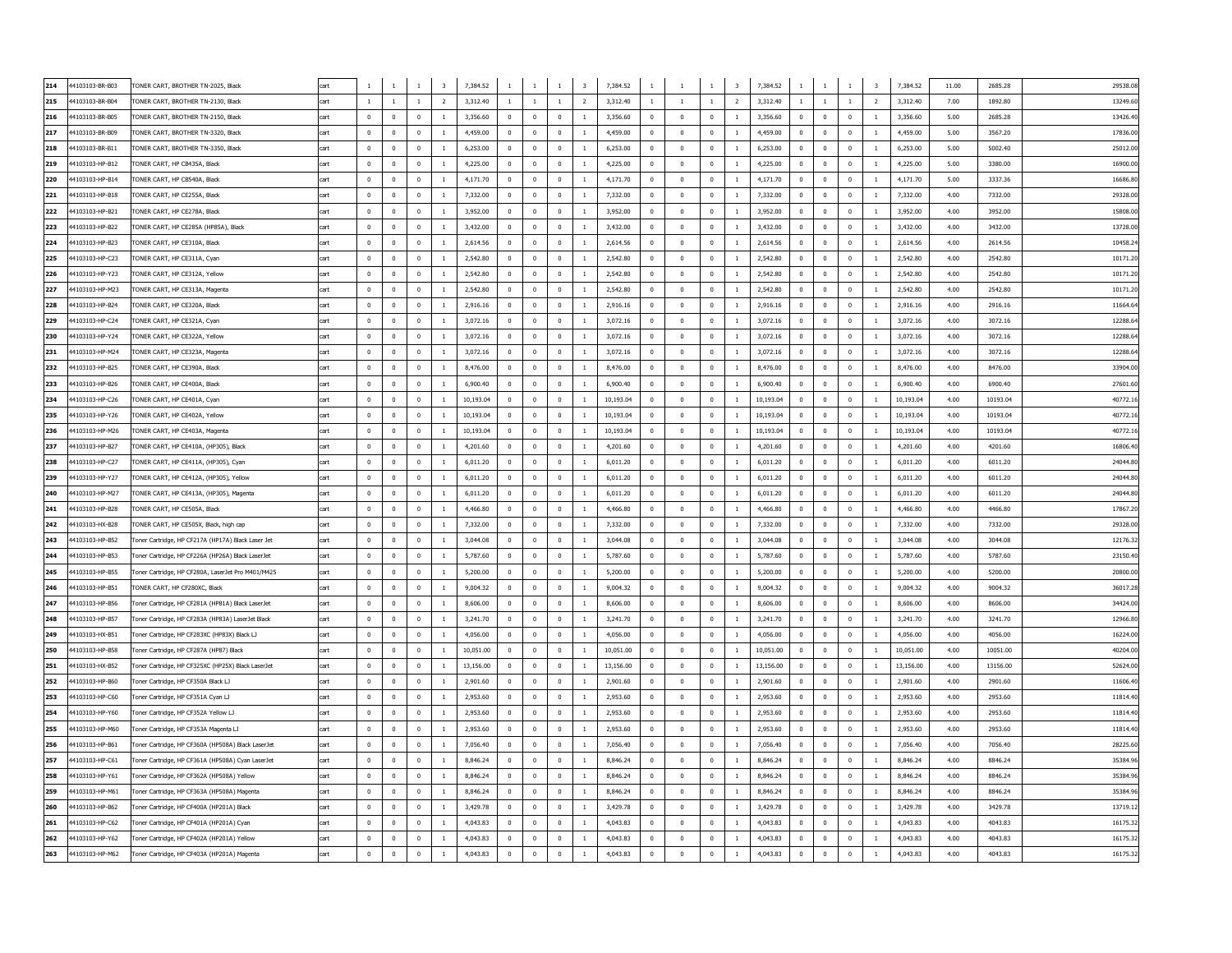| 214 | 4103103-BR-B03  | TONER CART, BROTHER TN-2025, Black                                                    | cart        | $\overline{1}$ |                | $\mathbf{1}$ | $\overline{\mathbf{3}}$ | 7,384.52  | $\mathbf{1}$ | <sup>1</sup>             | <sup>1</sup>            | $\overline{\mathbf{3}}$ | 7,384.52  | $\mathbf{1}$   | <sup>1</sup>            | $\overline{\mathbf{3}}$<br>$\mathbf{1}$ | 7,384.52<br>$\mathbf{1}$   | $\mathbf{1}$            | $\overline{1}$          | $\overline{\mathbf{3}}$ | 7,384.52  | 11.00 | 2685.28  | 29538.08 |
|-----|-----------------|---------------------------------------------------------------------------------------|-------------|----------------|----------------|--------------|-------------------------|-----------|--------------|--------------------------|-------------------------|-------------------------|-----------|----------------|-------------------------|-----------------------------------------|----------------------------|-------------------------|-------------------------|-------------------------|-----------|-------|----------|----------|
| 215 | 44103103-BR-B04 | TONER CART, BROTHER TN-2130, Black                                                    | cart        | <sup>1</sup>   | $\overline{1}$ | $\mathbf{1}$ | $\overline{2}$          | 3,312.40  | $\mathbf{1}$ | $\overline{1}$           | $\mathbf{1}$            | 2                       | 3,312.40  | <sup>1</sup>   | $\overline{1}$          | $\overline{2}$<br>$\mathbf{1}$          | 3,312.40<br>$\mathbf{1}$   | $\mathbf{1}$            | <sup>1</sup>            | $\overline{2}$          | 3,312.40  | 7.00  | 1892.80  | 13249.60 |
| 216 | 44103103-BR-B05 | TONER CART, BROTHER TN-2150, Black                                                    | <b>rart</b> | $\overline{0}$ | $\Omega$       | $\Omega$     | <sup>1</sup>            | 3,356.60  | $\mathbf{0}$ | $\overline{0}$           | $\mathbf{0}$            | 1                       | 3,356.60  | $\mathbf 0$    | $\overline{0}$          | $\mathbf 0$<br><sup>1</sup>             | 3,356.60<br>$\Omega$       | $\overline{0}$          | $\overline{0}$          | -1                      | 3,356.60  | 5.00  | 2685.28  | 13426.40 |
| 217 | 44103103-BR-B09 | TONER CART, BROTHER TN-3320, Black                                                    | cart        | $\Omega$       | $\Omega$       | $\mathbf{0}$ | $\overline{1}$          | 4,459.00  | $^{\circ}$   | $\overline{0}$           | $\overline{0}$          | 1                       | 4,459.00  | $\mathbf 0$    | $\mathbf 0$             | $\mathbf 0$<br><sup>1</sup>             | 4,459.00<br>$\Omega$       | $\overline{0}$          | $\mathbf 0$             | <sup>1</sup>            | 4,459.00  | 5.00  | 3567.20  | 17836.00 |
| 218 | 4103103-BR-B11  | FONER CART, BROTHER TN-3350, Black                                                    | rart        | $\Omega$       | $\Omega$       | $\Omega$     | $\overline{1}$          | 6,253.00  | $\Omega$     | $\Omega$                 | $\Omega$                | $\overline{1}$          | 6.253.00  | $\Omega$       | $\overline{0}$          | $\Omega$<br>$\mathbf{1}$                | 6,253.00<br>$\Omega$       | $\Omega$                | $\Omega$                | $\overline{1}$          | 6,253,00  | 5.00  | 5002.40  | 25012.00 |
| 219 | 4103103-HP-B12  | TONER CART, HP CB435A, Black                                                          | cart        | $\mathbf 0$    | $\mathbf{0}$   | $\mathbf{0}$ | $\overline{1}$          | 4.225.00  | $\mathbf 0$  | $\overline{0}$           | $\mathbf 0$             | $\mathbf{1}$            | 4.225.00  | $\mathbf 0$    | $\mathbf 0$             | $\mathbf 0$<br>$\mathbf{1}$             | 4,225.00<br>$\mathbf 0$    | $\mathbf 0$             | $\mathbf 0$             | $\mathbf{1}$            | 4,225.00  | 5.00  | 3380.00  | 16900.00 |
| 220 | 4103103-HP-B14  | <b>TONER CART, HP CB540A, Black</b>                                                   |             | $\mathbf{0}$   | $\Omega$       | $\mathbf{0}$ | $\overline{1}$          | 4.171.70  | $\bf{0}$     | $\overline{0}$           | $\mathbf 0$             | $\mathbf{1}$            | 4.171.70  | $\mathbf 0$    | $\mathbf 0$             | $\mathbf 0$<br>$\mathbf{1}$             | 4,171.70<br>$\mathbf 0$    | $\mathbf 0$             | $\mathbf 0$             | $\mathbf{1}$            | 4.171.70  | 5.00  | 3337.36  | 16686.80 |
|     |                 |                                                                                       |             |                | $\Omega$       |              |                         |           |              |                          |                         |                         |           |                |                         |                                         |                            |                         |                         |                         |           |       |          |          |
| 221 | 44103103-HP-B18 | TONER CART, HP CE255A, Black                                                          | art         | $\mathbf 0$    |                | $\mathbf{0}$ | $\overline{1}$          | 7,332.00  | $\bf{0}$     | $\overline{0}$           | $\mathbf 0$             | $\mathbf{1}$            | 7.332.00  | $\mathbf 0$    | $\mathbf 0$             | $\mathbf 0$<br>$\mathbf{1}$             | 7,332.00<br>$\mathbf 0$    | $\mathbf 0$             | $\mathbf 0$             | $\mathbf{1}$            | 7.332.00  | 4.00  | 7332.00  | 29328.00 |
| 222 | 4103103-HP-B21  | <b>TONER CART, HP CE278A, Black</b>                                                   |             | $\pmb{0}$      | $\Omega$       | $\mathbf 0$  |                         | 3,952.00  | $\pmb{0}$    | $\pmb{0}$                | $\pmb{0}$               | $\,$ 1                  | 3,952.00  | $\pmb{0}$      | $\pmb{0}$               | $\pmb{0}$<br>$\,1\,$                    | 3,952.00                   | $\bf 0$                 | $\mathbf 0$             | $\mathbf 1$             | 3,952.00  | 4.00  | 3952.00  | 15808.00 |
| 223 | 44103103-HP-B22 | TONER CART, HP CE285A (HP85A), Black                                                  | cart        | $\mathbf 0$    | $\Omega$       | $\mathbf 0$  | $\,1\,$                 | 3,432.00  | $\mathbf 0$  | $\mathbf 0$              | $\pmb{0}$               | $\,$ 1                  | 3,432.00  | $\mathbf 0$    | $\pmb{0}$               | $\pmb{0}$<br>$\,1\,$                    | 3,432.00<br>$\mathbf 0$    | $\pmb{0}$               | $\mathbf 0$             | $\mathbf 1$             | 3,432.00  | 4.00  | 3432.00  | 13728.00 |
| 224 | 4103103-HP-B23  | TONER CART, HP CE310A, Black                                                          |             | $\mathbf 0$    | $\mathbf{0}$   | $\pmb{0}$    | $\mathbf{1}$            | 2,614.56  | $\pmb{0}$    | $\mathbf 0$              | 0                       | $\mathbf{1}$            | 2,614.56  | $\mathbf 0$    | $\mathbf 0$             | $\mathbf 0$<br>$1\,$                    | 2,614.56                   | $\pmb{0}$               | $\mathbf 0$             | $\mathbf{1}$            | 2,614.56  | 4.00  | 2614.56  | 10458.24 |
| 225 | 44103103-HP-C23 | TONER CART, HP CE311A, Cyan                                                           |             | $\mathbf 0$    | $\mathbf{0}$   | $\pmb{0}$    | $\overline{1}$          | 2,542.80  | $\pmb{0}$    | $\mathbf 0$              | $\mathbf 0$             |                         | 2,542.80  | $\mathbf 0$    | $\mathbf 0$             | $\pmb{0}$<br>$1\,$                      | 2,542.80<br>$\mathbf 0$    | $\pmb{0}$               | $\mathbf 0$             | $\,1$                   | 2,542.80  | 4.00  | 2542.80  | 10171.20 |
| 226 | 4103103-HP-Y23  | ONER CART, HP CE312A, Yellow                                                          |             | $\mathbf 0$    | $\mathbf{0}$   | $\mathbf{0}$ |                         | 2,542.80  | $\pmb{0}$    | $\mathbf{0}$             | $^{\circ}$              | <sup>1</sup>            | 2,542.80  | $\mathbf 0$    | $\mathbf 0$             | $\mathbf 0$<br>$\mathbf{1}$             | 2,542.80                   | $^{\circ}$              | $\mathbf 0$             | $\,1$                   | 2,542.80  | 4.00  | 2542.80  | 10171.2  |
| 227 | 44103103-HP-M23 | TONER CART, HP CE313A, Magenta                                                        | cart        | $\overline{0}$ | $\Omega$       | $\mathbf{0}$ | $\overline{1}$          | 2,542.80  | $^{\circ}$   | $\overline{0}$           | $\overline{0}$          | $\overline{1}$          | 2,542.80  | $\mathbf 0$    | $\overline{0}$          | $\overline{0}$<br><sup>1</sup>          | 2,542.80<br>$\Omega$       | $\overline{0}$          | $\overline{0}$          | $\overline{1}$          | 2,542.80  | 4.00  | 2542.80  | 10171.2  |
| 228 | 44103103-HP-B24 | TONER CART, HP CE320A, Black                                                          |             | $\overline{0}$ | $\Omega$       | $\Omega$     | $\overline{1}$          | 2,916.16  | $^{\circ}$   | $\overline{0}$           | $\Omega$                | $\overline{1}$          | 2,916.16  | $\mathbf{0}$   | $\overline{0}$          | $\Omega$<br><sup>1</sup>                | 2,916.16<br>$\Omega$       | $\mathbf{0}$            | $\mathbf{0}$            | $\overline{1}$          | 2,916.16  | 4.00  | 2916.16  | 11664.6  |
| 229 | 44103103-HP-C24 | TONER CART, HP CE321A, Cyan                                                           | cart        | $\overline{0}$ | $\Omega$       | $^{\circ}$   | $\overline{1}$          | 3,072.16  | $^{\circ}$   | $\overline{\phantom{a}}$ | $\overline{\mathbf{0}}$ | <sup>1</sup>            | 3,072.16  | $\bf{0}$       | $\overline{0}$          | $\mathbf 0$<br><sup>1</sup>             | 3,072.16<br>$\mathbf{0}$   | $\mathbf 0$             | $\overline{\mathbf{0}}$ | $\overline{1}$          | 3,072.16  | 4.00  | 3072.16  | 12288.   |
| 230 | 44103103-HP-Y24 | TONER CART, HP CE322A, Yellow                                                         | cart        | $\overline{0}$ | $\Omega$       | $\mathbf{0}$ | $\overline{1}$          | 3,072.16  | $^{\circ}$   | $\overline{0}$           | $\Omega$                | <sup>1</sup>            | 3,072.16  | $\mathbf{0}$   | $\overline{0}$          | $\mathbf 0$<br><sup>1</sup>             | 3,072.16<br>$\Omega$       | $\mathbf 0$             | $\mathbf{0}$            | $\overline{1}$          | 3,072.16  | 4.00  | 3072.16  | 12288.   |
| 231 | 44103103-HP-M24 | TONER CART, HP CE323A, Magenta                                                        | cart        | $\Omega$       | $\Omega$       | $\mathbf{0}$ | $\overline{1}$          | 3.072.16  | $\Omega$     | $\overline{0}$           | $\overline{0}$          | $\overline{1}$          | 3,072.16  | $\overline{0}$ | $\Omega$                | $\overline{0}$<br><sup>1</sup>          | 3.072.16<br>$\Omega$       | $\overline{0}$          | $\overline{0}$          | $\overline{1}$          | 3.072.16  | 4.00  | 3072.16  | 12288.   |
| 232 | 44103103-HP-B25 | TONER CART, HP CE390A, Black                                                          | cart        | $\Omega$       | $\Omega$       | $\Omega$     | $\overline{1}$          | 8,476.00  | $\Omega$     | $\Omega$                 | $\Omega$                | $\overline{1}$          | 8,476.00  | $\overline{0}$ | $\Omega$                | $\Omega$<br>$\overline{1}$              | 8.476.00<br>$\Omega$       | $\Omega$                | $\overline{0}$          | $\overline{1}$          | 8,476.00  | 4.00  | 8476.00  | 33904.0  |
| 233 | 44103103-HP-B26 | TONER CART, HP CE400A, Black                                                          | cart        | $\Omega$       | $\Omega$       | $\Omega$     | $\overline{1}$          | 6,900.40  | $\Omega$     | $\Omega$                 | $\overline{0}$          | $\overline{1}$          | 6.900.40  | $\overline{0}$ | $\Omega$                | $\overline{0}$<br>$\overline{1}$        | 6,900.40<br>$\Omega$       | $\overline{0}$          | $\overline{0}$          | $\overline{1}$          | 6,900.40  | 4.00  | 6900.40  | 27601.6  |
| 234 | 44103103-HP-C26 | TONER CART, HP CE401A, Cyan                                                           | rart        | $\Omega$       | $\Omega$       | $\Omega$     | $\overline{1}$          | 10.193.04 | $\Omega$     | $\Omega$                 | $\Omega$                | $\overline{1}$          | 10.193.04 | $\Omega$       | $\Omega$                | $\Omega$<br>$\overline{1}$              | 10.193.04<br>$\Omega$      | $\Omega$                | $\Omega$                | $\overline{1}$          | 10,193.04 | 4.00  | 10193.04 | 40772.1  |
| 235 | 44103103-HP-Y26 | TONER CART, HP CE402A, Yellow                                                         | cart        | $\Omega$       | $\Omega$       | $\Omega$     | $\overline{1}$          | 10.193.04 | $\Omega$     | $\Omega$                 | $\Omega$                | $\overline{1}$          | 10.193.04 | $\Omega$       | $\Omega$                | $\Omega$<br>$\mathbf{1}$                | 10.193.04<br>$\Omega$      | $\Omega$                | $\Omega$                | $\overline{1}$          | 10,193.04 | 4.00  | 10193.04 | 40772.1  |
| 236 | 44103103-HP-M26 | TONER CART, HP CE403A, Magenta                                                        | cart        | $\Omega$       | $\Omega$       | $\Omega$     | $\overline{1}$          | 10.193.04 | $\Omega$     | $\overline{\mathbf{0}}$  | $\Omega$                | $\overline{1}$          | 10,193,04 | $\overline{0}$ | $\overline{\mathbf{0}}$ | $\overline{0}$<br>$\overline{1}$        | 10.193.04<br>$\Omega$      | $\overline{0}$          | $\overline{0}$          | <sup>1</sup>            | 10.193.04 | 4.00  | 10193.04 | 40772.1  |
| 237 | 44103103-HP-B27 | TONER CART, HP CE410A, (HP305), Black                                                 | cart        | $\Omega$       | $\Omega$       | $\Omega$     | $\overline{1}$          | 4,201.60  | $\Omega$     | $\overline{0}$           | $\Omega$                | $\overline{1}$          | 4.201.60  | $\overline{0}$ | $\overline{\mathbf{0}}$ | $\overline{0}$<br>$\overline{1}$        | 4,201.60<br>$\Omega$       | $\overline{0}$          | $\overline{0}$          | $\overline{1}$          | 4.201.60  | 4.00  | 4201.60  | 16806.4  |
| 238 | 44103103-HP-C27 | TONER CART, HP CE411A, (HP305), Cyan                                                  | cart        | $\Omega$       | $\Omega$       | $\Omega$     | $\overline{1}$          | 6,011.20  | $\Omega$     | $\overline{\mathbf{0}}$  | $\Omega$                | $\overline{1}$          | 6.011.20  | $\Omega$       | $\overline{0}$          | $\Omega$<br>$\overline{1}$              | 6.011.20<br>$\Omega$       | $\Omega$                | $\mathbf 0$             | $\overline{1}$          | 6.011.20  | 4.00  | 6011.20  | 24044.80 |
| 239 | 44103103-HP-Y27 | TONER CART, HP CE412A, (HP305), Yellow                                                | cart        | $\Omega$       | $\Omega$       | $\Omega$     | $\mathbf{1}$            | 6,011.20  | $\Omega$     | $\overline{\mathbf{0}}$  | $\overline{0}$          | $\overline{1}$          | 6.011.20  | $\overline{0}$ | $\overline{0}$          | $\overline{0}$<br><sup>1</sup>          | 6.011.20<br>$\Omega$       | $\overline{\mathbf{0}}$ | $\overline{0}$          | $\overline{1}$          | 6.011.20  | 4.00  | 6011.20  | 24044.80 |
| 240 | 44103103-HP-M27 | TONER CART, HP CE413A, (HP305), Magenta                                               | cart        | $\Omega$       | $\Omega$       | $\Omega$     | $\overline{1}$          | 6,011.20  | $\mathbf{0}$ | $\overline{0}$           | $\Omega$                | $\overline{1}$          | 6.011.20  | $\mathbf 0$    | $\Omega$                | $\Omega$<br>$\mathbf{1}$                | 6.011.20<br>$\Omega$       | $\Omega$                | $\mathbf 0$             | <sup>1</sup>            | 6.011.20  | 4.00  | 6011.20  | 24044.80 |
| 241 | 44103103-HP-B28 | TONER CART, HP CE505A, Black                                                          | cart        | $\Omega$       | $\Omega$       | $\Omega$     | $\overline{1}$          | 4,466.80  | $\Omega$     | $\overline{0}$           | $\Omega$                | $\overline{1}$          | 4,466.80  | $\overline{0}$ | $\Omega$                | $\overline{0}$<br>$\overline{1}$        | 4,466.80<br>$\Omega$       | $\overline{0}$          | $\overline{0}$          | $\overline{1}$          | 4,466,80  | 4.00  | 4466.80  | 17867.20 |
| 242 | 44103103-HX-B28 | TONER CART, HP CE505X, Black, high cap                                                | cart        | $\Omega$       | $\Omega$       | $\Omega$     | $\overline{1}$          | 7,332.00  | $\Omega$     | $\Omega$                 | $\Omega$                | $\overline{1}$          | 7,332.00  | $\Omega$       | $\Omega$                | $\Omega$<br>$\mathbf{1}$                | 7,332.00<br>$\Omega$       | $\Omega$                | $\Omega$                | $\overline{1}$          | 7.332.00  | 4.00  | 7332.00  | 29328.00 |
| 243 | 44103103-HP-B52 | Toner Cartridge, HP CF217A (HP17A) Black Laser Jet                                    | cart        | $\Omega$       | $\Omega$       | $\Omega$     | $\overline{1}$          | 3.044.08  | $\Omega$     | $\overline{0}$           | $\Omega$                | $\overline{1}$          | 3.044.08  | $\Omega$       | $\Omega$                | $\overline{0}$<br>$\overline{1}$        | 3.044.08<br>$\Omega$       | $\Omega$                | $\Omega$                | $\overline{1}$          | 3.044.08  | 4.00  | 3044.08  | 12176.32 |
| 244 | 44103103-HP-B53 | Toner Cartridge, HP CF226A (HP26A) Black LaserJet                                     | cart        | $\mathbf 0$    | $\Omega$       | $\mathbf{0}$ | $\overline{1}$          | 5,787.60  | $\mathbf 0$  | $\overline{0}$           | $\mathbf 0$             | $\mathbf{1}$            | 5.787.60  | $\mathbf 0$    | $\mathbf 0$             | $\mathbf 0$<br>$\mathbf{1}$             | 5.787.60<br>$\mathbf 0$    | $\mathbf 0$             | $\mathbf 0$             | $\overline{1}$          | 5.787.60  | 4.00  | 5787.60  | 23150.4  |
| 245 | 44103103-HP-B55 | Toner Cartridge, HP CF280A, LaserJet Pro M401/M425                                    | cart        | $\overline{0}$ | $\Omega$       | $\mathbf{0}$ | $\overline{1}$          | 5,200,00  | $\bf{0}$     | $\overline{0}$           | $\mathbf 0$             | $\mathbf{1}$            | 5,200,00  | $\overline{0}$ | $\mathbf 0$             | $\mathbf 0$<br>$\mathbf{1}$             | 5,200,00<br>$\mathbf 0$    | $\mathbf 0$             | $\mathbf 0$             | $\mathbf{1}$            | 5,200.00  | 4.00  | 5200.00  | 20800.00 |
| 246 | 44103103-HP-B51 | TONER CART, HP CF280XC, Black                                                         |             | $\overline{0}$ | $\Omega$       | $\mathbf{0}$ | $\overline{1}$          | 9.004.32  | $\mathbf 0$  | $\overline{0}$           | $\mathbf 0$             | $\mathbf{1}$            | 9.004.32  | $\mathbf 0$    | $\mathbf 0$             | $\mathbf 0$<br>$\mathbf{1}$             | 9.004.32<br>$\mathbf 0$    | $\mathbf 0$             | $\mathbf 0$             | $\overline{1}$          | 9.004.32  | 4.00  | 9004.32  | 36017.28 |
| 247 | 44103103-HP-B56 | Foner Cartridge, HP CF281A (HP81A) Black LaserJet                                     | cart        | $\Omega$       | $\Omega$       | $\Omega$     | $\,1\,$                 | 8,606.00  | $\mathbf 0$  | $\mathbf 0$              | $\mathbf 0$             | $\,$ 1                  | 8,606.00  | $\mathbf 0$    | $\pmb{0}$               | $\pmb{0}$<br>$\,1\,$                    | 8,606.00<br>$\mathbf 0$    | $\mathbf 0$             | $\mathbf 0$             |                         | 8,606.00  | 4.00  | 8606.00  | 34424.00 |
| 248 | 44103103-HP-B57 | Toner Cartridge, HP CF283A (HP83A) LaserJet Black                                     |             | $\Omega$       | $\Omega$       | $\Omega$     | $\,1\,$                 | 3,241.70  | $\mathbf 0$  | $\mathbf 0$              | $\mathbf 0$             | $\,$ 1                  | 3,241.70  | $\mathbf 0$    | $\pmb{0}$               | $\pmb{0}$<br>$\,1\,$                    | 3,241.70<br>$\mathbf 0$    | $\mathbf 0$             | $\mathbf 0$             | $\,1\,$                 | 3,241.70  | 4.00  | 3241.70  | 12966.80 |
| 249 | 44103103-HX-B51 | Toner Cartridge, HP CF283XC (HP83X) Black LJ                                          | cart        | $\overline{0}$ | $\mathbf{0}$   | $\mathbf 0$  | $\overline{1}$          | 4,056.00  | $\mathbf 0$  | $\mathbf 0$              | $\mathbf 0$             | $\,$ 1                  | 4,056.00  | $\mathbf 0$    | $\pmb{0}$               | $\pmb{0}$<br>$\mathbf{1}$               | 4,056.00<br>$\mathbf 0$    | $\mathbf 0$             | $\mathbf 0$             | $\,1\,$                 | 4,056.00  | 4.00  | 4056.00  | 16224.00 |
| 250 | 44103103-HP-B58 | Toner Cartridge, HP CF287A (HP87) Black                                               |             | $\mathbf{0}$   | $\mathbf{0}$   | $\mathbf{0}$ | $\overline{1}$          | 10,051.00 | $\mathbf{0}$ | $\mathbf 0$              | $\mathbf 0$             | <sup>1</sup>            | 10,051.00 | $\mathbf 0$    | $\pmb{0}$               | $\mathbf 0$<br>$\mathbf{1}$             | 10,051.00<br>$^{\circ}$    | $\mathbf 0$             | $\mathbf 0$             | $\,1$                   | 10,051.00 | 4.00  | 10051.00 | 40204.00 |
| 251 | 44103103-HX-B52 | Toner Cartridge, HP CF325XC (HP25X) Black LaserJet                                    | cart        | $\overline{0}$ | $\overline{0}$ | $\mathbf{0}$ | $\mathbf{1}$            | 13,156.00 | $\mathbf 0$  | $\mathbf 0$              | $\mathbf 0$             | 1                       | 13,156.00 | $\mathbf 0$    | $\mathbf 0$             | $\mathbf 0$<br>$\,1\,$                  | 13,156.00<br>$^{\circ}$    | $\mathbf 0$             | $\mathbf 0$             | $\mathbf{1}$            | 13,156.00 | 4.00  | 13156.00 | 52624.00 |
| 252 | 44103103-HP-B60 | Toner Cartridge, HP CF350A Black LJ                                                   | cart        | $\overline{0}$ | $\Omega$       | $^{\circ}$   | $\mathbf{1}$            | 2.901.60  | $^{\circ}$   | $\overline{\mathbf{0}}$  | $\overline{0}$          | 1                       | 2,901.60  | $\mathbf 0$    | $\overline{0}$          | $\mathbf{0}$<br><sup>1</sup>            | 2.901.60<br>$^{\circ}$     | $\overline{\mathbf{0}}$ | $\overline{\mathbf{0}}$ | <sup>1</sup>            | 2,901.60  | 4.00  | 2901.60  | 11606.40 |
| 253 | 44103103-HP-C60 | Toner Cartridge, HP CF351A Cyan LJ                                                    | cart        | $\overline{0}$ | $\Omega$       | $\mathbf{0}$ | <sup>1</sup>            | 2,953.60  | $\mathbf{0}$ | $\overline{0}$           | $\overline{0}$          | 1                       | 2,953.60  | $\bf{0}$       | $\overline{0}$          | $\mathbf{0}$<br>$\overline{1}$          | 2.953.60<br>$^{\circ}$     | $\overline{0}$          | $\overline{0}$          | <sup>1</sup>            | 2,953.60  | 4.00  | 2953.60  | 11814.40 |
| 254 | 44103103-HP-Y60 | Toner Cartridge, HP CF352A Yellow LJ                                                  | cart        | $\overline{0}$ | $\Omega$       | $^{\circ}$   | $\overline{1}$          | 2.953.60  | $\mathbf{0}$ | $\overline{0}$           | $\overline{0}$          | 1                       | 2.953.60  | $\mathbf{0}$   | $\overline{0}$          | $\mathbf{0}$<br><sup>1</sup>            | 2.953.60<br>$\Omega$       | $\overline{0}$          | $\overline{0}$          | <sup>1</sup>            | 2,953.60  | 4.00  | 2953.60  | 11814.40 |
| 255 | 44103103-HP-M60 | Toner Cartridge, HP CF353A Magenta LJ                                                 | cart        | $\overline{0}$ | $\Omega$       | $\mathbf{0}$ | $\mathbf{1}$            | 2,953.60  | $\mathbf{0}$ | $\overline{0}$           | $\overline{0}$          | 1                       | 2.953.60  | $\bf{0}$       | $\overline{0}$          | $\mathbf{0}$<br><sup>1</sup>            | 2,953.60<br>$^{\circ}$     | $\overline{0}$          | $\overline{\mathbf{0}}$ | <sup>1</sup>            | 2,953.60  | 4.00  | 2953.60  | 11814.40 |
| 256 | 44103103-HP-B61 | Toner Cartridge, HP CF360A (HP508A) Black LaserJet                                    | cart        | $\overline{0}$ | $\Omega$       | $^{\circ}$   | $\mathbf{1}$            | 7.056.40  | $\mathbf{0}$ | $\overline{0}$           | $\overline{\mathbf{0}}$ | 1                       | 7,056.40  | $\mathbf 0$    | $\overline{0}$          | $\mathbf{0}$<br>$\mathbf{1}$            | 7.056.40<br>$\Omega$       | $\overline{\mathbf{0}}$ | $\overline{\mathbf{0}}$ | <sup>1</sup>            | 7,056.40  | 4.00  | 7056.40  | 28225.60 |
| 257 | 44103103-HP-C61 | Toner Cartridge, HP CF361A (HP508A) Cyan LaserJet                                     | cart        | $\overline{0}$ | $\Omega$       | $\mathbf{0}$ | $\mathbf{1}$            | 8,846.24  | $\mathbf{0}$ | $\overline{0}$           | $\overline{0}$          | 1                       | 8,846.24  | $\mathbf{0}$   | $\overline{0}$          | $\overline{0}$<br><sup>1</sup>          | 8.846.24<br>$\Omega$       | $\overline{0}$          | $\overline{0}$          | <sup>1</sup>            | 8.846.24  | 4.00  | 8846.24  | 35384.96 |
| 258 | 44103103-HP-Y61 | Toner Cartridge, HP CF362A (HP508A) Yellow                                            | cart        | $\overline{0}$ | $\Omega$       | $\mathbf{0}$ | <sup>1</sup>            | 8,846,24  | $^{\circ}$   | $\overline{0}$           | $\mathbf 0$             | 1                       | 8,846,24  | $\mathbf{0}$   | $\overline{0}$          | $\mathbf{0}$<br><sup>1</sup>            | 8.846.24<br>$\Omega$       | $\overline{0}$          | $\overline{0}$          | <sup>1</sup>            | 8.846.24  | 4.00  | 8846.24  | 35384.96 |
| 259 | 44103103-HP-M61 |                                                                                       | cart        | $\Omega$       | $\Omega$       | $\Omega$     | <sup>1</sup>            | 8,846,24  | $\Omega$     | $\Omega$                 | $\Omega$                | $\mathbf{1}$            | 8.846.24  | $\overline{0}$ | $\Omega$                | $\mathbf{0}$<br>$\overline{1}$          | 8.846.24<br>$\Omega$       | $\Omega$                | $\overline{0}$          | $\overline{1}$          | 8.846.24  | 4.00  | 8846.24  | 35384.96 |
| 260 | 44103103-HP-B62 | Toner Cartridge, HP CF363A (HP508A) Magenta                                           | cart        | $\Omega$       | $\Omega$       | $\Omega$     | $\overline{1}$          | 3.429.78  | $\Omega$     | $\Omega$                 | $\Omega$                | $\mathbf{1}$            | 3.429.78  | $\Omega$       | $\Omega$                | $\Omega$<br>$\overline{1}$              | 3.429.78<br>$\Omega$       | $\Omega$                | $\overline{0}$          | $\overline{1}$          | 3,429.78  | 4.00  | 3429.78  | 13719.13 |
| 261 | 44103103-HP-C62 | Toner Cartridge, HP CF400A (HP201A) Black<br>Toner Cartridge, HP CF401A (HP201A) Cyan | cart        | $^{\circ}$     | $\Omega$       | $\Omega$     | 1                       | 4.043.83  | $\mathbf{0}$ | $\mathbf 0$              | $\mathbf{0}$            | $\overline{1}$          | 4.043.83  | $^{\circ}$     | $\mathbf 0$             | $\mathbf 0$<br>1                        | 4.043.83<br>$\Omega$       | $^{\circ}$              | $\mathbf 0$             | 1                       | 4.043.83  | 4.00  | 4043.83  | 16175.32 |
| 262 | 44103103-HP-Y62 |                                                                                       | cart        | $\mathbf 0$    | $\mathbf{0}$   | $\mathbf{0}$ | $\mathbf{1}$            | 4.043.83  | $\mathbf{0}$ | $\overline{0}$           | $\mathbf 0$             | $\overline{1}$          | 4.043.83  | $\mathbf 0$    | $\mathbf 0$             | $\mathbf 0$<br>$\mathbf{1}$             | 4.043.83<br>$\Omega$       | $\mathbf 0$             | $\mathbf 0$             | $\mathbf{1}$            | 4,043.83  | 4.00  | 4043.83  | 16175.32 |
|     |                 | Toner Cartridge, HP CF402A (HP201A) Yellow                                            |             |                |                |              |                         |           |              |                          |                         |                         |           |                |                         |                                         |                            |                         |                         |                         |           |       |          |          |
| 263 | 44103103-HP-M62 | Toner Cartridge, HP CF403A (HP201A) Magenta                                           | cart        | $\mathbf 0$    | $\Omega$       | $\mathbf 0$  | $\mathbf{1}$            | 4,043.83  | $\mathbf 0$  | $\mathbf 0$              | $\mathbf 0$             | $1\,$                   | 4,043.83  | $\mathbf 0$    | $\mathbf 0$             | $\bf{0}$<br>$\mathbf{1}$                | 4,043.83<br>$\overline{0}$ | $\bf{0}$                | $\mathbf 0$             | $1\,$                   | 4,043.83  | 4.00  | 4043.83  | 16175.32 |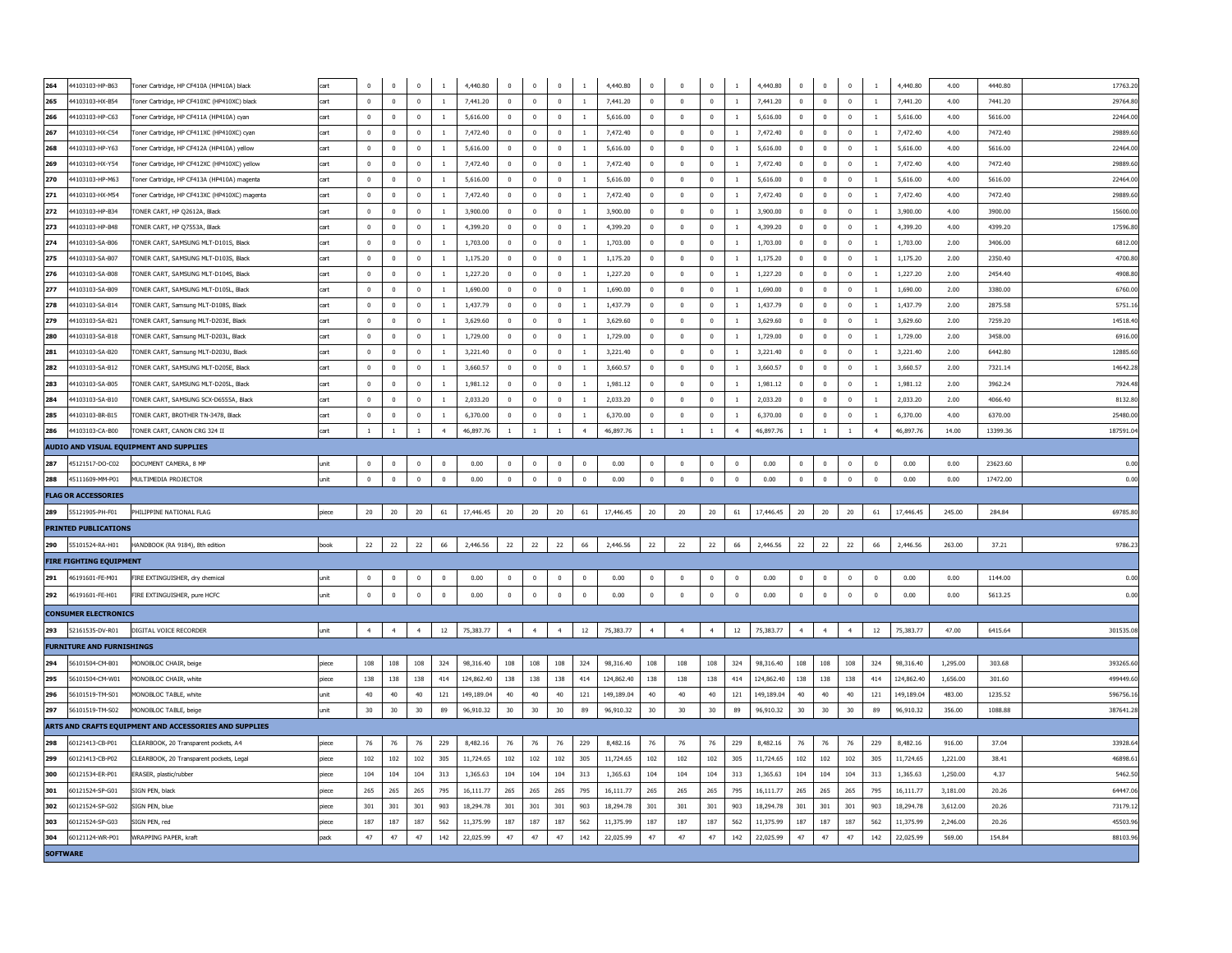| 264<br>4103103-HP-B63            | Toner Cartridge, HP CF410A (HP410A) black              | cart  | $\mathbf 0$    | $\mathbf 0$    | $\mathbf 0$    | $\mathbf{1}$   | 4,440.80   | $\mathbf 0$    | $\mathbf 0$    | $^{\circ}$     | 1              | 4,440.80   | $\mathbf 0$    | $\mathbf 0$    | $\mathbf 0$    | <sup>1</sup>   | 4,440.80   | $\mathbf 0$  | $\mathbf 0$    | $\mathbf 0$    | $\overline{1}$ | 4,440.80   | 4.00     | 4440.80  | 17763.20  |
|----------------------------------|--------------------------------------------------------|-------|----------------|----------------|----------------|----------------|------------|----------------|----------------|----------------|----------------|------------|----------------|----------------|----------------|----------------|------------|--------------|----------------|----------------|----------------|------------|----------|----------|-----------|
| 265<br>44103103-HX-B54           | Toner Cartridge, HP CF410XC (HP410XC) black            | cart  | $\mathbf 0$    | $\overline{0}$ | $\mathbf{0}$   | $\mathbf{1}$   | 7,441.20   | $\mathbf 0$    | $\mathbf 0$    | $^{\circ}$     | 1              | 7,441.20   | $\mathbf 0$    | $\mathbf 0$    | $\mathbf 0$    | <sup>1</sup>   | 7.441.20   | $^{\circ}$   | $\mathbf 0$    | $\mathbf 0$    | $\overline{1}$ | 7.441.20   | 4.00     | 7441.20  | 29764.80  |
| 266<br>44103103-HP-C63           | Toner Cartridge, HP CF411A (HP410A) cvan               | cart  | $\mathbf{0}$   | $\overline{0}$ | $\mathbf{0}$   | -1             | 5,616.00   | $\mathbf{0}$   | $\overline{0}$ | $^{\circ}$     | 1              | 5,616.00   | $\mathbf{0}$   | $\overline{0}$ | $\overline{0}$ | -1             | 5.616.00   | $^{\circ}$   | $^{\circ}$     | $^{\circ}$     | <sup>1</sup>   | 5,616,00   | 4.00     | 5616.00  | 22464.00  |
| 267<br>44103103-HX-C54           | Toner Cartridge, HP CF411XC (HP410XC) cvan             | cart  | $\mathbf 0$    | $\mathbf{0}$   | $\mathbf{0}$   | $\mathbf{1}$   | 7.472.40   | $\mathbf{0}$   | $\overline{0}$ | $^{\circ}$     | 1              | 7,472.40   | $\mathbf{0}$   | $\overline{0}$ | $\overline{0}$ | $\mathbf{1}$   | 7.472.40   | $^{\circ}$   | $\overline{0}$ | $^{\circ}$     | <sup>1</sup>   | 7.472.40   | 4.00     | 7472.40  | 29889.60  |
| 268<br>44103103-HP-Y63           | Toner Cartridge, HP CF412A (HP410A) vellow             | cart  | $\mathbf{0}$   | $^{\circ}$     | $\mathbf{0}$   | 1              | 5,616.00   | $^{\circ}$     | $\Omega$       | $^{\circ}$     | 1              | 5,616.00   | $\mathbf{0}$   | $\overline{0}$ | $\overline{0}$ | <sup>1</sup>   | 5.616.00   | $^{\circ}$   | $\mathbf{0}$   | $^{\circ}$     | <sup>1</sup>   | 5,616,00   | 4.00     | 5616.00  | 22464.00  |
| 269<br>4103103-HX-Y54            | Foner Cartridge, HP CF412XC (HP410XC) yellow           | cart  | $\mathbf 0$    | $\mathbf 0$    | $\mathbf 0$    | $\mathbf{1}$   | 7,472.40   | $\mathbf 0$    | $\overline{0}$ | $\mathbf 0$    | $\mathbf{1}$   | 7,472.40   | $\mathbf 0$    | $\,$ 0         | $\mathbf 0$    | $\mathbf{1}$   | 7,472.40   | $\mathbf 0$  | $\mathbf 0$    | $^{\circ}$     | <sup>1</sup>   | 7,472.40   | 4.00     | 7472.40  | 29889.60  |
| 270<br>4103103-HP-M63            | Foner Cartridge, HP CF413A (HP410A) magenta            | cart  | $\pmb{0}$      | $\mathbf 0$    | $\mathbf{0}$   | $\mathbf{1}$   | 5,616.00   | $\mathbf 0$    | $\mathbf{0}$   | $^{\circ}$     | $\mathbf{1}$   | 5,616.00   | $\mathbf{0}$   | $\overline{0}$ | $\mathbf 0$    | <sup>1</sup>   | 5,616.00   | $\mathbf{0}$ | $\mathbf{0}$   | $^{\circ}$     | <sup>1</sup>   | 5,616.00   | 4.00     | 5616.00  | 22464.00  |
| 271<br>4103103-HX-M54            | Foner Cartridge, HP CF413XC (HP410XC) magenta          | cart  | $\mathbf 0$    | $\mathbf 0$    | $\mathbf 0$    | $\mathbf{1}$   | 7,472.40   | $\mathbf 0$    | $\overline{0}$ | $^{\circ}$     | 1              | 7,472.40   | $\mathbf 0$    | $\,$ 0         | $\mathbf 0$    | $\mathbf{1}$   | 7,472.40   | $\mathbf 0$  | $\mathbb O$    | $^{\circ}$     | <sup>1</sup>   | 7,472.40   | 4.00     | 7472.40  | 29889.60  |
| 272<br>4103103-HP-B34            | FONER CART, HP Q2612A, Black                           | cart  | $\mathbf 0$    | $\mathbf 0$    | $\mathbf 0$    | 1              | 3,900.00   | $\mathbf 0$    | $\mathbf{0}$   | $^{\circ}$     | <sup>1</sup>   | 3,900.00   | $\mathbf{0}$   | $\,$ 0         | $\mathbf 0$    | <sup>1</sup>   | 3,900.00   | $\mathbf 0$  | $\mathbf{0}$   | $\mathbf{0}$   | <sup>1</sup>   | 3,900.00   | 4.00     | 3900.00  | 15600.00  |
| 273<br>4103103-HP-B48            | TONER CART, HP Q7553A, Black                           | cart  | $\pmb{0}$      | $\mathbf 0$    | $\mathbf 0$    | $\mathbf{1}$   | 4,399.20   | $\mathbf 0$    | $\overline{0}$ | $\mathbf 0$    | $\mathbf{1}$   | 4,399.20   | $\mathbf{0}$   | $\,$ 0         | $\mathbf 0$    | $\mathbf{1}$   | 4,399.20   | $\mathbf 0$  | $\mathbf 0$    | $\pmb{0}$      | -1             | 4,399.20   | 4.00     | 4399.20  | 17596.80  |
| 274<br>4103103-SA-B06            | TONER CART, SAMSUNG MLT-D101S, Black                   | cart  | $\mathbf 0$    | $\mathbf 0$    | $\mathbf 0$    | 1              | 1,703.00   | $\mathbf 0$    | $\mathbf{0}$   | $\bf{0}$       | $\mathbf{1}$   | 1,703.00   | $\mathbf{0}$   | $\,$ 0         | $\mathbf 0$    | 1              | 1,703.00   | $\mathbf 0$  | $\mathbf{0}$   | $\pmb{0}$      | $\overline{1}$ | 1,703.00   | 2.00     | 3406.00  | 6812.00   |
| 275<br>4103103-SA-B07            | TONER CART, SAMSUNG MLT-D103S, Black                   | cart  | $\mathbf 0$    | $\mathbf{0}$   | $\mathbf 0$    | $\mathbf{1}$   | 1,175.20   | $\mathbf 0$    | $\mathbf 0$    | $\mathbf 0$    | $\mathbf{1}$   | 1,175.20   | $\mathbf 0$    | $\,$ 0         | $\mathbf 0$    | $\mathbf{1}$   | 1,175.20   | $\mathbf 0$  | $\mathbb O$    | $\mathbf{0}$   | <sup>1</sup>   | 1,175.20   | 2.00     | 2350.40  | 4700.80   |
| 276<br>4103103-SA-B08            | <b>FONER CART, SAMSUNG MLT-D104S, Black</b>            | cart  | $\pmb{0}$      | $\mathbf 0$    | $\mathbf 0$    | $\overline{1}$ | 1,227.20   | $\bf{0}$       | $\mathbf{0}$   | $\mathbf 0$    | $1\,$          | 1,227.20   | $\mathbf{0}$   | $\,$ 0         | $\mathbf 0$    | 1              | 1,227.20   | $\mathbf 0$  | $\mathbf{0}$   | $\mathbf{0}$   | <sup>1</sup>   | 1,227.20   | 2.00     | 2454.40  | 4908.80   |
| 277<br>4103103-SA-B09            | <b>TONER CART, SAMSUNG MLT-D105L, Black</b>            | cart  | $\mathbf 0$    | $\mathbf 0$    | $\mathbf 0$    | $\mathbf{1}$   | 1,690.00   | $\mathbf 0$    | $\mathbf 0$    | $\mathbf 0$    | $\mathbf{1}$   | 1,690.00   | $\mathbf 0$    | $\mathbf 0$    | $\mathbf 0$    | $1\,$          | 1,690.00   | 0            | $\mathbf 0$    | $\mathbf 0$    | $\overline{1}$ | 1,690.00   | 2.00     | 3380.00  | 6760.00   |
| 278<br>4103103-SA-B14            | ONER CART, Samsung MLT-D108S, Black                    | art   | $\mathbf 0$    | $\mathbf 0$    | $\mathbf 0$    | $\mathbf{1}$   | 1,437.79   | $\pmb{0}$      | $\mathbf 0$    | $\bf{0}$       | $\mathbf{1}$   | 1,437.79   | $\mathbf 0$    | $\mathbf 0$    | $\mathbf 0$    | $\mathbf{1}$   | 1,437.79   | $\pmb{0}$    | $\pmb{0}$      | $\mathbf 0$    | $\mathbf{1}$   | 1,437.79   | 2.00     | 2875.58  | 5751.16   |
| 279<br>4103103-SA-B21            | ONER CART, Samsung MLT-D203E, Black                    | cart  | $\mathbf 0$    | $\mathbf 0$    | $\mathbf 0$    | $\mathbf{1}$   | 3,629.60   | $\pmb{0}$      | $\mathbf 0$    | $\bf{0}$       | $\mathbf{1}$   | 3,629.60   | $\mathbf 0$    | $\mathbf 0$    | $\mathbf 0$    | $1\,$          | 3,629.60   | $\pmb{0}$    | $\mathbf 0$    | $\mathbf 0$    | $\mathbf{1}$   | 3,629.60   | 2.00     | 7259.20  | 14518.4   |
| 280<br>4103103-SA-B18            | ONER CART, Samsung MLT-D203L, Black                    |       | $\mathbf 0$    | $\mathbf 0$    | $\mathbf 0$    | $\mathbf{1}$   | 1,729.00   | $\pmb{0}$      | $\mathbf 0$    | $\bf{0}$       | $\mathbf{1}$   | 1,729.00   | $\mathbf 0$    | $\mathbf 0$    | $\mathbf 0$    | $\mathbf{1}$   | 1,729.00   | $\pmb{0}$    | $\mathbf 0$    | $\mathbf 0$    | $\overline{1}$ | 1,729.00   | 2.00     | 3458.00  | 6916.00   |
| 281<br>4103103-SA-B20            | FONER CART, Samsung MLT-D203U, Black                   | cart  | $\mathbf 0$    | $\mathbf 0$    | $\mathbf 0$    | $\mathbf{1}$   | 3,221.40   | $\pmb{0}$      | $\mathbf 0$    | $\bf{0}$       | $1\,$          | 3,221.40   | $\mathbf 0$    | $\mathbf 0$    | $\mathbf 0$    | $\mathbf{1}$   | 3,221.40   | 0            | $\mathbf 0$    | $\mathbf 0$    | $\mathbf{1}$   | 3,221.40   | 2.00     | 6442.80  | 12885.60  |
| 282<br>4103103-SA-B12            | <b>TONER CART, SAMSUNG MLT-D205E, Black</b>            |       | $\mathbf 0$    | $\mathbf 0$    | $\mathbf 0$    | $\mathbf{1}$   | 3,660.57   | $\pmb{0}$      | $\mathbf 0$    | $\bf{0}$       | $1\,$          | 3,660.57   | $\mathbf 0$    | $\mathbf 0$    | $\mathbf 0$    | $\mathbf{1}$   | 3,660.57   | $\pmb{0}$    | $\mathbf 0$    | $\mathbf 0$    | $\overline{1}$ | 3,660.57   | 2.00     | 7321.14  | 14642.28  |
| 283<br>44103103-SA-B05           | <b>TONER CART, SAMSUNG MLT-D205L, Black</b>            | cart  | $\mathbf 0$    | $\mathbf 0$    | $\mathbf 0$    | $1\,$          | 1,981.12   | $\mathbf 0$    | $\mathbf 0$    | $\mathbf 0$    | $1\,$          | 1,981.12   | $\mathbf 0$    | $\mathbf 0$    | $\mathbf 0$    | $\,$ 1         | 1,981.12   | $\mathbf 0$  | $\mathbf 0$    | $\mathbf 0$    | $\mathbf{1}$   | 1,981.12   | 2.00     | 3962.24  | 7924.48   |
| 284<br>4103103-SA-B10            | TONER CART, SAMSUNG SCX-D6555A, Black                  | cart  | $\mathbf 0$    | $\mathbf 0$    | $\mathbf 0$    | $\,1\,$        | 2,033.20   | $\pmb{0}$      | $\pmb{0}$      | $\mathbf 0$    | $\,1\,$        | 2,033.20   | $\mathbf 0$    | $\pmb{0}$      | $\pmb{0}$      | $\,1\,$        | 2,033.20   | $\pmb{0}$    | $\pmb{0}$      | $\mathbf 0$    | $\,1\,$        | 2,033.20   | 2.00     | 4066.40  | 8132.80   |
| 285<br>4103103-BR-B15            | TONER CART, BROTHER TN-3478, Black                     | cart  | $\mathbf 0$    | $\bf{0}$       | $\mathbf 0$    | $\,1\,$        | 6,370.00   | $\pmb{0}$      | $\pmb{0}$      | $\mathbf 0$    | $\,1\,$        | 6,370.00   | $\mathbf 0$    | $\pmb{0}$      | $\mathbf 0$    | $\,1\,$        | 6,370.00   | $\mathbf 0$  | $\mathbf 0$    | $\mathbf 0$    |                | 6,370.00   | 4.00     | 6370.00  | 25480.00  |
| 286<br>44103103-CA-B00           | TONER CART, CANON CRG 324 II                           | cart  | $\mathbf{1}$   | $\mathbf{1}$   | $\mathbf{1}$   | $\overline{4}$ | 46.897.76  | $\mathbf{1}$   | $\overline{1}$ | $\mathbf{1}$   | $\overline{4}$ | 46.897.76  | $\mathbf{1}$   | $\overline{1}$ | $\,$ 1         | $\overline{4}$ | 46.897.76  | $\mathbf{1}$ | <sup>1</sup>   | $\mathbf{1}$   | $\overline{4}$ | 46.897.76  | 14.00    | 13399.36 | 187591.0  |
|                                  | AUDIO AND VISUAL EQUIPMENT AND SUPPLIES                |       |                |                |                |                |            |                |                |                |                |            |                |                |                |                |            |              |                |                |                |            |          |          |           |
| 287<br>45121517-DO-C02           | DOCUMENT CAMERA, 8 MP                                  | unit  | $\mathbf{0}$   | $\overline{0}$ | $\mathbf{0}$   | $\mathbf{0}$   | 0.00       | $^{\circ}$     | $\overline{0}$ | $^{\circ}$     | $^{\circ}$     | 0.00       | $\mathbf{0}$   | $\overline{0}$ | $\overline{0}$ | $\overline{0}$ | 0.00       | $^{\circ}$   | $\overline{0}$ | $^{\circ}$     | $\overline{0}$ | 0.00       | 0.00     | 23623.60 | 0.00      |
| 288<br>45111609-MM-P01           | MULTIMEDIA PROJECTOR                                   | unit  | $\mathbf{0}$   | $\overline{0}$ | $\mathbf{0}$   | $\mathbf 0$    | 0.00       | $^{\circ}$     | $\mathbf 0$    | $\mathbf{0}$   | $\mathbf 0$    | 0.00       | $\mathbf{0}$   | $\overline{0}$ | $\mathbf 0$    | $\mathbf 0$    | 0.00       | $^{\circ}$   | $\mathbf{0}$   | $\mathbf{0}$   | $\overline{0}$ | 0.00       | 0.00     | 17472.00 | 0.00      |
| <b>FLAG OR ACCESSORIES</b>       |                                                        |       |                |                |                |                |            |                |                |                |                |            |                |                |                |                |            |              |                |                |                |            |          |          |           |
| 289<br>55121905-PH-F01           | PHILIPPINE NATIONAL FLAG                               | piece | 20             | 20             | 20             | 61             | 17,446.45  | 20             | 20             | 20             | 61             | 17,446.45  | 20             | 20             | 20             | 61             | 17,446.45  | 20           | 20             | 20             | 61             | 17,446.45  | 245.00   | 284.84   | 69785.80  |
| <b>PRINTED PUBLICATIONS</b>      |                                                        |       |                |                |                |                |            |                |                |                |                |            |                |                |                |                |            |              |                |                |                |            |          |          |           |
| 290<br>55101524-RA-H01           | HANDBOOK (RA 9184), 8th edition                        | book  | 22             | 22             | 22             | 66             | 2,446.56   | 22             | 22             | 22             | 66             | 2,446.56   | 22             | 22             | 22             | 66             | 2,446.56   | 22           | 22             | 22             | 66             | 2,446.56   | 263.00   | 37.21    | 9786.23   |
| <b>FIRE FIGHTING EQUIPMENT</b>   |                                                        |       |                |                |                |                |            |                |                |                |                |            |                |                |                |                |            |              |                |                |                |            |          |          |           |
| 291<br>46191601-FE-M01           |                                                        |       | $\mathbf 0$    | $\mathbf 0$    | $\mathbf{0}$   | $\mathbf{0}$   | 0.00       | $\mathbf 0$    | $\mathbf 0$    | $^{\circ}$     | $\mathbf 0$    | 0.00       | $\mathbf 0$    | $\mathbf 0$    | $\mathbf 0$    | $\mathbf 0$    | 0.00       | $^{\circ}$   | $\mathbf 0$    | $\mathbf 0$    | $\overline{0}$ | 0.00       | 0.00     | 1144.00  | 0.00      |
|                                  | FIRE EXTINGUISHER, dry chemical                        | unit  |                |                |                |                |            |                |                |                |                |            |                |                |                |                |            |              |                |                |                |            |          |          |           |
| 292<br>46191601-FE-H01           | FIRE EXTINGUISHER, pure HCFC                           | unit  | $\mathbf 0$    | $\bf{0}$       | $\mathbf 0$    | $\mathbf 0$    | 0.00       | $\mathbf{0}$   | $\mathbf 0$    | $\mathbf 0$    | $\bf{0}$       | 0.00       | $\mathbf 0$    | $\bf{0}$       | $\mathbf 0$    | $\mathbf 0$    | 0.00       | $\bf{0}$     | $\mathbf 0$    | $\mathbf 0$    | $\bf{0}$       | 0.00       | 0.00     | 5613.25  | 0.00      |
| <b>CONSUMER ELECTRONICS</b>      |                                                        |       |                |                |                |                |            |                |                |                |                |            |                |                |                |                |            |              |                |                |                |            |          |          |           |
| 293<br>52161535-DV-R01           | DIGITAL VOICE RECORDER                                 | unit  | $\overline{4}$ | $\overline{4}$ | $\overline{4}$ | $12\,$         | 75,383.77  | $\overline{4}$ | $\overline{4}$ | $\overline{4}$ | $12\,$         | 75,383.77  | $\overline{4}$ | $\overline{4}$ | $\ddot{4}$     | $12\,$         | 75,383.77  | $\ddot{4}$   | $\overline{4}$ | $\overline{4}$ | $12\,$         | 75,383.77  | 47.00    | 6415.64  | 301535.08 |
| <b>FURNITURE AND FURNISHINGS</b> |                                                        |       |                |                |                |                |            |                |                |                |                |            |                |                |                |                |            |              |                |                |                |            |          |          |           |
| 56101504-CM-B01<br>294           | MONOBLOC CHAIR, beige                                  | niece | 108            | 108            | 108            | 324            | 98,316.40  | 108            | 108            | 108            | 324            | 98.316.40  | 108            | 108            | 108            | 324            | 98,316,40  | 108          | 108            | 108            | 324            | 98,316,40  | 1,295.00 | 303.68   | 393265.60 |
| 295<br>56101504-CM-W01           | MONOBLOC CHATR, white                                  | niece | 138            | 138            | 138            | 414            | 124,862.40 | 138            | 138            | 138            | 414            | 124,862,40 | 138            | 138            | 138            | 414            | 124,862.40 | 138          | 138            | 138            | 414            | 124,862.40 | 1.656.00 | 301.60   | 499449.60 |
| 296<br>56101519-TM-S01           | MONOBLOC TABLE, white                                  | unit  | 40             | $40\,$         | 40             | 121            | 149,189.04 | 40             | 40             | 40             | 121            | 149,189.04 | 40             | 40             | 40             | 121            | 149.189.04 | 40           | 40             | 40             | 121            | 149.189.04 | 483.00   | 1235.52  | 596756.16 |
| 297<br>56101519-TM-S02           | MONOBLOC TABLE, beige                                  | unit  | 30             | 30             | 30             | 89             | 96,910.32  | 30             | 30             | 30             | 89             | 96,910.32  | 30             | 30             | 30             | 89             | 96,910.32  | 30           | $30\,$         | 30             | 89             | 96,910.32  | 356.00   | 1088.88  | 387641.28 |
|                                  | ARTS AND CRAFTS EQUIPMENT AND ACCESSORIES AND SUPPLIES |       |                |                |                |                |            |                |                |                |                |            |                |                |                |                |            |              |                |                |                |            |          |          |           |
| 298<br>60121413-CB-P01           | CLEARBOOK, 20 Transparent pockets, A4                  | piece | 76             | $76\,$         | 76             | 229            | 8,482.16   | 76             | 76             | 76             | 229            | 8,482.16   | 76             | $76\,$         | 76             | 229            | 8,482.16   | $76\,$       | 76             | 76             | 229            | 8,482.16   | 916.00   | 37.04    | 33928.6   |
| 60121413-CB-P02<br>299           | CLEARBOOK, 20 Transparent pockets, Legal               | piece | 102            | 102            | 102            | 305            | 11,724.65  | 102            | 102            | 102            | 305            | 11,724.65  | 102            | 102            | 102            | 305            | 11,724.65  | 102          | 102            | 102            | 305            | 11,724.65  | 1,221.00 | 38.41    | 46898.6   |
| 300<br>60121534-ER-P01           | ERASER, plastic/rubber                                 | piece | 104            | 104            | 104            | 313            | 1,365.63   | 104            | 104            | 104            | 313            | 1,365.63   | 104            | 104            | 104            | 313            | 1,365.63   | 104          | 104            | 104            | 313            | 1,365.63   | 1,250.00 | 4.37     | 5462.50   |
| 301<br>60121524-SP-G01           | SIGN PEN, black                                        | piece | 265            | 265            | 265            | 795            | 16,111.77  | 265            | 265            | 265            | 795            | 16,111.77  | 265            | 265            | 265            | 795            | 16,111.77  | 265          | 265            | 265            | 795            | 16,111.77  | 3,181.00 | 20.26    | 64447.06  |
| 302<br>60121524-SP-G02           | SIGN PEN, blue                                         | piece | 301            | 301            | 301            | 903            | 18,294.78  | 301            | 301            | 301            | 903            | 18,294.78  | 301            | 301            | 301            | 903            | 18,294.78  | 301          | 301            | 301            | 903            | 18,294.78  | 3,612.00 | 20.26    | 73179.12  |
| 303<br>60121524-SP-G03           | SIGN PEN, red                                          | piece | 187            | 187            | 187            | 562            | 11,375.99  | 187            | 187            | 187            | 562            | 11,375.99  | $187\,$        | 187            | 187            | 562            | 11,375.99  | 187          | 187            | 187            | 562            | 11,375.99  | 2,246.00 | 20.26    | 45503.96  |
| 304<br>60121124-WR-P01           | <b>WRAPPING PAPFR, kraft</b>                           | pack  | 47             | 47             | 47             | 142            | 22.025.99  | 47             | 47             | 47             | 142            | 22.025.99  | 47             | 47             | 47             | 142            | 22.025.99  | 47           | 47             | 47             | 142            | 22.025.99  | 569.00   | 154.84   | 88103.96  |
| <b>SOFTWARE</b>                  |                                                        |       |                |                |                |                |            |                |                |                |                |            |                |                |                |                |            |              |                |                |                |            |          |          |           |
|                                  |                                                        |       |                |                |                |                |            |                |                |                |                |            |                |                |                |                |            |              |                |                |                |            |          |          |           |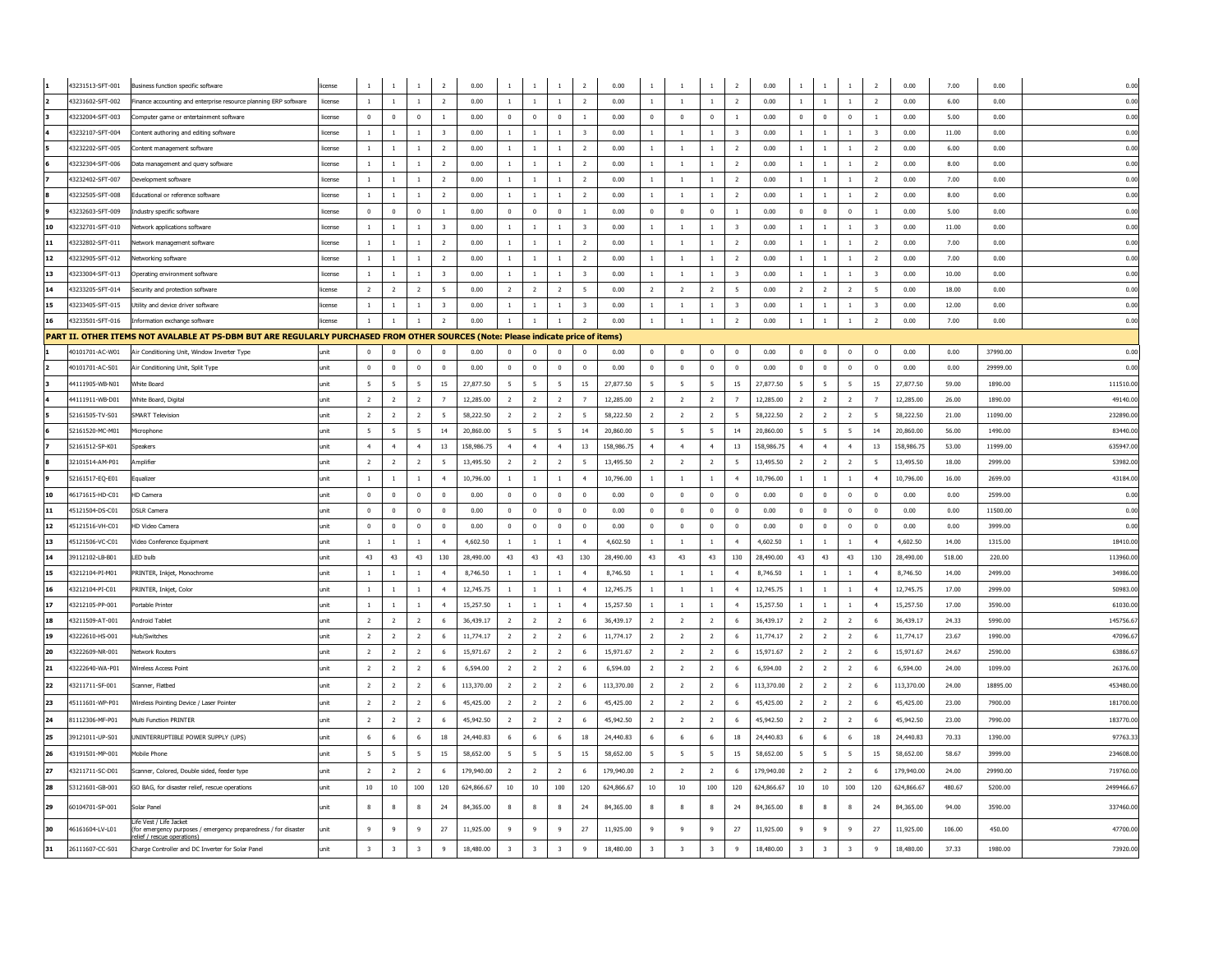|           | 43231513-SFT-001                     | Business function specific software                                                                                               | license           | $1\,$                          | $\overline{1}$          | $\mathbf{1}$                   | $\overline{2}$               | 0.00         | $\mathbf{1}$   | $\mathbf{1}$                   | $\mathbf 1$                  | $\overline{2}$                            | 0.00         | $\mathbf 1$                      | $\mathbf{1}$                     | $1\,$                          | $\overline{2}$                            | 0.00         |                                                 | $\mathbf{1}$ |                              | $\overline{2}$          | 0.00         | 7.00           | 0.00         | 0.00       |
|-----------|--------------------------------------|-----------------------------------------------------------------------------------------------------------------------------------|-------------------|--------------------------------|-------------------------|--------------------------------|------------------------------|--------------|----------------|--------------------------------|------------------------------|-------------------------------------------|--------------|----------------------------------|----------------------------------|--------------------------------|-------------------------------------------|--------------|-------------------------------------------------|--------------|------------------------------|-------------------------|--------------|----------------|--------------|------------|
|           | 43231602-SFT-002                     | Finance accounting and enterprise resource planning ERP software                                                                  | license           | $\mathbf{1}$                   | $\overline{1}$          | $\mathbf{1}$                   | $\overline{2}$               | 0.00         | $\mathbf{1}$   | $\overline{1}$                 | $\mathbf{1}$                 | $\overline{2}$                            | 0.00         | $\mathbf{1}$                     | $\mathbf{1}$                     | $\mathbf{1}$                   | $\overline{2}$                            | 0.00         | $\,$ 1<br>$\mathbf{1}$                          |              | $\mathbf{1}$                 | $\overline{2}$          | 0.00         | 6.00           | 0.00         | 0.00       |
|           | 43232004-SFT-003                     | Computer game or entertainment software                                                                                           | license           | $\mathbf 0$                    | $\mathbf 0$             | $\mathbf 0$                    | $\overline{1}$               | 0.00         | $\mathbf 0$    | $\,$ 0                         | $\overline{0}$               | $\mathbf{1}$                              | 0.00         | $\overline{0}$                   | $\mathbf 0$                      | $\mathbf 0$                    | $\overline{1}$                            | 0.00         | $\mathbf 0$<br>$\mathbf{0}$                     |              | $\overline{0}$               | $\mathbf{1}$            | 0.00         | 5.00           | 0.00         | 0.00       |
|           | 43232107-SFT-004                     | Content authoring and editing software                                                                                            | license           | $\mathbf{1}$                   | $\mathbf{1}$            | $\mathbf{1}$                   | $\sqrt{3}$                   | 0.00         | $\mathbf{1}$   | $\overline{1}$                 | $\mathbf{1}$                 | $\overline{\mathbf{3}}$                   | 0.00         | $\mathbf{1}$                     | $\mathbf{1}$                     | $\mathbf{1}$                   | $\overline{\mathbf{3}}$                   | 0.00         | $\mathbf{1}$<br><sup>1</sup>                    |              | $\mathbf{1}$                 | $\overline{\mathbf{3}}$ | 0.00         | 11.00          | 0.00         | 0.00       |
|           | 43232202-SFT-005                     | Content management software                                                                                                       | license           | $\mathbf{1}$                   | $\mathbf{1}$            | $\mathbf{1}$                   | $\overline{2}$               | 0.00         | $\mathbf{1}$   | $\,$ 1                         | $\mathbf{1}$                 | $\overline{2}$                            | 0.00         | $\mathbf{1}$                     | $\mathbf{1}$                     | $\mathbf{1}$                   | $\overline{2}$                            | 0.00         | $\mathbf{1}$<br><sup>1</sup>                    |              | $\mathbf{1}$                 | $\overline{2}$          | 0.00         | 6.00           | 0.00         | 0.00       |
|           | 43232304-SFT-006                     | Data management and query software                                                                                                | license           | $\mathbf{1}$                   | $\overline{1}$          | $\mathbf{1}$                   | $\overline{2}$               | 0.00         | $\mathbf{1}$   | $\,$ 1                         | $\,$ 1                       | $\overline{2}$                            | 0.00         | $\,$ 1                           | $\,1\,$                          | $1\,$                          | $\overline{2}$                            | 0.00         | $\mathbf{1}$<br>$\,$ 1                          |              | $\mathbf{1}$                 | $\overline{2}$          | $0.00\,$     | 8.00           | 0.00         | 0.00       |
|           | 43232402-SFT-007                     | Development software                                                                                                              | license           | $\mathbf{1}$                   | $\overline{1}$          | $\mathbf{1}$                   | $\overline{2}$               | 0.00         | $\mathbf{1}$   | $\mathbf{1}$                   | $\,$ 1 $\,$                  | 2                                         | 0.00         | $\overline{1}$                   | $\mathbf{1}$                     | $1\,$                          | $\overline{2}$                            | 0.00         | $\mathbf{1}$<br>$\,$ 1                          |              | $\mathbf{1}$                 | $\overline{2}$          | 0.00         | 7.00           | 0.00         | 0.00       |
|           | 43232505-SFT-008                     | Educational or reference software                                                                                                 | license           | $\mathbf{1}$                   | $\overline{1}$          | $\mathbf{1}$                   | $\overline{2}$               | 0.00         | $\mathbf{1}$   | $\mathbf{1}$                   | $\,$ 1 $\,$                  | $\overline{2}$                            | 0.00         | $\overline{1}$                   | $\,1\,$                          | $1\,$                          | $\overline{2}$                            | 0.00         | $\mathbf{1}$<br>$\,$ 1                          |              | $\mathbf{1}$                 | $\overline{2}$          | 0.00         | 8.00           | 0.00         | 0.00       |
|           | 43232603-SFT-009                     | Industry specific software                                                                                                        | license           | $\Omega$                       | $\mathbf{0}$            | $\mathbf{0}$                   | $\overline{1}$               | 0.00         | $\mathbf{0}$   | $\overline{\mathbf{0}}$        | $\mathbb O$                  | $\mathbf{1}$                              | 0.00         | $\mathbf 0$                      | $\mathbf 0$                      | $\mathbf 0$                    | $\overline{1}$                            | 0.00         | $\mathbf{0}$<br>$\,$ 0                          |              | $\mathbb O$                  | $\overline{1}$          | 0.00         | 5.00           | 0.00         | 0.00       |
| 10        | 43232701-SFT-010                     | Network applications software                                                                                                     | license           | <sup>1</sup>                   | $\overline{1}$          | $\mathbf{1}$                   | $\overline{\mathbf{3}}$      | 0.00         | $\mathbf{1}$   | $\mathbf{1}$                   | <sup>1</sup>                 | $\overline{\mathbf{3}}$                   | 0.00         | <sup>1</sup>                     | $\mathbf{1}$                     | $1\,$                          | $\overline{\mathbf{3}}$                   | 0.00         | $\mathbf{1}$<br>$\overline{1}$                  |              | $\mathbf{1}$                 | $\overline{\mathbf{3}}$ | 0.00         | 11.00          | 0.00         | 0.00       |
| 11        | 43232802-SFT-011                     | Network management software                                                                                                       | license           | <sup>1</sup>                   | $\overline{1}$          | $\mathbf{1}$                   | $\overline{2}$               | 0.00         | $\mathbf{1}$   | $\mathbf{1}$                   | $\,$ 1 $\,$                  | $\overline{2}$                            | 0.00         | $\overline{1}$                   | $\mathbf{1}$                     | $\mathbf{1}$                   | $\overline{2}$                            | 0.00         | $\mathbf{1}$<br>$\overline{1}$                  |              | $\mathbf{1}$                 | $\overline{2}$          | 0.00         | 7.00           | 0.00         | 0.00       |
| 12        | 43232905-SFT-012                     | Networking software                                                                                                               | license           | <sup>1</sup>                   | $\overline{1}$          | $\mathbf{1}$                   | $\overline{2}$               | 0.00         | $\mathbf{1}$   | $\mathbf{1}$                   | $\,$ 1 $\,$                  | $\overline{2}$                            | 0.00         | $\overline{1}$                   | $\,$ 1                           | $1\,$                          | $\overline{2}$                            | 0.00         | $\mathbf{1}$<br>$\overline{1}$                  |              | $\mathbf{1}$                 | $\overline{2}$          | 0.00         | 7.00           | 0.00         | 0.00       |
| 13        |                                      |                                                                                                                                   |                   | $\overline{1}$                 | $\overline{1}$          | $\mathbf{1}$                   |                              |              | $\mathbf{1}$   |                                |                              | $\overline{\mathbf{3}}$                   |              |                                  |                                  |                                | $\overline{\mathbf{3}}$                   |              | $\mathbf{1}$                                    |              | <sup>1</sup>                 | $\overline{\mathbf{3}}$ |              |                |              | 0.00       |
| 14        | 43233004-SFT-013<br>43233205-SFT-014 | Operating environment software                                                                                                    | license<br>icense | $\overline{2}$                 | 2                       | $\overline{2}$                 | $\overline{\mathbf{3}}$<br>5 | 0.00<br>0.00 | $\overline{2}$ | $\mathbf{1}$<br>$\overline{2}$ | $\,$ 1 $\,$                  | $\overline{5}$                            | 0.00<br>0.00 | $\overline{1}$<br>$\overline{2}$ | $\overline{1}$<br>$\overline{2}$ | $\mathbf{1}$<br>$\overline{2}$ | 5                                         | 0.00<br>0.00 | $\overline{1}$<br>$2^{\circ}$<br>$\overline{2}$ |              | $\overline{2}$               | $\overline{5}$          | 0.00<br>0.00 | 10.00<br>18.00 | 0.00<br>0.00 | 0.00       |
| 15        |                                      | Security and protection software                                                                                                  |                   |                                | $\overline{1}$          |                                |                              | 0.00         |                |                                | $\overline{2}$               |                                           |              |                                  |                                  |                                |                                           | 0.00         |                                                 |              |                              |                         | 0.00         |                | 0.00         | 0.00       |
| 16        | 43233405-SFT-015<br>43233501-SFT-016 | Utility and device driver software                                                                                                | icense            | <sup>1</sup><br>$\overline{1}$ | $\overline{1}$          | $\overline{1}$<br>$\mathbf{1}$ | $\overline{\mathbf{3}}$      | 0.00         | $\mathbf{1}$   | $\overline{1}$<br><sup>1</sup> | $\mathbf{1}$<br>$\mathbf{1}$ | $\overline{\mathbf{3}}$<br>$\overline{2}$ | 0.00<br>0.00 | $\overline{1}$<br>$\mathbf{1}$   | <sup>1</sup>                     | $\mathbf{1}$                   | $\overline{\mathbf{3}}$<br>$\overline{2}$ | 0.00         | $\mathbf{1}$<br><sup>1</sup><br>$\mathbf{1}$    |              | <sup>1</sup><br><sup>1</sup> | $\overline{\mathbf{3}}$ | 0.00         | 12.00<br>7.00  | 0.00         | 0.00       |
|           |                                      | Information exchange software                                                                                                     | icense            |                                |                         |                                | $\overline{2}$               |              | $\mathbf{1}$   |                                |                              |                                           |              |                                  | $\mathbf{1}$                     | $\mathbf{1}$                   |                                           |              | $\mathbf{1}$                                    |              |                              | $\overline{2}$          |              |                |              |            |
|           |                                      | PART II. OTHER ITEMS NOT AVALABLE AT PS-DBM BUT ARE REGULARLY PURCHASED FROM OTHER SOURCES (Note: Please indicate price of items) |                   |                                |                         |                                |                              |              |                |                                |                              |                                           |              |                                  |                                  |                                |                                           |              |                                                 |              |                              |                         |              |                |              |            |
|           | 40101701-AC-W01                      | Air Conditioning Unit, Window Inverter Type                                                                                       | unit              | $\overline{0}$                 | $\overline{0}$          | $^{\circ}$                     | $\overline{0}$               | 0.00         | $\mathbf{0}$   | $\Omega$                       | $\mathbf{0}$                 | $^{\circ}$                                | 0.00         | $\bf{0}$                         | $\overline{0}$                   | $\mathbf 0$                    | $\overline{0}$                            | 0.00         | $\overline{0}$<br>$\mathbf{0}$                  |              | $\overline{0}$               | $\bf{0}$                | 0.00         | 0.00           | 37990.00     | 0.00       |
|           | 40101701-AC-S01                      | Air Conditioning Unit, Split Type                                                                                                 | unit              | $\overline{0}$                 | $\mathbf{0}$            | $\bf{0}$                       | $\overline{0}$               | 0.00         | $\mathbf{0}$   | $\overline{0}$                 | $\mathbf{0}$                 | $^{\circ}$                                | 0.00         | $\bf{0}$                         | $\bf{0}$                         | $\overline{0}$                 | $\overline{0}$                            | 0.00         | $\overline{\mathbf{0}}$<br>$\mathbf{0}$         |              | $\bf{0}$                     | $\bf{0}$                | 0.00         | 0.00           | 29999.00     | 0.00       |
|           | 44111905-WB-N01                      | White Board                                                                                                                       | unit              | 5                              | 5                       | 5                              | 15                           | 27,877.50    | 5              | 5                              | 5                            | 15                                        | 27,877.50    | 5                                | - 5                              | $\overline{\phantom{0}}$       | 15                                        | 27,877.50    | 5<br>5                                          |              | 5                            | 15                      | 27,877.50    | 59.00          | 1890.00      | 111510.00  |
|           | 44111911-WB-D01                      | White Board, Digita                                                                                                               | unit              | $\overline{2}$                 | $\overline{2}$          | $\overline{2}$                 | $\overline{7}$               | 12,285.00    | $\overline{2}$ | $\overline{2}$                 | $\overline{2}$               | $\overline{7}$                            | 12,285.00    | $\overline{2}$                   | $\overline{2}$                   | $\overline{2}$                 | $\overline{7}$                            | 12,285.00    | $\overline{2}$<br>$\overline{2}$                |              | $\overline{2}$               | $\overline{7}$          | 12,285.00    | 26.00          | 1890.00      | 49140.00   |
|           | 52161505-TV-S01                      | <b>SMART Television</b>                                                                                                           | unit              | $\overline{2}$                 | 2                       | <sup>2</sup>                   | - 5                          | 58,222.50    | $\overline{2}$ | $\overline{2}$                 | $\overline{2}$               | -5                                        | 58,222.50    | $\overline{2}$                   | $\overline{2}$                   | $\overline{2}$                 | 5                                         | 58,222.50    | $\overline{2}$<br>$\overline{2}$                |              | $\overline{2}$               | 5                       | 58,222.50    | 21.00          | 11090.00     | 232890.00  |
|           | 52161520-MC-M01                      | Microphone                                                                                                                        | unit              | 5                              | 5                       | 5                              | 14                           | 20,860.00    | 5              | 5                              | 5                            | 14                                        | 20,860.00    | 5                                | 5                                | $\overline{\phantom{a}}$       | 14                                        | 20,860.00    | 5<br>5                                          |              | 5                            | $14\,$                  | 20,860.00    | 56.00          | 1490.00      | 83440.00   |
|           | 52161512-SP-K01                      | Speakers                                                                                                                          | unit              | $\overline{4}$                 | $\overline{4}$          | $\overline{4}$                 | 13                           | 158,986.75   | $\overline{4}$ | $\overline{4}$                 | $\overline{4}$               | 13                                        | 158,986.75   | $\overline{4}$                   | $\overline{4}$                   | $\overline{4}$                 | 13                                        | 158,986.75   | $\overline{4}$<br>$\sim$                        |              | $\overline{4}$               | 13                      | 158,986.75   | 53.00          | 11999.00     | 635947.00  |
|           | 32101514-AM-P01                      | <i><b>Amplifier</b></i>                                                                                                           | unit              | $\overline{2}$                 | $\overline{2}$          | $\overline{2}$                 | - 5                          | 13,495.50    | $\overline{2}$ | $\overline{2}$                 | $\overline{2}$               | 5                                         | 13,495.50    | $\overline{2}$                   | $\overline{2}$                   | $\overline{2}$                 | 5                                         | 13,495.50    | $\overline{2}$<br>2                             |              | $\overline{2}$               | 5                       | 13,495.50    | 18.00          | 2999.00      | 53982.00   |
|           | 52161517-EQ-E01                      | Equalizer                                                                                                                         | unit              | <sup>1</sup>                   | $\overline{1}$          | 1                              | $\overline{4}$               | 10,796.00    | $\mathbf{1}$   | <sup>1</sup>                   | <sup>1</sup>                 | $\overline{4}$                            | 10,796.00    | <sup>1</sup>                     | <sup>1</sup>                     | $\mathbf{1}$                   | $\overline{4}$                            | 10,796.00    | $\mathbf{1}$<br><sup>1</sup>                    |              | $\overline{1}$               | $\overline{4}$          | 10,796.00    | 16.00          | 2699.00      | 43184.00   |
|           | 46171615-HD-C01                      | <b>HD Camera</b>                                                                                                                  | unit              | $\overline{0}$                 | $\mathbf 0$             | $\mathbf 0$                    | $\mathbf 0$                  | 0.00         | $\mathbf 0$    | $\overline{\mathbf{0}}$        | $\mathbb O$                  | $\pmb{0}$                                 | 0.00         | $\mathbf 0$                      | $\mathbf 0$                      | $\bf{0}$                       | $\overline{0}$                            | 0.00         | $\mathbf 0$<br>$\,$ 0                           |              | $\mathbb O$                  | $\mathbf 0$             | 0.00         | 0.00           | 2599.00      | 0.00       |
| 11        | 45121504-DS-C01                      | <b>DSLR Camera</b>                                                                                                                | unit              | $\overline{0}$                 | $\mathbf 0$             | $\mathbf 0$                    | $\mathbf 0$                  | 0.00         | $\mathbf 0$    | $\overline{\mathbf{0}}$        | $\mathbb O$                  | $\pmb{0}$                                 | 0.00         | $\mathbf 0$                      | $\mathbf 0$                      | $\mathbf 0$                    | $\mathbf 0$                               | 0.00         | $\mathbf 0$<br>$\,$ 0                           |              | $\mathbb O$                  | $\mathbf 0$             | 0.00         | 0.00           | 11500.00     | 0.00       |
| 12        | 45121516-VH-C01                      | HD Video Camera                                                                                                                   | unit              | $\overline{0}$                 | $\mathbf 0$             | $\mathbf 0$                    | $\mathbf 0$                  | 0.00         | $\mathbf 0$    | $\overline{\mathbf{0}}$        | $\mathbb O$                  | $\pmb{0}$                                 | 0.00         | $\mathbf 0$                      | $\mathbf 0$                      | $\bf{0}$                       | $\,$ 0                                    | 0.00         | $\mathbf 0$<br>$\,$ 0                           |              | $\mathbb O$                  | $\mathbf 0$             | 0.00         | 0.00           | 3999.00      | 0.00       |
| 13        | 45121506-VC-C01                      | Video Conference Equipment                                                                                                        | unit              | $\mathbf{1}$                   | $\mathbf{1}$            | $\mathbf{1}$                   | $\overline{4}$               | 4,602.50     | $\mathbf{1}$   | $\mathbf{1}$                   | $\,$ 1                       | $\overline{4}$                            | 4,602.50     | $\mathbf{1}$                     | $1\,$                            | $1\,$                          | $\ddot{4}$                                | 4,602.50     | $\,$ 1<br>$\mathbf{1}$                          |              | $\mathbf{1}$                 | $\overline{4}$          | 4,602.50     | 14.00          | 1315.00      | 18410.00   |
| 14        | 39112102-LB-B01                      | LED bulb                                                                                                                          | unit              | 43                             | 43                      | 43                             | 130                          | 28,490.00    | 43             | 43                             | 43                           | 130                                       | 28,490.00    | 43                               | 43                               | 43                             | 130                                       | 28,490.00    | 43                                              | 43           | 43                           | 130                     | 28,490.00    | 518.00         | 220.00       | 113960.00  |
| 15        | 43212104-PI-M01                      | PRINTER, Inkjet, Monochrome                                                                                                       | unit              | $\overline{1}$                 | $\overline{1}$          | $\mathbf{1}$                   | $\overline{4}$               | 8,746.50     | $\mathbf{1}$   | $\mathbf{1}$                   | $\mathbf{1}$                 | $\overline{4}$                            | 8,746.50     | $1\,$                            | $1\,$                            | $1\,$                          | $\ddot{4}$                                | 8,746.50     | <sup>1</sup>                                    |              | 1                            | $\overline{4}$          | 8,746.50     | 14.00          | 2499.00      | 34986.00   |
|           | 43212104-PI-C01                      | PRINTER, Inkjet, Color                                                                                                            | unit              | $\,$ 1 $\,$                    | $\mathbf{1}$            | $\mathbf{1}$                   | $\overline{4}$               | 12,745.75    | $1\,$          | $\mathbf{1}$                   | $\mathbf{1}$                 | $\overline{4}$                            | 12,745.75    | $\mathbf{1}$                     | $1\,$                            | $\,1\,$                        | $\overline{4}$                            | 12,745.75    | $\mathbf{1}$<br><sup>1</sup>                    |              | $\,$ 1                       | $\overline{4}$          | 12,745.75    | 17.00          | 2999.00      | 50983.00   |
| 17        | 43212105-PP-001                      | Portable Printer                                                                                                                  | unit              | $\,$ 1 $\,$                    | $\mathbf{1}$            | $\mathbf{1}$                   | $\overline{4}$               | 15,257.50    | $\mathbf{1}$   | $\mathbf{1}$                   | $\,$ 1                       | $\overline{4}$                            | 15,257.50    | $1\,$                            | $1\,$                            | $1\,$                          | $\ddot{4}$                                | 15,257.50    | $\mathbf{1}$<br><sup>1</sup>                    |              | $\mathbf{1}$                 | $\overline{4}$          | 15,257.50    | 17.00          | 3590.00      | 61030.00   |
| 18        | 43211509-AT-001                      | <b>Android Tablet</b>                                                                                                             | unit              | $\overline{2}$                 | $\overline{2}$          | $\overline{2}$                 | 6                            | 36,439.17    | $\overline{2}$ | $\overline{2}$                 | $\overline{2}$               | 6                                         | 36,439.17    | $\overline{2}$                   | $\overline{2}$                   | $\overline{2}$                 | 6                                         | 36,439.17    | $\overline{2}$<br>$\overline{2}$                |              | $\overline{2}$               | 6                       | 36,439.17    | 24.33          | 5990.00      | 145756.6   |
| 19        | 43222610-HS-001                      | Hub/Switches                                                                                                                      | unit              | $\overline{2}$                 | 2                       | $\overline{2}$                 | 6                            | 11,774.17    | $\overline{2}$ | $\overline{2}$                 | $\overline{2}$               | 6                                         | 11,774.17    | $\overline{2}$                   | $\overline{2}$                   | $\overline{2}$                 | 6                                         | 11,774.17    | $\overline{2}$<br>$\overline{2}$                |              | $\overline{2}$               | 6                       | 11,774.17    | 23.67          | 1990.00      | 47096.67   |
| 20        | 43222609-NR-001                      | Network Routers                                                                                                                   | unit              | $\overline{2}$                 | $\overline{2}$          | $\overline{2}$                 | 6                            | 15,971.67    | $\overline{2}$ | $\overline{2}$                 | $\overline{2}$               | 6                                         | 15,971.67    | $\overline{2}$                   | $\overline{2}$                   | $\overline{2}$                 | 6                                         | 15,971.67    | $\overline{2}$<br>$\overline{2}$                |              | $\overline{2}$               | 6                       | 15,971.67    | 24.67          | 2590.00      | 63886.67   |
| 21        | 43222640-WA-P01                      | Wireless Access Point                                                                                                             | unit              | $\overline{2}$                 | $\overline{2}$          | $\overline{2}$                 | 6                            | 6,594.00     | $\overline{2}$ | $\overline{2}$                 | $\overline{2}$               | 6                                         | 6,594.00     | $\overline{2}$                   | $\overline{2}$                   | $\overline{2}$                 | 6                                         | 6,594.00     | $\overline{2}$<br>$\overline{2}$                |              | $\overline{2}$               | 6                       | 6,594.00     | 24.00          | 1099.00      | 26376.00   |
| 122       | 43211711-SF-001                      | Scanner, Flatbed                                                                                                                  | unit              | $\overline{2}$                 | $\overline{2}$          | $\overline{2}$                 | -6                           | 113,370.00   | $\overline{2}$ | $\overline{\phantom{a}}$       | $\overline{2}$               | -6                                        | 113,370,00   | $\overline{2}$                   | $\overline{2}$                   | $\overline{2}$                 | 6                                         | 113,370,00   | $\overline{2}$<br>$\overline{2}$                |              | $\overline{2}$               | 6                       | 113,370.00   | 24.00          | 18895.00     | 453480.00  |
| 23        | 45111601-WP-P01                      | Wireless Pointing Device / Laser Pointer                                                                                          | ınit              | $\overline{2}$                 | $\overline{2}$          | 2                              | 6                            | 45,425.00    | $\overline{2}$ | $\overline{2}$                 | $\overline{2}$               | 6                                         | 45,425.00    | $\overline{2}$                   | $\overline{2}$                   | $\overline{2}$                 | 6                                         | 45,425.00    | $\overline{2}$<br>$\overline{2}$                |              | $\overline{2}$               | 6                       | 45,425.00    | 23.00          | 7900.00      | 181700.00  |
| <b>24</b> | 81112306-MF-P01                      | Multi Function PRINTER                                                                                                            | ınit              | $\overline{2}$                 | $\overline{2}$          | $\overline{2}$                 | 6                            | 45,942.50    | $\overline{2}$ | $\overline{2}$                 | $\overline{2}$               | 6                                         | 45,942.50    | $\overline{2}$                   | $\overline{2}$                   | $\overline{2}$                 | 6                                         | 45,942.50    | $\overline{2}$<br>$\overline{2}$                |              | $\overline{2}$               | 6                       | 45,942.50    | 23.00          | 7990.00      | 183770.00  |
| 25        |                                      |                                                                                                                                   |                   | 6                              | 6                       | 6                              |                              |              | 6              |                                |                              |                                           |              |                                  |                                  |                                |                                           |              | 6                                               |              | 6                            |                         |              |                |              |            |
|           | 39121011-UP-S01                      | UNINTERRUPTIBLE POWER SUPPLY (UPS)                                                                                                | unit              |                                |                         |                                | $18\,$                       | 24,440.83    |                | 6                              | 6                            | $18\,$                                    | 24,440.83    | 6                                | 6                                | 6                              | 18                                        | 24,440.83    | 6                                               |              |                              | 18                      | 24,440.83    | 70.33          | 1390.00      | 97763.33   |
|           | 43191501-MP-001                      | Mobile Phone                                                                                                                      | ınit              | 5                              | 5                       | 5                              | 15                           | 58,652.00    | 5              | 5                              | 5                            | 15                                        | 58,652.00    | 5                                | 5                                | 5                              | 15                                        | 58,652.00    | 5<br>5                                          |              | 5                            | 15                      | 58,652.00    | 58.67          | 3999.00      | 234608.00  |
| 27        | 43211711-SC-D01                      | Scanner, Colored, Double sided, feeder type                                                                                       | unit              | $\overline{2}$                 | $\overline{2}$          | $\overline{2}$                 | 6                            | 179.940.00   | $\overline{2}$ | $\overline{2}$                 | <sup>2</sup>                 | 6                                         | 179,940.00   | $\overline{2}$                   | $\overline{2}$                   | $\overline{2}$                 | 6                                         | 179,940.00   | $\overline{2}$<br>$\overline{2}$                |              | $\overline{2}$               | 6                       | 179,940.00   | 24.00          | 29990.00     | 719760.00  |
|           | 53121601-GB-001                      | GO BAG, for disaster relief, rescue operations                                                                                    | unit              | 10                             | $10\,$                  | 100                            | 120                          | 624,866.67   | 10             | 10                             | 100                          | 120                                       | 624.866.67   | 10                               | 10                               | 100                            | 120                                       | 624.866.67   | 10<br>10                                        |              | 100                          | 120                     | 624.866.67   | 480.67         | 5200.00      | 2499466.67 |
|           | 60104701-SP-001                      | Solar Panel<br>Life Vest / Life Jacket                                                                                            | ınit              | 8                              | 8                       | 8                              | 24                           | 84,365.00    | 8              | 8                              | 8                            | 24                                        | 84,365.00    | 8                                | 8                                | 8                              | 24                                        | 84,365.00    | 8<br>8                                          |              | 8                            | 24                      | 84,365.00    | 94.00          | 3590.00      | 337460.00  |
| 30        | 46161604-LV-L01                      | (for emergency purposes / emergency preparedness / for disaster<br>relief / rescue operations)                                    | ınit              | $\overline{9}$                 |                         | 9                              | 27                           | 11,925.00    | 9              | $\overline{9}$                 | 9                            | 27                                        | 11,925.00    | 9                                | $\overline{9}$                   | 9                              | 27                                        | 11,925.00    | $\overline{9}$<br>$\overline{9}$                |              | $\mathbf{q}$                 | 27                      | 11,925.00    | 106.00         | 450.00       | 47700.00   |
| 31        | 26111607-CC-S01                      | Charge Controller and DC Inverter for Solar Panel                                                                                 | ınit              | $\overline{\mathbf{3}}$        | $\overline{\mathbf{3}}$ | 3                              | $\,9$                        | 18,480.00    | 3              | $\overline{\mathbf{3}}$        | $\overline{\mathbf{3}}$      | 9                                         | 18,480.00    | $\overline{\mathbf{3}}$          | $\overline{\mathbf{3}}$          | $\overline{\mathbf{3}}$        | 9                                         | 18,480.00    | 3<br>$\overline{\mathbf{3}}$                    |              | $\overline{\mathbf{3}}$      | 9                       | 18,480.00    | 37.33          | 1980.00      | 73920.00   |